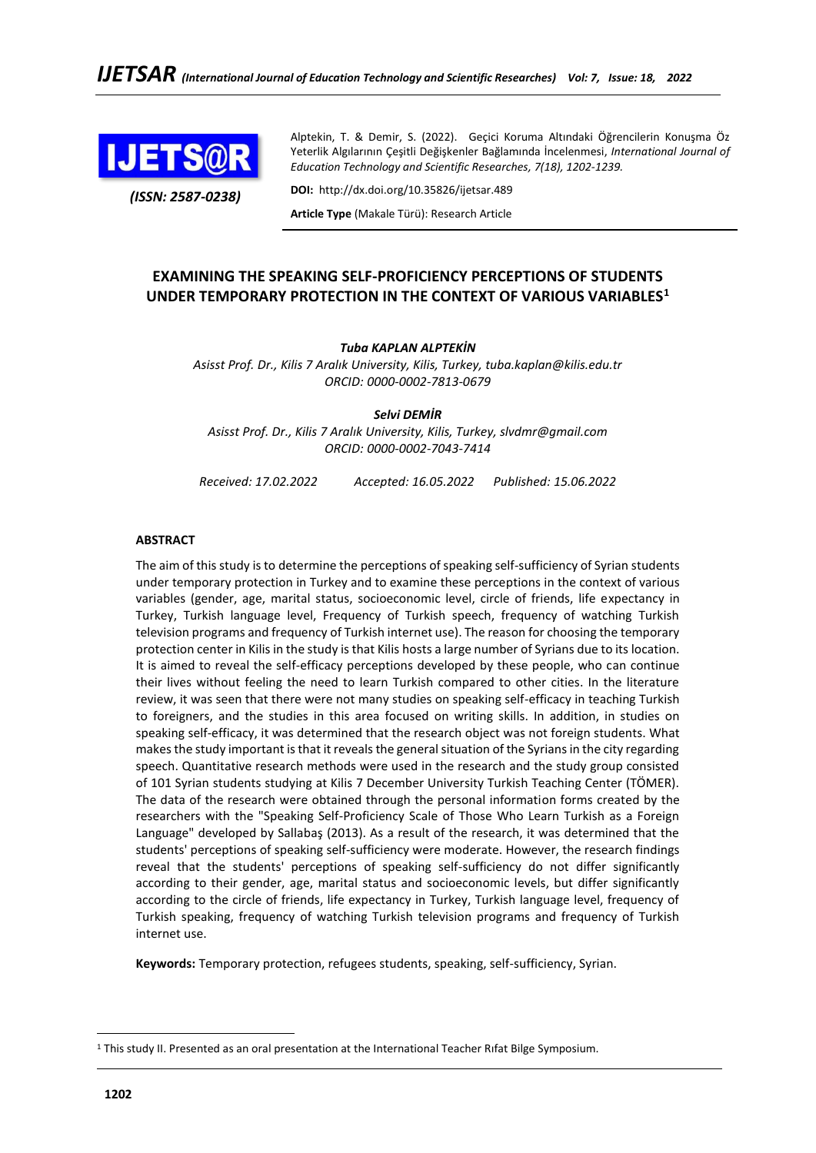

Alptekin, T. & Demir, S. (2022). Geçici Koruma Altındaki Öğrencilerin Konuşma Öz Yeterlik Algılarının Çeşitli Değişkenler Bağlamında İncelenmesi, *International Journal of Education Technology and Scientific Researches, 7(18), 1202-1239.*

*(ISSN: 2587-0238)*

**DOI:** http://dx.doi.org/10.35826/ijetsar.489 **Article Type** (Makale Türü): Research Article

# **EXAMINING THE SPEAKING SELF-PROFICIENCY PERCEPTIONS OF STUDENTS UNDER TEMPORARY PROTECTION IN THE CONTEXT OF VARIOUS VARIABLES<sup>1</sup>**

## *Tuba KAPLAN ALPTEKİN*

*Asisst Prof. Dr., Kilis 7 Aralık University, Kilis, Turkey, tuba.kaplan@kilis.edu.tr ORCID: 0000-0002-7813-0679*

*Selvi DEMİR Asisst Prof. Dr., Kilis 7 Aralık University, Kilis, Turkey, [slvdmr@gmail.com](mailto:slvdmr@gmail.com) ORCID: 0000-0002-7043-7414*

*Received: 17.02.2022 Accepted: 16.05.2022 Published: 15.06.2022*

## **ABSTRACT**

The aim of this study is to determine the perceptions of speaking self-sufficiency of Syrian students under temporary protection in Turkey and to examine these perceptions in the context of various variables (gender, age, marital status, socioeconomic level, circle of friends, life expectancy in Turkey, Turkish language level, Frequency of Turkish speech, frequency of watching Turkish television programs and frequency of Turkish internet use). The reason for choosing the temporary protection center in Kilis in the study is that Kilis hosts a large number of Syrians due to its location. It is aimed to reveal the self-efficacy perceptions developed by these people, who can continue their lives without feeling the need to learn Turkish compared to other cities. In the literature review, it was seen that there were not many studies on speaking self-efficacy in teaching Turkish to foreigners, and the studies in this area focused on writing skills. In addition, in studies on speaking self-efficacy, it was determined that the research object was not foreign students. What makes the study important is that it reveals the general situation of the Syrians in the city regarding speech. Quantitative research methods were used in the research and the study group consisted of 101 Syrian students studying at Kilis 7 December University Turkish Teaching Center (TÖMER). The data of the research were obtained through the personal information forms created by the researchers with the "Speaking Self-Proficiency Scale of Those Who Learn Turkish as a Foreign Language" developed by Sallabaş (2013). As a result of the research, it was determined that the students' perceptions of speaking self-sufficiency were moderate. However, the research findings reveal that the students' perceptions of speaking self-sufficiency do not differ significantly according to their gender, age, marital status and socioeconomic levels, but differ significantly according to the circle of friends, life expectancy in Turkey, Turkish language level, frequency of Turkish speaking, frequency of watching Turkish television programs and frequency of Turkish internet use.

**Keywords:** Temporary protection, refugees students, speaking, self-sufficiency, Syrian.

<sup>&</sup>lt;sup>1</sup> This study II. Presented as an oral presentation at the International Teacher Rıfat Bilge Symposium.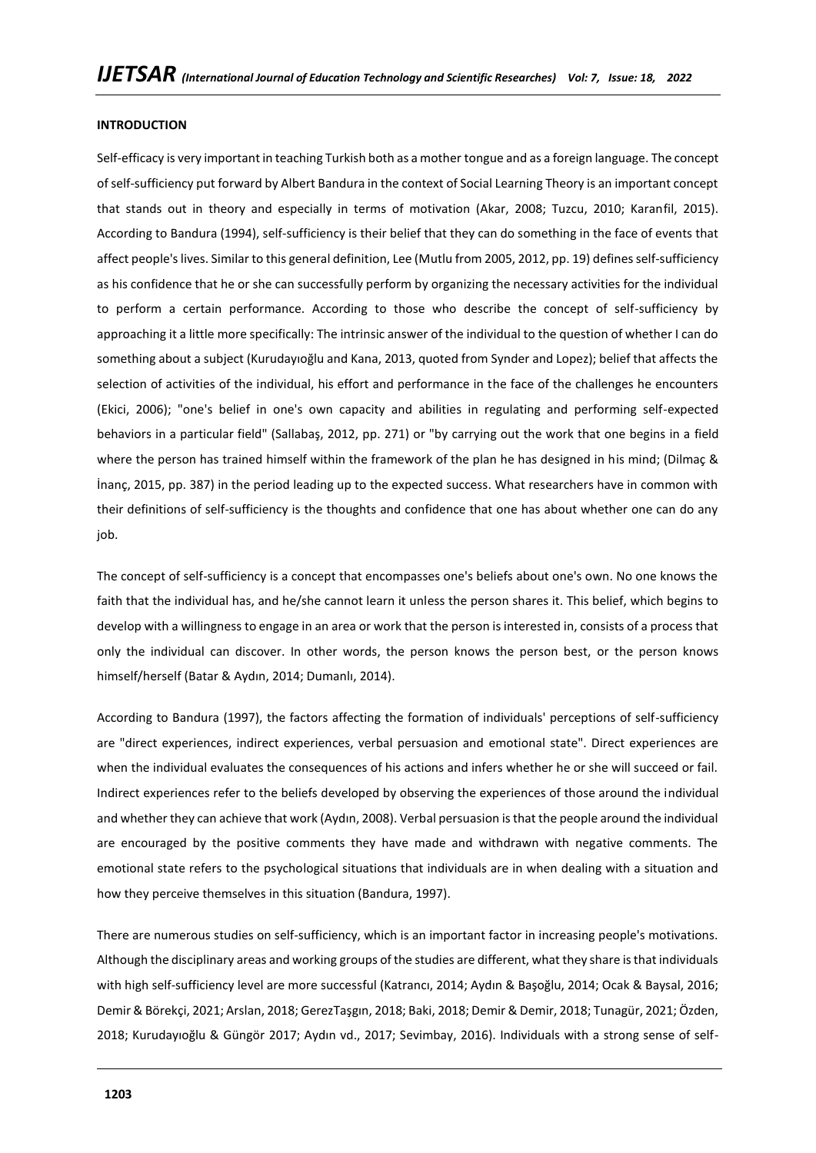#### **INTRODUCTION**

Self-efficacy is very important in teaching Turkish both as a mother tongue and as a foreign language. The concept of self-sufficiency put forward by Albert Bandura in the context of Social Learning Theory is an important concept that stands out in theory and especially in terms of motivation (Akar, 2008; Tuzcu, 2010; Karanfil, 2015). According to Bandura (1994), self-sufficiency is their belief that they can do something in the face of events that affect people's lives. Similar to this general definition, Lee (Mutlu from 2005, 2012, pp. 19) defines self-sufficiency as his confidence that he or she can successfully perform by organizing the necessary activities for the individual to perform a certain performance. According to those who describe the concept of self-sufficiency by approaching it a little more specifically: The intrinsic answer of the individual to the question of whether I can do something about a subject (Kurudayıoğlu and Kana, 2013, quoted from Synder and Lopez); belief that affects the selection of activities of the individual, his effort and performance in the face of the challenges he encounters (Ekici, 2006); "one's belief in one's own capacity and abilities in regulating and performing self-expected behaviors in a particular field" (Sallabaş, 2012, pp. 271) or "by carrying out the work that one begins in a field where the person has trained himself within the framework of the plan he has designed in his mind; (Dilmaç & İnanç, 2015, pp. 387) in the period leading up to the expected success. What researchers have in common with their definitions of self-sufficiency is the thoughts and confidence that one has about whether one can do any job.

The concept of self-sufficiency is a concept that encompasses one's beliefs about one's own. No one knows the faith that the individual has, and he/she cannot learn it unless the person shares it. This belief, which begins to develop with a willingness to engage in an area or work that the person is interested in, consists of a process that only the individual can discover. In other words, the person knows the person best, or the person knows himself/herself (Batar & Aydın, 2014; Dumanlı, 2014).

According to Bandura (1997), the factors affecting the formation of individuals' perceptions of self-sufficiency are "direct experiences, indirect experiences, verbal persuasion and emotional state". Direct experiences are when the individual evaluates the consequences of his actions and infers whether he or she will succeed or fail. Indirect experiences refer to the beliefs developed by observing the experiences of those around the individual and whether they can achieve that work (Aydın, 2008). Verbal persuasion is that the people around the individual are encouraged by the positive comments they have made and withdrawn with negative comments. The emotional state refers to the psychological situations that individuals are in when dealing with a situation and how they perceive themselves in this situation (Bandura, 1997).

There are numerous studies on self-sufficiency, which is an important factor in increasing people's motivations. Although the disciplinary areas and working groups of the studies are different, what they share is that individuals with high self-sufficiency level are more successful (Katrancı, 2014; Aydın & Başoğlu, 2014; Ocak & Baysal, 2016; Demir & Börekçi, 2021; Arslan, 2018; GerezTaşgın, 2018; Baki, 2018; Demir & Demir, 2018; Tunagür, 2021; Özden, 2018; Kurudayıoğlu & Güngör 2017; Aydın vd., 2017; Sevimbay, 2016). Individuals with a strong sense of self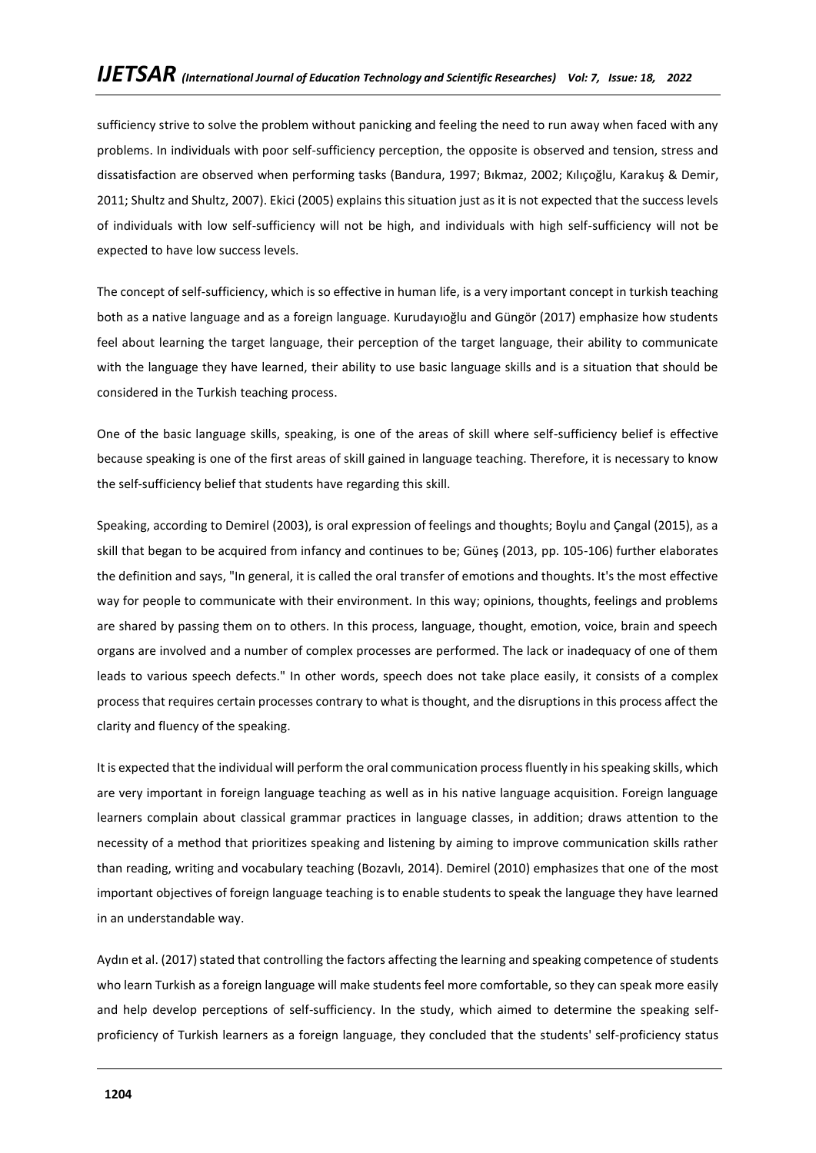sufficiency strive to solve the problem without panicking and feeling the need to run away when faced with any problems. In individuals with poor self-sufficiency perception, the opposite is observed and tension, stress and dissatisfaction are observed when performing tasks (Bandura, 1997; Bıkmaz, 2002; Kılıçoğlu, Karakuş & Demir, 2011; Shultz and Shultz, 2007). Ekici (2005) explains this situation just as it is not expected that the success levels of individuals with low self-sufficiency will not be high, and individuals with high self-sufficiency will not be expected to have low success levels.

The concept of self-sufficiency, which is so effective in human life, is a very important concept in turkish teaching both as a native language and as a foreign language. Kurudayıoğlu and Güngör (2017) emphasize how students feel about learning the target language, their perception of the target language, their ability to communicate with the language they have learned, their ability to use basic language skills and is a situation that should be considered in the Turkish teaching process.

One of the basic language skills, speaking, is one of the areas of skill where self-sufficiency belief is effective because speaking is one of the first areas of skill gained in language teaching. Therefore, it is necessary to know the self-sufficiency belief that students have regarding this skill.

Speaking, according to Demirel (2003), is oral expression of feelings and thoughts; Boylu and Çangal (2015), as a skill that began to be acquired from infancy and continues to be; Güneş (2013, pp. 105-106) further elaborates the definition and says, "In general, it is called the oral transfer of emotions and thoughts. It's the most effective way for people to communicate with their environment. In this way; opinions, thoughts, feelings and problems are shared by passing them on to others. In this process, language, thought, emotion, voice, brain and speech organs are involved and a number of complex processes are performed. The lack or inadequacy of one of them leads to various speech defects." In other words, speech does not take place easily, it consists of a complex process that requires certain processes contrary to what is thought, and the disruptions in this process affect the clarity and fluency of the speaking.

It is expected that the individual will perform the oral communication process fluently in his speaking skills, which are very important in foreign language teaching as well as in his native language acquisition. Foreign language learners complain about classical grammar practices in language classes, in addition; draws attention to the necessity of a method that prioritizes speaking and listening by aiming to improve communication skills rather than reading, writing and vocabulary teaching (Bozavlı, 2014). Demirel (2010) emphasizes that one of the most important objectives of foreign language teaching is to enable students to speak the language they have learned in an understandable way.

Aydın et al. (2017) stated that controlling the factors affecting the learning and speaking competence of students who learn Turkish as a foreign language will make students feel more comfortable, so they can speak more easily and help develop perceptions of self-sufficiency. In the study, which aimed to determine the speaking selfproficiency of Turkish learners as a foreign language, they concluded that the students' self-proficiency status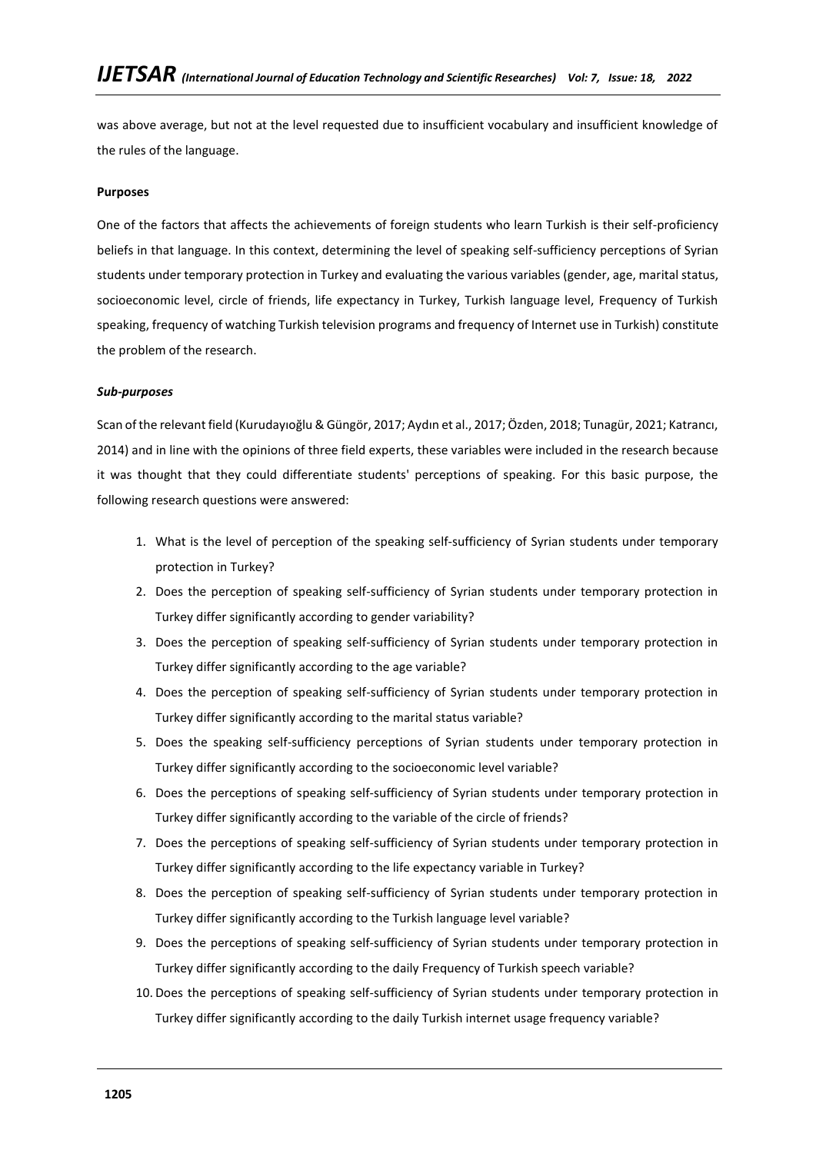was above average, but not at the level requested due to insufficient vocabulary and insufficient knowledge of the rules of the language.

## **Purposes**

One of the factors that affects the achievements of foreign students who learn Turkish is their self-proficiency beliefs in that language. In this context, determining the level of speaking self-sufficiency perceptions of Syrian students under temporary protection in Turkey and evaluating the various variables (gender, age, marital status, socioeconomic level, circle of friends, life expectancy in Turkey, Turkish language level, Frequency of Turkish speaking, frequency of watching Turkish television programs and frequency of Internet use in Turkish) constitute the problem of the research.

## *Sub-purposes*

Scan of the relevant field (Kurudayıoğlu & Güngör, 2017; Aydın et al., 2017; Özden, 2018; Tunagür, 2021; Katrancı, 2014) and in line with the opinions of three field experts, these variables were included in the research because it was thought that they could differentiate students' perceptions of speaking. For this basic purpose, the following research questions were answered:

- 1. What is the level of perception of the speaking self-sufficiency of Syrian students under temporary protection in Turkey?
- 2. Does the perception of speaking self-sufficiency of Syrian students under temporary protection in Turkey differ significantly according to gender variability?
- 3. Does the perception of speaking self-sufficiency of Syrian students under temporary protection in Turkey differ significantly according to the age variable?
- 4. Does the perception of speaking self-sufficiency of Syrian students under temporary protection in Turkey differ significantly according to the marital status variable?
- 5. Does the speaking self-sufficiency perceptions of Syrian students under temporary protection in Turkey differ significantly according to the socioeconomic level variable?
- 6. Does the perceptions of speaking self-sufficiency of Syrian students under temporary protection in Turkey differ significantly according to the variable of the circle of friends?
- 7. Does the perceptions of speaking self-sufficiency of Syrian students under temporary protection in Turkey differ significantly according to the life expectancy variable in Turkey?
- 8. Does the perception of speaking self-sufficiency of Syrian students under temporary protection in Turkey differ significantly according to the Turkish language level variable?
- 9. Does the perceptions of speaking self-sufficiency of Syrian students under temporary protection in Turkey differ significantly according to the daily Frequency of Turkish speech variable?
- 10. Does the perceptions of speaking self-sufficiency of Syrian students under temporary protection in Turkey differ significantly according to the daily Turkish internet usage frequency variable?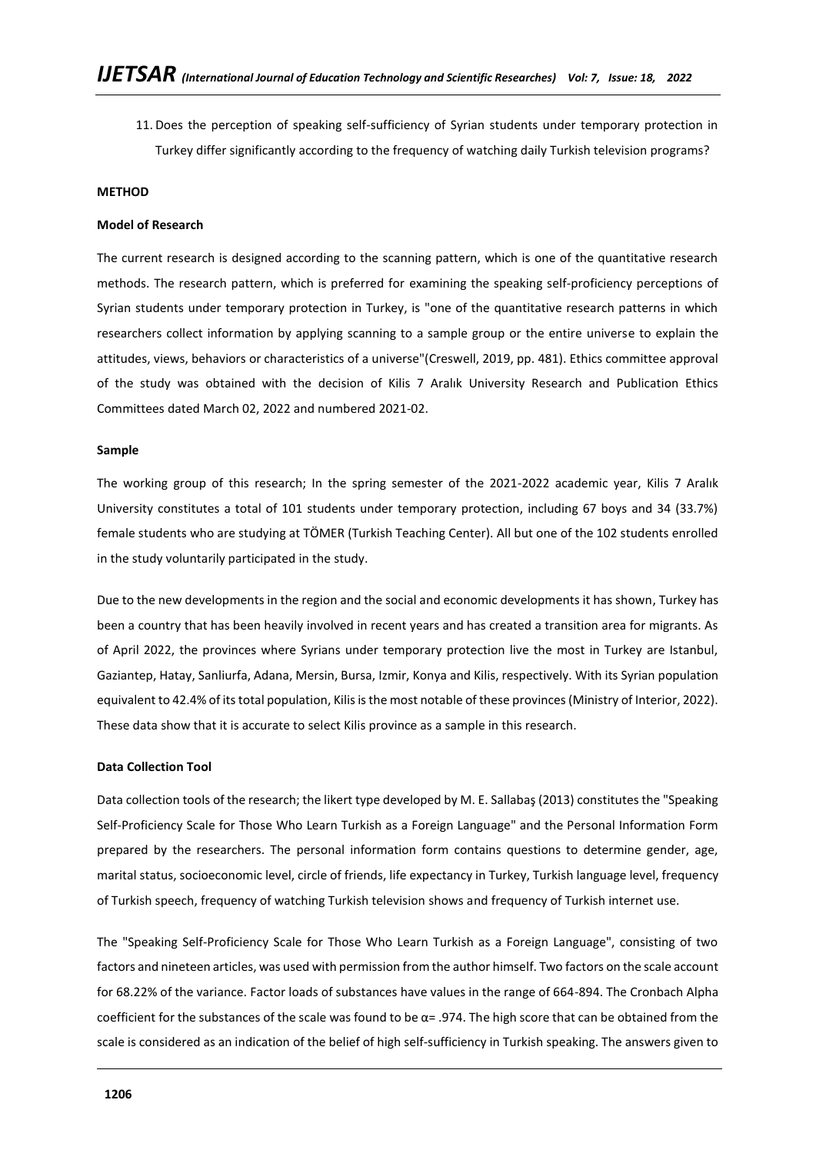11. Does the perception of speaking self-sufficiency of Syrian students under temporary protection in Turkey differ significantly according to the frequency of watching daily Turkish television programs?

#### **METHOD**

#### **Model of Research**

The current research is designed according to the scanning pattern, which is one of the quantitative research methods. The research pattern, which is preferred for examining the speaking self-proficiency perceptions of Syrian students under temporary protection in Turkey, is "one of the quantitative research patterns in which researchers collect information by applying scanning to a sample group or the entire universe to explain the attitudes, views, behaviors or characteristics of a universe"(Creswell, 2019, pp. 481). Ethics committee approval of the study was obtained with the decision of Kilis 7 Aralık University Research and Publication Ethics Committees dated March 02, 2022 and numbered 2021-02.

#### **Sample**

The working group of this research; In the spring semester of the 2021-2022 academic year, Kilis 7 Aralık University constitutes a total of 101 students under temporary protection, including 67 boys and 34 (33.7%) female students who are studying at TÖMER (Turkish Teaching Center). All but one of the 102 students enrolled in the study voluntarily participated in the study.

Due to the new developments in the region and the social and economic developments it has shown, Turkey has been a country that has been heavily involved in recent years and has created a transition area for migrants. As of April 2022, the provinces where Syrians under temporary protection live the most in Turkey are Istanbul, Gaziantep, Hatay, Sanliurfa, Adana, Mersin, Bursa, Izmir, Konya and Kilis, respectively. With its Syrian population equivalent to 42.4% of its total population, Kilis is the most notable of these provinces (Ministry of Interior, 2022). These data show that it is accurate to select Kilis province as a sample in this research.

#### **Data Collection Tool**

Data collection tools of the research; the likert type developed by M. E. Sallabaş (2013) constitutes the "Speaking Self-Proficiency Scale for Those Who Learn Turkish as a Foreign Language" and the Personal Information Form prepared by the researchers. The personal information form contains questions to determine gender, age, marital status, socioeconomic level, circle of friends, life expectancy in Turkey, Turkish language level, frequency of Turkish speech, frequency of watching Turkish television shows and frequency of Turkish internet use.

The "Speaking Self-Proficiency Scale for Those Who Learn Turkish as a Foreign Language", consisting of two factors and nineteen articles, was used with permission from the author himself. Two factors on the scale account for 68.22% of the variance. Factor loads of substances have values in the range of 664-894. The Cronbach Alpha coefficient for the substances of the scale was found to be  $\alpha$  = .974. The high score that can be obtained from the scale is considered as an indication of the belief of high self-sufficiency in Turkish speaking. The answers given to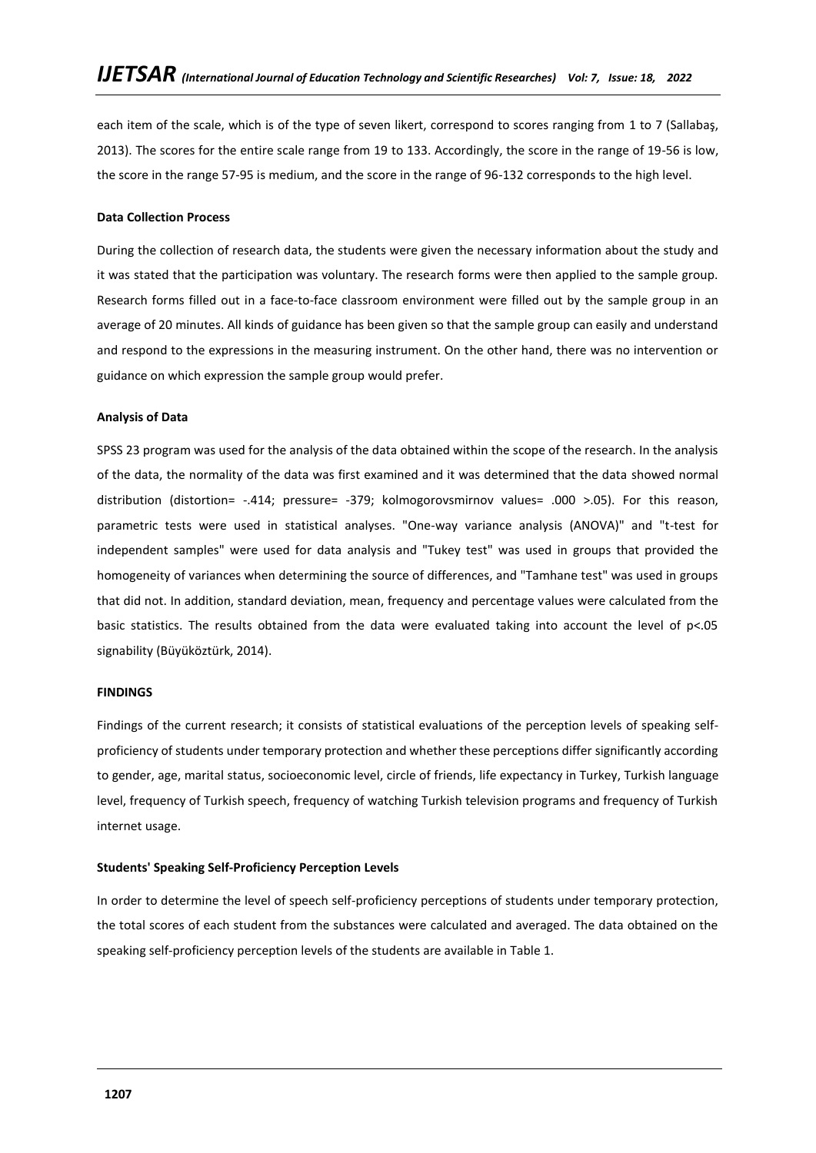each item of the scale, which is of the type of seven likert, correspond to scores ranging from 1 to 7 (Sallabaş, 2013). The scores for the entire scale range from 19 to 133. Accordingly, the score in the range of 19-56 is low, the score in the range 57-95 is medium, and the score in the range of 96-132 corresponds to the high level.

#### **Data Collection Process**

During the collection of research data, the students were given the necessary information about the study and it was stated that the participation was voluntary. The research forms were then applied to the sample group. Research forms filled out in a face-to-face classroom environment were filled out by the sample group in an average of 20 minutes. All kinds of guidance has been given so that the sample group can easily and understand and respond to the expressions in the measuring instrument. On the other hand, there was no intervention or guidance on which expression the sample group would prefer.

#### **Analysis of Data**

SPSS 23 program was used for the analysis of the data obtained within the scope of the research. In the analysis of the data, the normality of the data was first examined and it was determined that the data showed normal distribution (distortion= -.414; pressure= -379; kolmogorovsmirnov values= .000 >.05). For this reason, parametric tests were used in statistical analyses. "One-way variance analysis (ANOVA)" and "t-test for independent samples" were used for data analysis and "Tukey test" was used in groups that provided the homogeneity of variances when determining the source of differences, and "Tamhane test" was used in groups that did not. In addition, standard deviation, mean, frequency and percentage values were calculated from the basic statistics. The results obtained from the data were evaluated taking into account the level of p<.05 signability (Büyüköztürk, 2014).

#### **FINDINGS**

Findings of the current research; it consists of statistical evaluations of the perception levels of speaking selfproficiency of students under temporary protection and whether these perceptions differ significantly according to gender, age, marital status, socioeconomic level, circle of friends, life expectancy in Turkey, Turkish language level, frequency of Turkish speech, frequency of watching Turkish television programs and frequency of Turkish internet usage.

## **Students' Speaking Self-Proficiency Perception Levels**

In order to determine the level of speech self-proficiency perceptions of students under temporary protection, the total scores of each student from the substances were calculated and averaged. The data obtained on the speaking self-proficiency perception levels of the students are available in Table 1.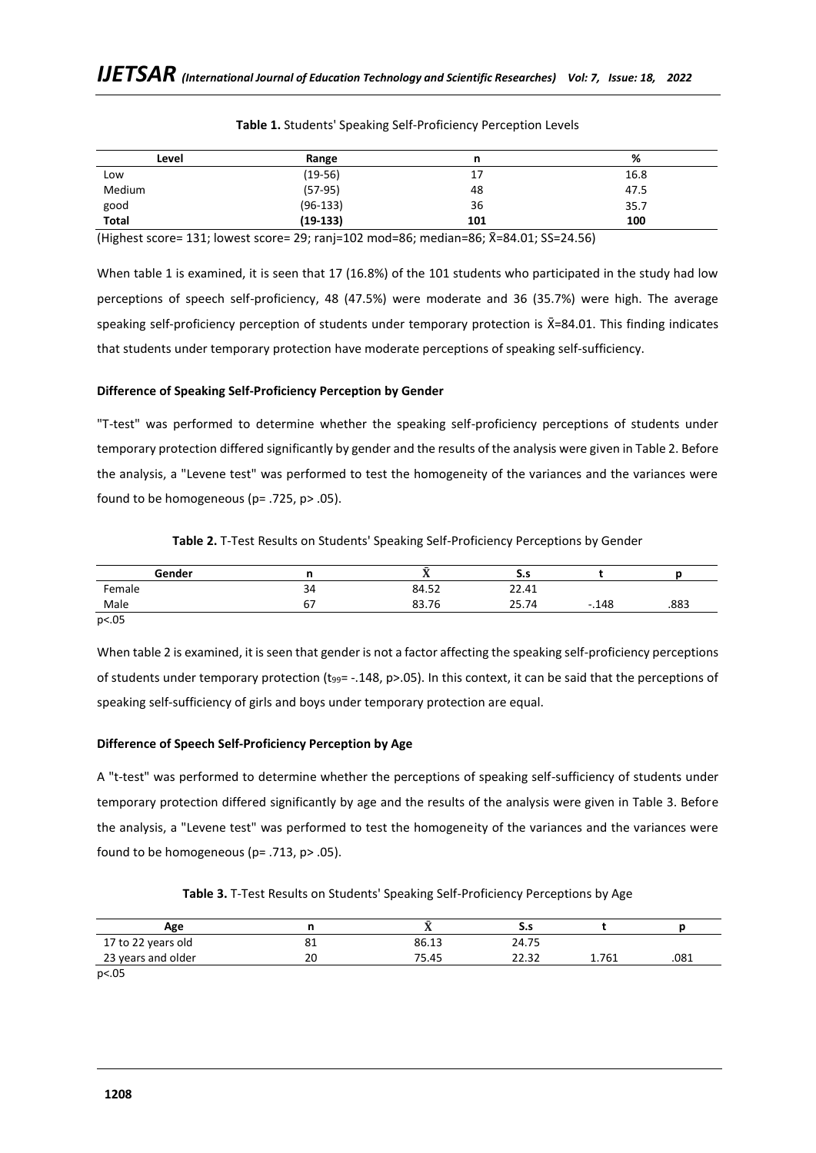| Level        | Range      | n   | %    |
|--------------|------------|-----|------|
| Low          | $(19-56)$  | 17  | 16.8 |
| Medium       | $(57-95)$  | 48  | 47.5 |
| good         | $(96-133)$ | 36  | 35.7 |
| <b>Total</b> | $(19-133)$ | 101 | 100  |

#### **Table 1.** Students' Speaking Self-Proficiency Perception Levels

(Highest score= 131; lowest score= 29; ranj=102 mod=86; median=86; X̄=84.01; SS=24.56)

When table 1 is examined, it is seen that 17 (16.8%) of the 101 students who participated in the study had low perceptions of speech self-proficiency, 48 (47.5%) were moderate and 36 (35.7%) were high. The average speaking self-proficiency perception of students under temporary protection is  $\bar{X}=84.01$ . This finding indicates that students under temporary protection have moderate perceptions of speaking self-sufficiency.

## **Difference of Speaking Self-Proficiency Perception by Gender**

"T-test" was performed to determine whether the speaking self-proficiency perceptions of students under temporary protection differed significantly by gender and the results of the analysis were given in Table 2. Before the analysis, a "Levene test" was performed to test the homogeneity of the variances and the variances were found to be homogeneous ( $p = .725$ ,  $p > .05$ ).

|  |  | Table 2. T-Test Results on Students' Speaking Self-Proficiency Perceptions by Gender |  |  |
|--|--|--------------------------------------------------------------------------------------|--|--|
|  |  |                                                                                      |  |  |

| Gender |          | . .   | د.د   |                |      |
|--------|----------|-------|-------|----------------|------|
| Female | 34       | 84.52 | 22.41 |                |      |
| Male   | --<br>07 | 83.76 | 25.74 | .148<br>$\sim$ | .883 |

p<.05

When table 2 is examined, it is seen that gender is not a factor affecting the speaking self-proficiency perceptions of students under temporary protection ( $t_{99}$ = -.148, p>.05). In this context, it can be said that the perceptions of speaking self-sufficiency of girls and boys under temporary protection are equal.

# **Difference of Speech Self-Proficiency Perception by Age**

A "t-test" was performed to determine whether the perceptions of speaking self-sufficiency of students under temporary protection differed significantly by age and the results of the analysis were given in Table 3. Before the analysis, a "Levene test" was performed to test the homogeneity of the variances and the variances were found to be homogeneous ( $p = .713$ ,  $p > .05$ ).

**Table 3.** T-Test Results on Students' Speaking Self-Proficiency Perceptions by Age

| Age                         |    |       | --    |       |      |
|-----------------------------|----|-------|-------|-------|------|
| 17 to 22 years old          | ᇰ  | 86.13 | 24.75 |       |      |
| 23 years and older          | 20 | 75.45 | วว วา | 1.761 | .081 |
| $\sim$ $\sim$ $\sim$ $\sim$ |    |       |       |       |      |

p<.05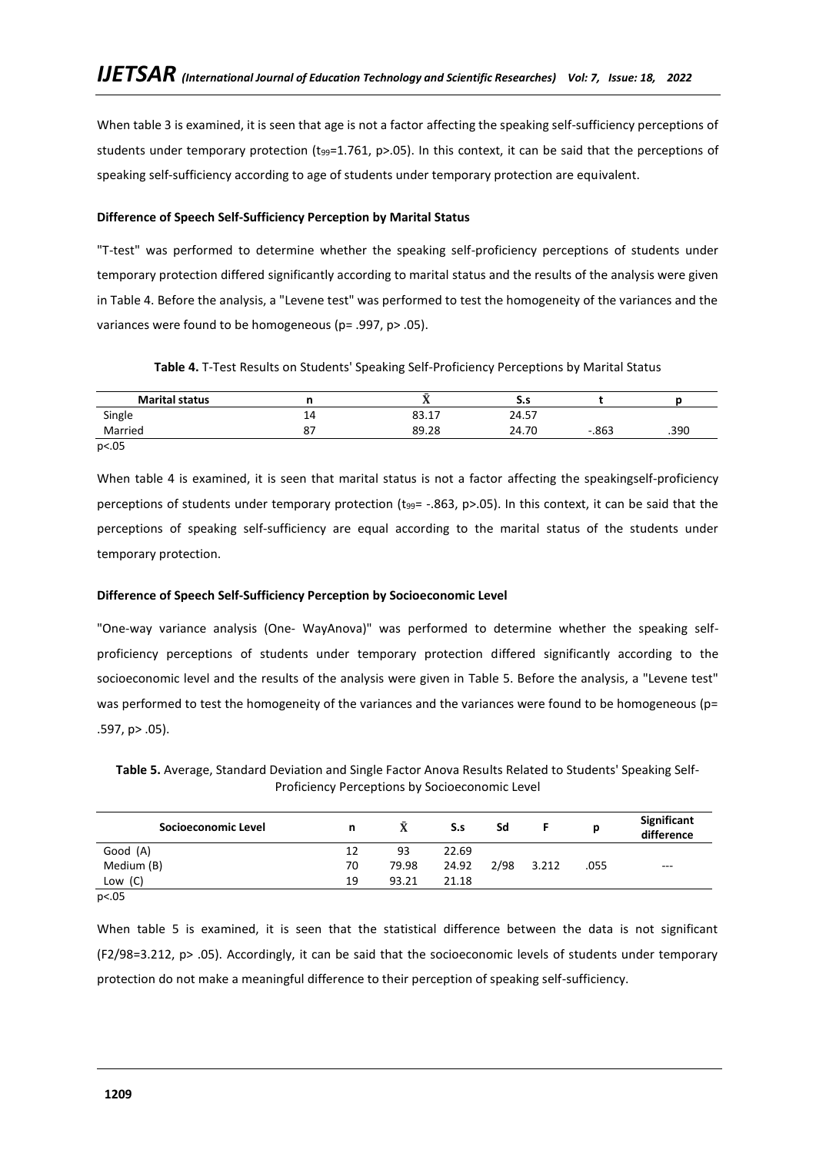When table 3 is examined, it is seen that age is not a factor affecting the speaking self-sufficiency perceptions of students under temporary protection (t<sub>99</sub>=1.761, p>.05). In this context, it can be said that the perceptions of speaking self-sufficiency according to age of students under temporary protection are equivalent.

## **Difference of Speech Self-Sufficiency Perception by Marital Status**

"T-test" was performed to determine whether the speaking self-proficiency perceptions of students under temporary protection differed significantly according to marital status and the results of the analysis were given in Table 4. Before the analysis, a "Levene test" was performed to test the homogeneity of the variances and the variances were found to be homogeneous (p= .997, p> .05).

**Table 4.** T-Test Results on Students' Speaking Self-Proficiency Perceptions by Marital Status

| <b>Marital status</b> |     | . .   | S.S   |         |      |
|-----------------------|-----|-------|-------|---------|------|
| Single                | 14  | 83.17 | 24.57 |         |      |
| Married               | ، ه | 89.28 | 24.70 | $-.863$ | .390 |
| p<.05                 |     |       |       |         |      |

When table 4 is examined, it is seen that marital status is not a factor affecting the speakingself-proficiency perceptions of students under temporary protection (t<sub>99</sub>= -.863, p>.05). In this context, it can be said that the perceptions of speaking self-sufficiency are equal according to the marital status of the students under temporary protection.

# **Difference of Speech Self-Sufficiency Perception by Socioeconomic Level**

"One-way variance analysis (One- WayAnova)" was performed to determine whether the speaking selfproficiency perceptions of students under temporary protection differed significantly according to the socioeconomic level and the results of the analysis were given in Table 5. Before the analysis, a "Levene test" was performed to test the homogeneity of the variances and the variances were found to be homogeneous (p= .597, p> .05).

**Table 5.** Average, Standard Deviation and Single Factor Anova Results Related to Students' Speaking Self-Proficiency Perceptions by Socioeconomic Level

| Socioeconomic Level | n  |       | S.s   | Sd   |       |      | Significant<br>difference |
|---------------------|----|-------|-------|------|-------|------|---------------------------|
| Good (A)            | 12 | 93    | 22.69 |      |       |      |                           |
| Medium (B)          | 70 | 79.98 | 24.92 | 2/98 | 3.212 | .055 | $- - -$                   |
| Low $(C)$           | 19 | 93.21 | 21.18 |      |       |      |                           |

p<.05

When table 5 is examined, it is seen that the statistical difference between the data is not significant (F2/98=3.212, p> .05). Accordingly, it can be said that the socioeconomic levels of students under temporary protection do not make a meaningful difference to their perception of speaking self-sufficiency.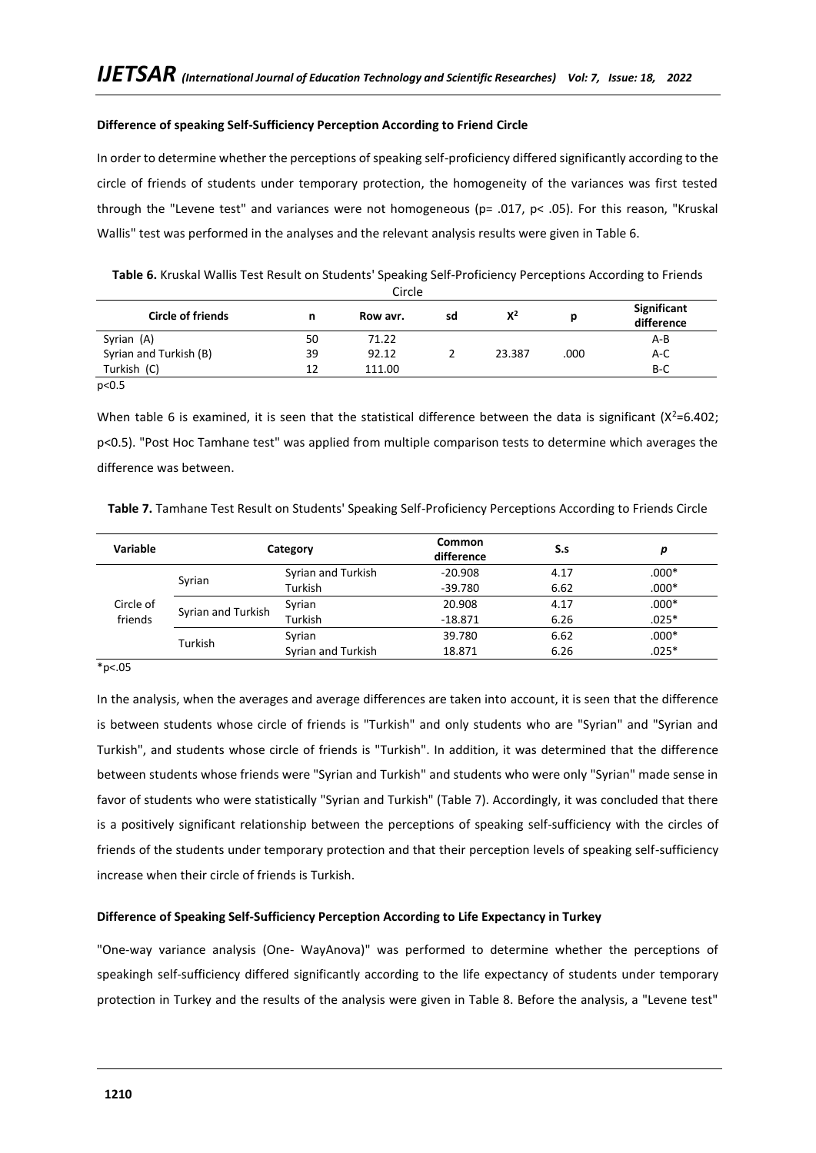## **Difference of speaking Self-Sufficiency Perception According to Friend Circle**

In order to determine whether the perceptions of speaking self-proficiency differed significantly according to the circle of friends of students under temporary protection, the homogeneity of the variances was first tested through the "Levene test" and variances were not homogeneous (p= .017, p< .05). For this reason, "Kruskal Wallis" test was performed in the analyses and the relevant analysis results were given in Table 6.

**Table 6.** Kruskal Wallis Test Result on Students' Speaking Self-Proficiency Perceptions According to Friends

| Circle                   |    |          |    |        |      |                           |  |
|--------------------------|----|----------|----|--------|------|---------------------------|--|
| <b>Circle of friends</b> | n  | Row avr. | sd | $X^2$  |      | Significant<br>difference |  |
| Syrian (A)               | 50 | 71.22    |    |        |      | A-B                       |  |
| Syrian and Turkish (B)   | 39 | 92.12    |    | 23.387 | .000 | A-C                       |  |
| Turkish (C)              | 12 | 111.00   |    |        |      | B-C                       |  |
| p<0.5                    |    |          |    |        |      |                           |  |

When table 6 is examined, it is seen that the statistical difference between the data is significant ( $X^2$ =6.402; p<0.5). "Post Hoc Tamhane test" was applied from multiple comparison tests to determine which averages the difference was between.

| Table 7. Tamhane Test Result on Students' Speaking Self-Proficiency Perceptions According to Friends Circle |  |  |
|-------------------------------------------------------------------------------------------------------------|--|--|
|-------------------------------------------------------------------------------------------------------------|--|--|

| Variable  |                    | Category           | <b>Common</b><br>difference | S.s  |         |
|-----------|--------------------|--------------------|-----------------------------|------|---------|
|           |                    | Syrian and Turkish | $-20.908$                   | 4.17 | $.000*$ |
|           | Syrian             | Turkish            | $-39.780$                   | 6.62 | $.000*$ |
| Circle of |                    | Syrian             | 20.908                      | 4.17 | $.000*$ |
| friends   | Syrian and Turkish | Turkish            | $-18.871$                   | 6.26 | $.025*$ |
|           | Turkish            | Syrian             | 39.780                      | 6.62 | $.000*$ |
|           |                    | Syrian and Turkish | 18.871                      | 6.26 | $.025*$ |

\*p<.05

In the analysis, when the averages and average differences are taken into account, it is seen that the difference is between students whose circle of friends is "Turkish" and only students who are "Syrian" and "Syrian and Turkish", and students whose circle of friends is "Turkish". In addition, it was determined that the difference between students whose friends were "Syrian and Turkish" and students who were only "Syrian" made sense in favor of students who were statistically "Syrian and Turkish" (Table 7). Accordingly, it was concluded that there is a positively significant relationship between the perceptions of speaking self-sufficiency with the circles of friends of the students under temporary protection and that their perception levels of speaking self-sufficiency increase when their circle of friends is Turkish.

## **Difference of Speaking Self-Sufficiency Perception According to Life Expectancy in Turkey**

"One-way variance analysis (One- WayAnova)" was performed to determine whether the perceptions of speakingh self-sufficiency differed significantly according to the life expectancy of students under temporary protection in Turkey and the results of the analysis were given in Table 8. Before the analysis, a "Levene test"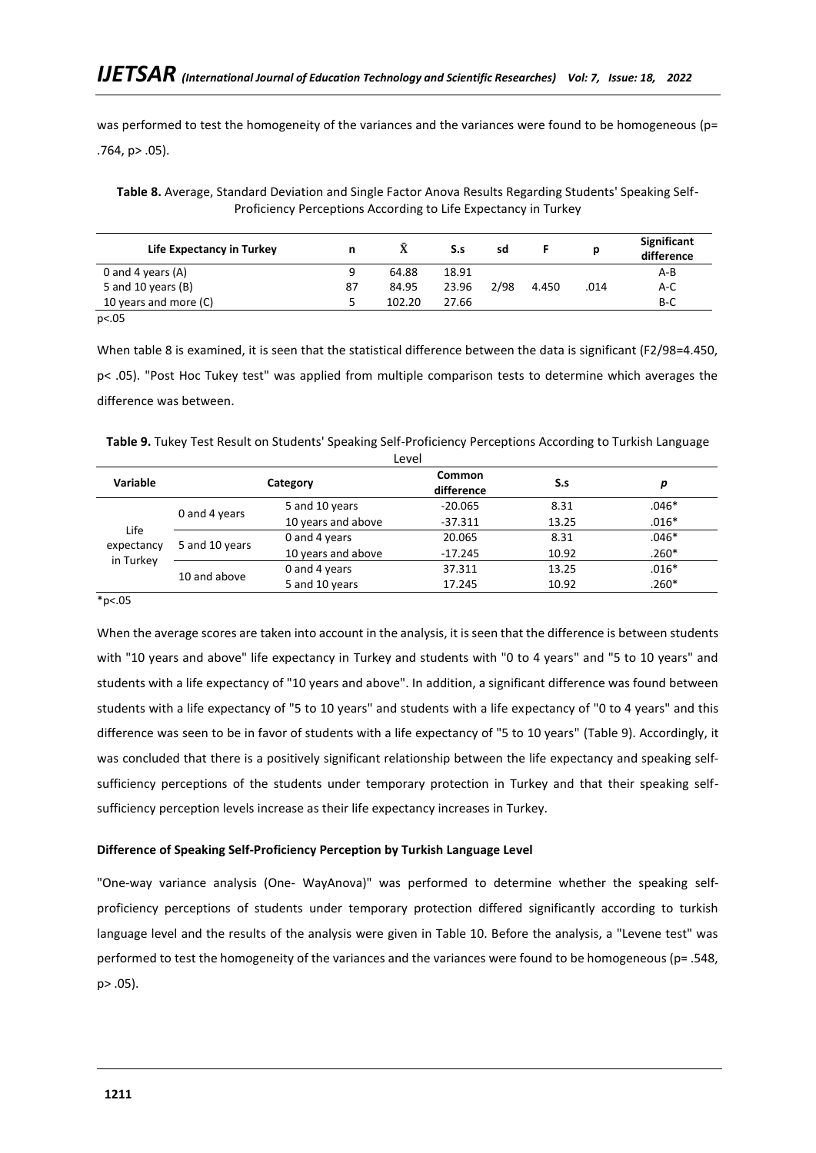was performed to test the homogeneity of the variances and the variances were found to be homogeneous (p= .764, p> .05).

**Table 8.** Average, Standard Deviation and Single Factor Anova Results Regarding Students' Speaking Self-Proficiency Perceptions According to Life Expectancy in Turkey

| Life Expectancy in Turkey |    |        | S.s   | sd   |       |      | Significant<br>difference |
|---------------------------|----|--------|-------|------|-------|------|---------------------------|
| 0 and 4 years $(A)$       |    | 64.88  | 18.91 |      |       |      | A-B                       |
| 5 and 10 years $(B)$      | 87 | 84.95  | 23.96 | 2/98 | 4.450 | .014 | $A-C$                     |
| 10 years and more (C)     |    | 102.20 | 27.66 |      |       |      | B-C                       |
| p<.05                     |    |        |       |      |       |      |                           |

When table 8 is examined, it is seen that the statistical difference between the data is significant (F2/98=4.450, p< .05). "Post Hoc Tukey test" was applied from multiple comparison tests to determine which averages the difference was between.

**Table 9.** Tukey Test Result on Students' Speaking Self-Proficiency Perceptions According to Turkish Language

| Level      |                |                    |                      |       |         |  |  |
|------------|----------------|--------------------|----------------------|-------|---------|--|--|
| Variable   |                | Category           | Common<br>difference | S.s   | р       |  |  |
|            |                | 5 and 10 years     | $-20.065$            | 8.31  | $.046*$ |  |  |
| Life       | 0 and 4 years  | 10 years and above | $-37.311$            | 13.25 | $.016*$ |  |  |
|            | 5 and 10 years | 0 and 4 years      | 20.065               | 8.31  | $.046*$ |  |  |
| expectancy |                | 10 years and above | $-17.245$            | 10.92 | $.260*$ |  |  |
| in Turkey  |                | 0 and 4 years      | 37.311               | 13.25 | $.016*$ |  |  |
|            | 10 and above   | 5 and 10 years     | 17.245               | 10.92 | $.260*$ |  |  |

 $*p<.05$ 

When the average scores are taken into account in the analysis, it is seen that the difference is between students with "10 years and above" life expectancy in Turkey and students with "0 to 4 years" and "5 to 10 years" and students with a life expectancy of "10 years and above". In addition, a significant difference was found between students with a life expectancy of "5 to 10 years" and students with a life expectancy of "0 to 4 years" and this difference was seen to be in favor of students with a life expectancy of "5 to 10 years" (Table 9). Accordingly, it was concluded that there is a positively significant relationship between the life expectancy and speaking selfsufficiency perceptions of the students under temporary protection in Turkey and that their speaking selfsufficiency perception levels increase as their life expectancy increases in Turkey.

## **Difference of Speaking Self-Proficiency Perception by Turkish Language Level**

"One-way variance analysis (One- WayAnova)" was performed to determine whether the speaking selfproficiency perceptions of students under temporary protection differed significantly according to turkish language level and the results of the analysis were given in Table 10. Before the analysis, a "Levene test" was performed to test the homogeneity of the variances and the variances were found to be homogeneous (p= .548, p> .05).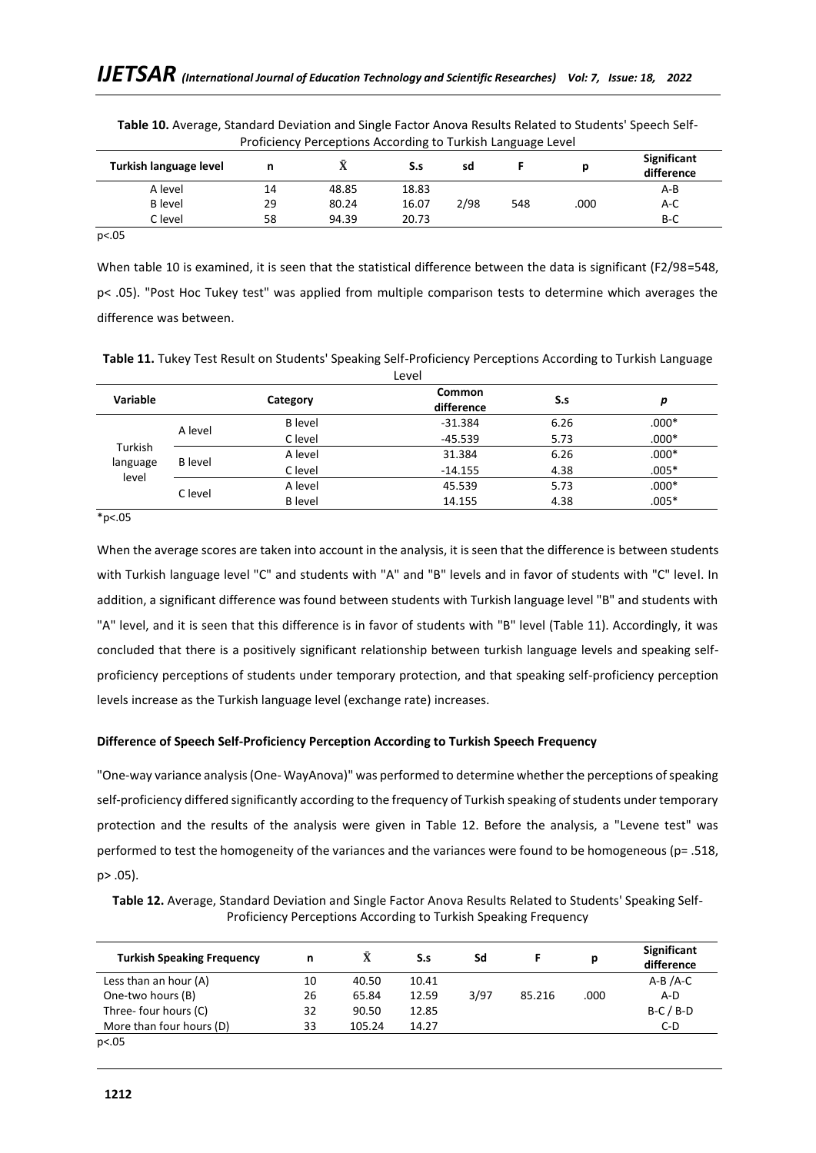|                        | <b>TOROGRAPH Creeptions</b> According to Turnish Language Lever |       |       |      |     |      |                           |  |
|------------------------|-----------------------------------------------------------------|-------|-------|------|-----|------|---------------------------|--|
| Turkish language level |                                                                 | 43.   | S.s   | sd   |     |      | Significant<br>difference |  |
| A level                | 14                                                              | 48.85 | 18.83 |      |     |      | $A-B$                     |  |
| <b>B</b> level         | 29                                                              | 80.24 | 16.07 | 2/98 | 548 | .000 | $A-C$                     |  |
| C level                | 58                                                              | 94.39 | 20.73 |      |     |      | B-C                       |  |

**Table 10.** Average, Standard Deviation and Single Factor Anova Results Related to Students' Speech Self-Proficiency Perceptions According to Turkish Language Level

p<.05

When table 10 is examined, it is seen that the statistical difference between the data is significant (F2/98=548, p< .05). "Post Hoc Tukey test" was applied from multiple comparison tests to determine which averages the difference was between.

**Table 11.** Tukey Test Result on Students' Speaking Self-Proficiency Perceptions According to Turkish Language Level

|                   |                |                | LEVEI                |      |         |
|-------------------|----------------|----------------|----------------------|------|---------|
| Variable          |                | Category       | Common<br>difference | S.s  | р       |
|                   | A level        | <b>B</b> level | $-31.384$            | 6.26 | $.000*$ |
|                   |                | C level        | $-45.539$            | 5.73 | $.000*$ |
| Turkish           | <b>B</b> level | A level        | 31.384               | 6.26 | $.000*$ |
| language<br>level |                | C level        | $-14.155$            | 4.38 | $.005*$ |
|                   |                | A level        | 45.539               | 5.73 | $.000*$ |
|                   | C level        | <b>B</b> level | 14.155               | 4.38 | $.005*$ |

\*p<.05

When the average scores are taken into account in the analysis, it is seen that the difference is between students with Turkish language level "C" and students with "A" and "B" levels and in favor of students with "C" level. In addition, a significant difference was found between students with Turkish language level "B" and students with "A" level, and it is seen that this difference is in favor of students with "B" level (Table 11). Accordingly, it was concluded that there is a positively significant relationship between turkish language levels and speaking selfproficiency perceptions of students under temporary protection, and that speaking self-proficiency perception levels increase as the Turkish language level (exchange rate) increases.

# **Difference of Speech Self-Proficiency Perception According to Turkish Speech Frequency**

"One-way variance analysis (One- WayAnova)" was performed to determine whether the perceptions of speaking self-proficiency differed significantly according to the frequency of Turkish speaking of students under temporary protection and the results of the analysis were given in Table 12. Before the analysis, a "Levene test" was performed to test the homogeneity of the variances and the variances were found to be homogeneous (p= .518, p> .05).

**Table 12.** Average, Standard Deviation and Single Factor Anova Results Related to Students' Speaking Self-Proficiency Perceptions According to Turkish Speaking Frequency

| <b>Turkish Speaking Frequency</b> | n  |        | S.s   | Sd   |        | р    | Significant<br>difference |
|-----------------------------------|----|--------|-------|------|--------|------|---------------------------|
| Less than an hour (A)             | 10 | 40.50  | 10.41 |      |        |      | $A-B/A-C$                 |
| One-two hours (B)                 | 26 | 65.84  | 12.59 | 3/97 | 85.216 | .000 | $A-D$                     |
| Three- four hours (C)             | 32 | 90.50  | 12.85 |      |        |      | $B-C/B-D$                 |
| More than four hours (D)          | 33 | 105.24 | 14.27 |      |        |      | $C-D$                     |
| p<.05                             |    |        |       |      |        |      |                           |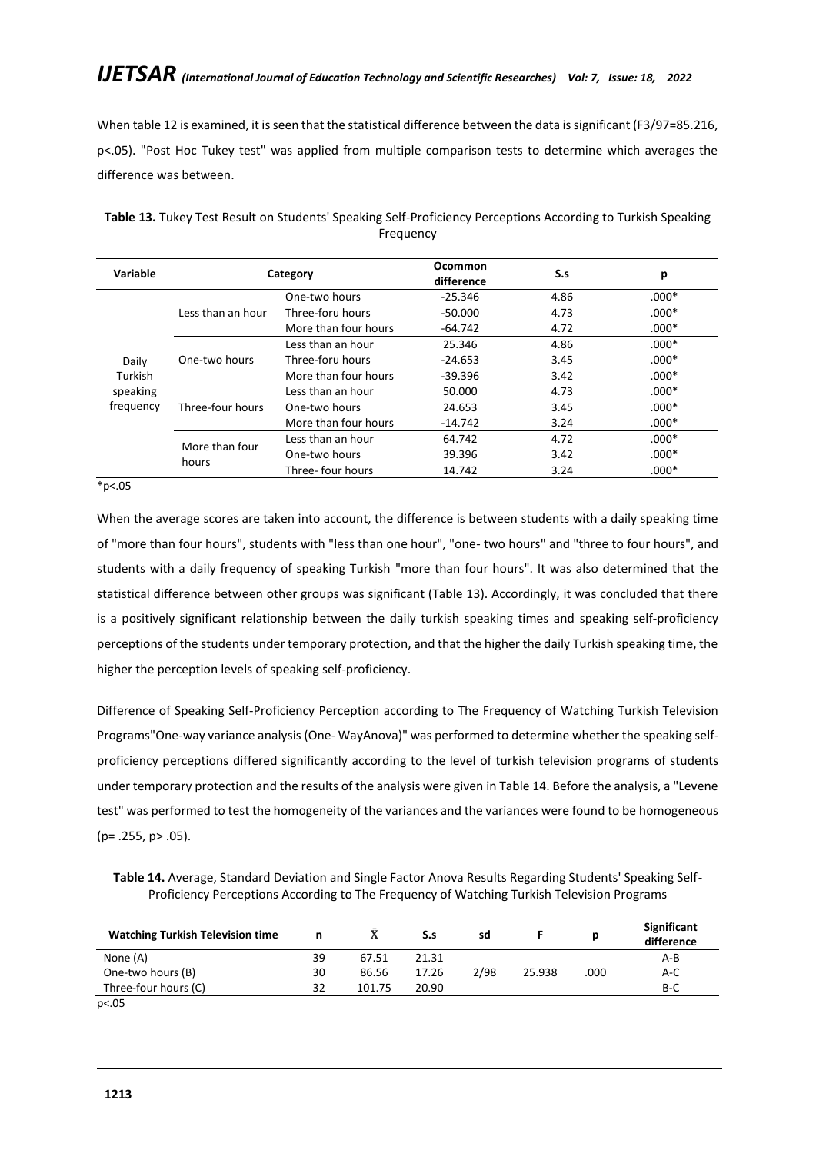When table 12 is examined, it is seen that the statistical difference between the data is significant (F3/97=85.216, p<.05). "Post Hoc Tukey test" was applied from multiple comparison tests to determine which averages the difference was between.

| Variable  | Category          |                      | Ocommon<br>difference | S.s  | р       |
|-----------|-------------------|----------------------|-----------------------|------|---------|
|           |                   | One-two hours        | $-25.346$             | 4.86 | $.000*$ |
|           | Less than an hour | Three-foru hours     | $-50.000$             | 4.73 | $.000*$ |
|           |                   | More than four hours | $-64.742$             | 4.72 | $.000*$ |
|           |                   | Less than an hour    | 25.346                | 4.86 | $.000*$ |
| Daily     | One-two hours     | Three-foru hours     | $-24.653$             | 3.45 | $.000*$ |
| Turkish   |                   | More than four hours | $-39.396$             | 3.42 | $.000*$ |
| speaking  |                   | Less than an hour    | 50.000                | 4.73 | $.000*$ |
| frequency | Three-four hours  | One-two hours        |                       | 3.45 | $.000*$ |
|           |                   | More than four hours | $-14.742$             | 3.24 | $.000*$ |
|           | More than four    | Less than an hour    | 64.742                | 4.72 | $.000*$ |
|           |                   | One-two hours        | 39.396                | 3.42 | $.000*$ |
|           | hours             | Three-four hours     | 14.742                | 3.24 | $.000*$ |

**Table 13.** Tukey Test Result on Students' Speaking Self-Proficiency Perceptions According to Turkish Speaking Frequency

 $*_{p<.05}$ 

When the average scores are taken into account, the difference is between students with a daily speaking time of "more than four hours", students with "less than one hour", "one- two hours" and "three to four hours", and students with a daily frequency of speaking Turkish "more than four hours". It was also determined that the statistical difference between other groups was significant (Table 13). Accordingly, it was concluded that there is a positively significant relationship between the daily turkish speaking times and speaking self-proficiency perceptions of the students under temporary protection, and that the higher the daily Turkish speaking time, the higher the perception levels of speaking self-proficiency.

Difference of Speaking Self-Proficiency Perception according to The Frequency of Watching Turkish Television Programs"One-way variance analysis (One- WayAnova)" was performed to determine whether the speaking selfproficiency perceptions differed significantly according to the level of turkish television programs of students under temporary protection and the results of the analysis were given in Table 14. Before the analysis, a "Levene test" was performed to test the homogeneity of the variances and the variances were found to be homogeneous (p= .255, p> .05).

**Table 14.** Average, Standard Deviation and Single Factor Anova Results Regarding Students' Speaking Self-Proficiency Perceptions According to The Frequency of Watching Turkish Television Programs

|                 | sd   |        | D    | difference |
|-----------------|------|--------|------|------------|
| 67.51<br>21.31  |      |        |      | A-B        |
| 17.26<br>86.56  | 2/98 | 25.938 | .000 | A-C        |
| 20.90<br>101.75 |      |        |      | $B-C$      |
|                 |      |        |      |            |

p<.05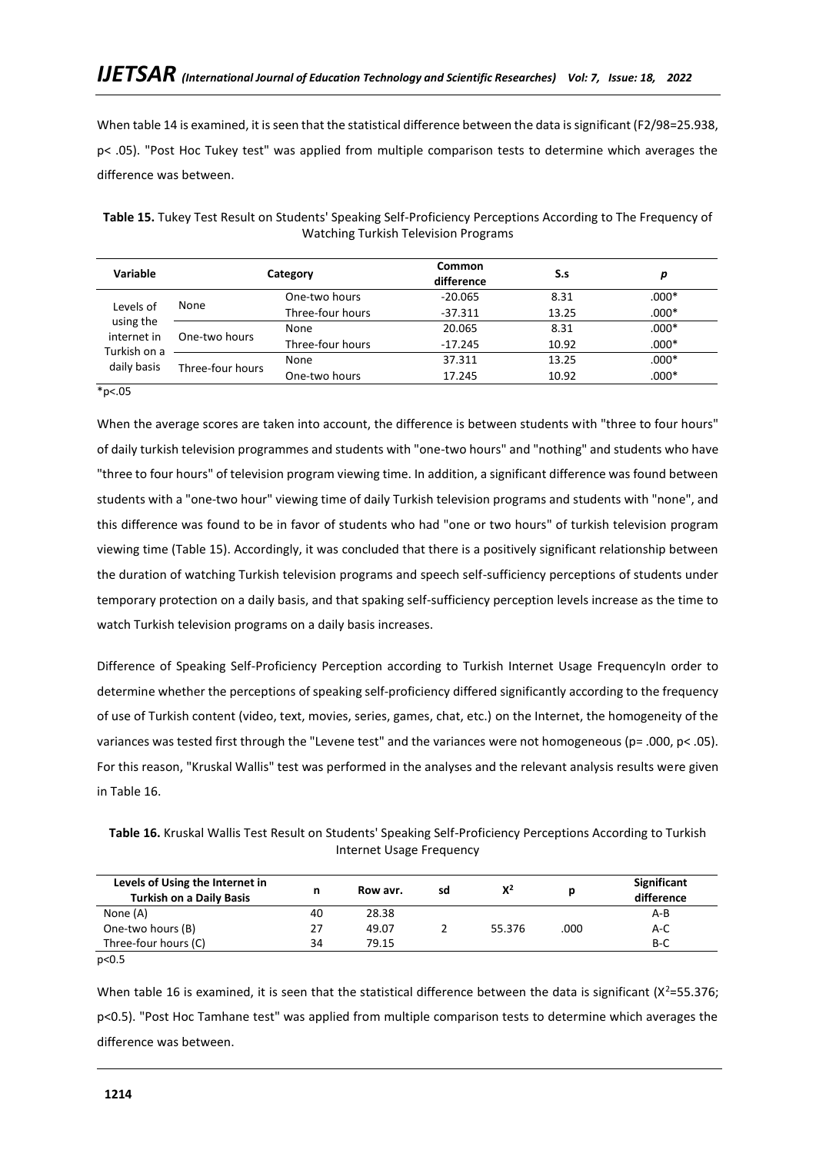When table 14 is examined, it is seen that the statistical difference between the data is significant (F2/98=25.938, p< .05). "Post Hoc Tukey test" was applied from multiple comparison tests to determine which averages the difference was between.

| Variable                                                             |                  | Category         | Common<br>difference | S.s   | р       |
|----------------------------------------------------------------------|------------------|------------------|----------------------|-------|---------|
| Levels of<br>using the<br>internet in<br>Turkish on a<br>daily basis | None             | One-two hours    | $-20.065$            | 8.31  | $.000*$ |
|                                                                      |                  | Three-four hours | $-37.311$            | 13.25 | $.000*$ |
|                                                                      | One-two hours    | None             | 20.065               | 8.31  | $.000*$ |
|                                                                      |                  | Three-four hours | $-17.245$            | 10.92 | $.000*$ |
|                                                                      |                  | None             | 37.311               | 13.25 | $.000*$ |
|                                                                      | Three-four hours | One-two hours    | 17.245               | 10.92 | $.000*$ |

**Table 15.** Tukey Test Result on Students' Speaking Self-Proficiency Perceptions According to The Frequency of Watching Turkish Television Programs

 $*p<.05$ 

When the average scores are taken into account, the difference is between students with "three to four hours" of daily turkish television programmes and students with "one-two hours" and "nothing" and students who have "three to four hours" of television program viewing time. In addition, a significant difference was found between students with a "one-two hour" viewing time of daily Turkish television programs and students with "none", and this difference was found to be in favor of students who had "one or two hours" of turkish television program viewing time (Table 15). Accordingly, it was concluded that there is a positively significant relationship between the duration of watching Turkish television programs and speech self-sufficiency perceptions of students under temporary protection on a daily basis, and that spaking self-sufficiency perception levels increase as the time to watch Turkish television programs on a daily basis increases.

Difference of Speaking Self-Proficiency Perception according to Turkish Internet Usage FrequencyIn order to determine whether the perceptions of speaking self-proficiency differed significantly according to the frequency of use of Turkish content (video, text, movies, series, games, chat, etc.) on the Internet, the homogeneity of the variances was tested first through the "Levene test" and the variances were not homogeneous (p= .000, p< .05). For this reason, "Kruskal Wallis" test was performed in the analyses and the relevant analysis results were given in Table 16.

**Table 16.** Kruskal Wallis Test Result on Students' Speaking Self-Proficiency Perceptions According to Turkish Internet Usage Frequency

| Levels of Using the Internet in<br><b>Turkish on a Daily Basis</b> | n  | Row avr. | sd | $X^2$  |      | Significant<br>difference |
|--------------------------------------------------------------------|----|----------|----|--------|------|---------------------------|
| None (A)                                                           | 40 | 28.38    |    |        |      | A-B                       |
| One-two hours (B)                                                  | 27 | 49.07    |    | 55.376 | .000 | A-C                       |
| Three-four hours (C)                                               | 34 | 79.15    |    |        |      | $B-C$                     |
| $\sim$ $-$                                                         |    |          |    |        |      |                           |

p<0.5

When table 16 is examined, it is seen that the statistical difference between the data is significant ( $X^2$ =55.376; p<0.5). "Post Hoc Tamhane test" was applied from multiple comparison tests to determine which averages the difference was between.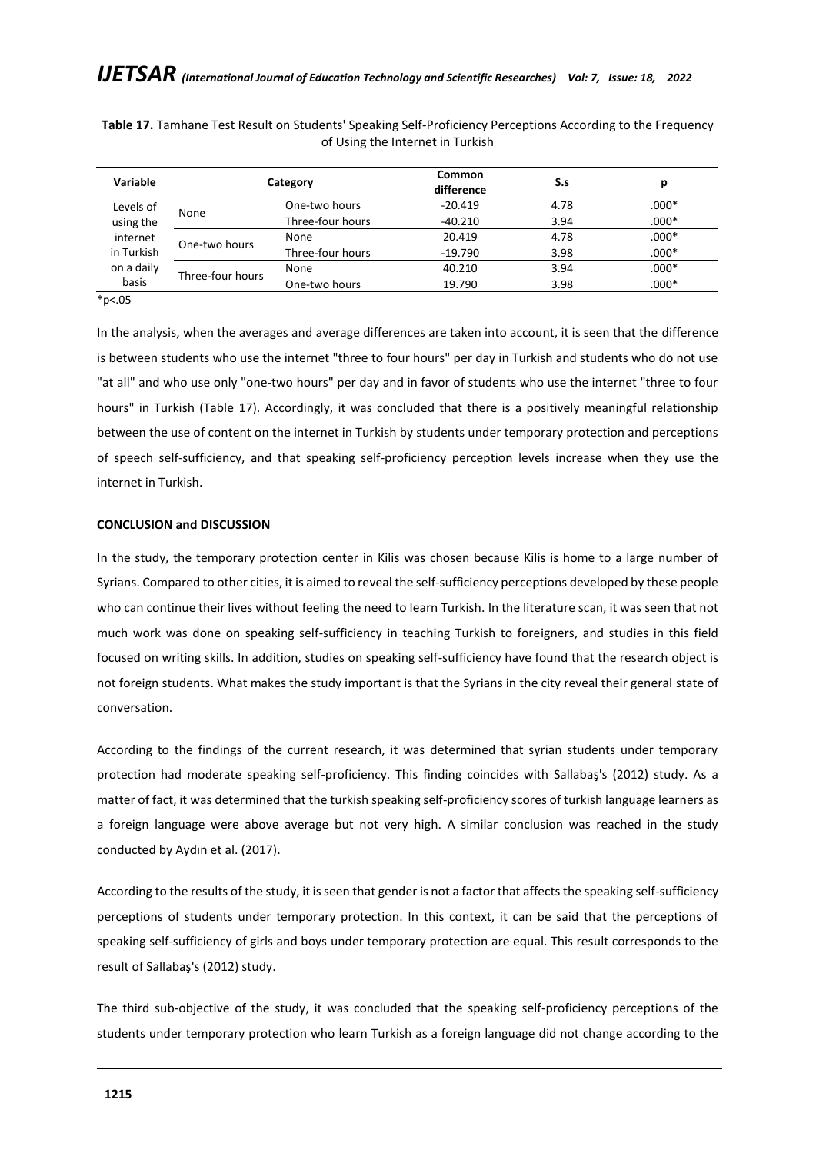| Variable                      |                           | Category         | <b>Common</b><br>difference | S.s  | р       |
|-------------------------------|---------------------------|------------------|-----------------------------|------|---------|
| Levels of                     |                           | One-two hours    | $-20.419$                   | 4.78 | $.000*$ |
| using the                     | None                      | Three-four hours | $-40.210$                   | 3.94 | $.000*$ |
| internet                      |                           | None             | 20.419                      | 4.78 | $.000*$ |
| in Turkish                    | One-two hours             | Three-four hours | $-19.790$                   | 3.98 | $.000*$ |
| on a daily                    | Three-four hours<br>basis | None             | 40.210                      | 3.94 | $.000*$ |
|                               |                           | One-two hours    | 19.790                      | 3.98 | $.000*$ |
| $\mathbf{a}$ and $\mathbf{a}$ |                           |                  |                             |      |         |

**Table 17.** Tamhane Test Result on Students' Speaking Self-Proficiency Perceptions According to the Frequency of Using the Internet in Turkish

 $*p<.05$ 

In the analysis, when the averages and average differences are taken into account, it is seen that the difference is between students who use the internet "three to four hours" per day in Turkish and students who do not use "at all" and who use only "one-two hours" per day and in favor of students who use the internet "three to four hours" in Turkish (Table 17). Accordingly, it was concluded that there is a positively meaningful relationship between the use of content on the internet in Turkish by students under temporary protection and perceptions of speech self-sufficiency, and that speaking self-proficiency perception levels increase when they use the internet in Turkish.

#### **CONCLUSION and DISCUSSION**

In the study, the temporary protection center in Kilis was chosen because Kilis is home to a large number of Syrians. Compared to other cities, it is aimed to reveal the self-sufficiency perceptions developed by these people who can continue their lives without feeling the need to learn Turkish. In the literature scan, it was seen that not much work was done on speaking self-sufficiency in teaching Turkish to foreigners, and studies in this field focused on writing skills. In addition, studies on speaking self-sufficiency have found that the research object is not foreign students. What makes the study important is that the Syrians in the city reveal their general state of conversation.

According to the findings of the current research, it was determined that syrian students under temporary protection had moderate speaking self-proficiency. This finding coincides with Sallabaş's (2012) study. As a matter of fact, it was determined that the turkish speaking self-proficiency scores of turkish language learners as a foreign language were above average but not very high. A similar conclusion was reached in the study conducted by Aydın et al. (2017).

According to the results of the study, it is seen that gender is not a factor that affects the speaking self-sufficiency perceptions of students under temporary protection. In this context, it can be said that the perceptions of speaking self-sufficiency of girls and boys under temporary protection are equal. This result corresponds to the result of Sallabaş's (2012) study.

The third sub-objective of the study, it was concluded that the speaking self-proficiency perceptions of the students under temporary protection who learn Turkish as a foreign language did not change according to the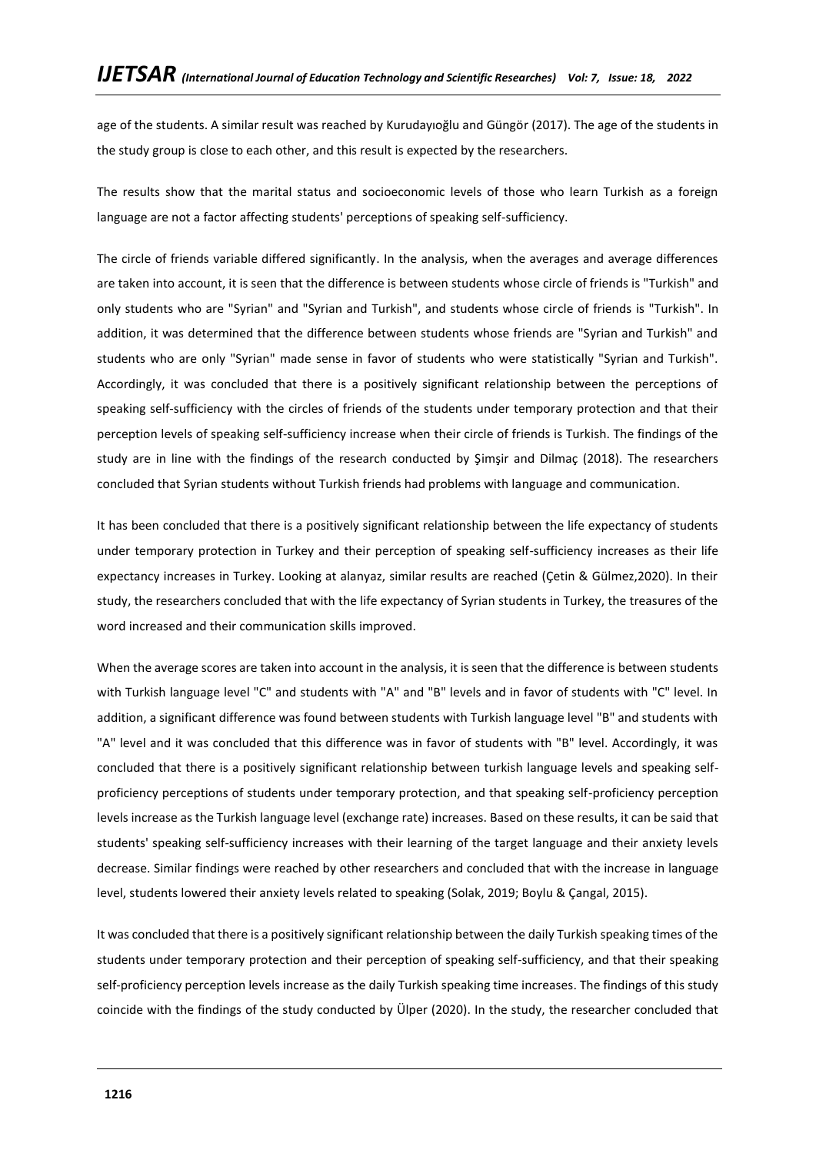age of the students. A similar result was reached by Kurudayıoğlu and Güngör (2017). The age of the students in the study group is close to each other, and this result is expected by the researchers.

The results show that the marital status and socioeconomic levels of those who learn Turkish as a foreign language are not a factor affecting students' perceptions of speaking self-sufficiency.

The circle of friends variable differed significantly. In the analysis, when the averages and average differences are taken into account, it is seen that the difference is between students whose circle of friends is "Turkish" and only students who are "Syrian" and "Syrian and Turkish", and students whose circle of friends is "Turkish". In addition, it was determined that the difference between students whose friends are "Syrian and Turkish" and students who are only "Syrian" made sense in favor of students who were statistically "Syrian and Turkish". Accordingly, it was concluded that there is a positively significant relationship between the perceptions of speaking self-sufficiency with the circles of friends of the students under temporary protection and that their perception levels of speaking self-sufficiency increase when their circle of friends is Turkish. The findings of the study are in line with the findings of the research conducted by Şimşir and Dilmaç (2018). The researchers concluded that Syrian students without Turkish friends had problems with language and communication.

It has been concluded that there is a positively significant relationship between the life expectancy of students under temporary protection in Turkey and their perception of speaking self-sufficiency increases as their life expectancy increases in Turkey. Looking at alanyaz, similar results are reached (Çetin & Gülmez,2020). In their study, the researchers concluded that with the life expectancy of Syrian students in Turkey, the treasures of the word increased and their communication skills improved.

When the average scores are taken into account in the analysis, it is seen that the difference is between students with Turkish language level "C" and students with "A" and "B" levels and in favor of students with "C" level. In addition, a significant difference was found between students with Turkish language level "B" and students with "A" level and it was concluded that this difference was in favor of students with "B" level. Accordingly, it was concluded that there is a positively significant relationship between turkish language levels and speaking selfproficiency perceptions of students under temporary protection, and that speaking self-proficiency perception levels increase as the Turkish language level (exchange rate) increases. Based on these results, it can be said that students' speaking self-sufficiency increases with their learning of the target language and their anxiety levels decrease. Similar findings were reached by other researchers and concluded that with the increase in language level, students lowered their anxiety levels related to speaking (Solak, 2019; Boylu & Çangal, 2015).

It was concluded that there is a positively significant relationship between the daily Turkish speaking times of the students under temporary protection and their perception of speaking self-sufficiency, and that their speaking self-proficiency perception levels increase as the daily Turkish speaking time increases. The findings of this study coincide with the findings of the study conducted by Ülper (2020). In the study, the researcher concluded that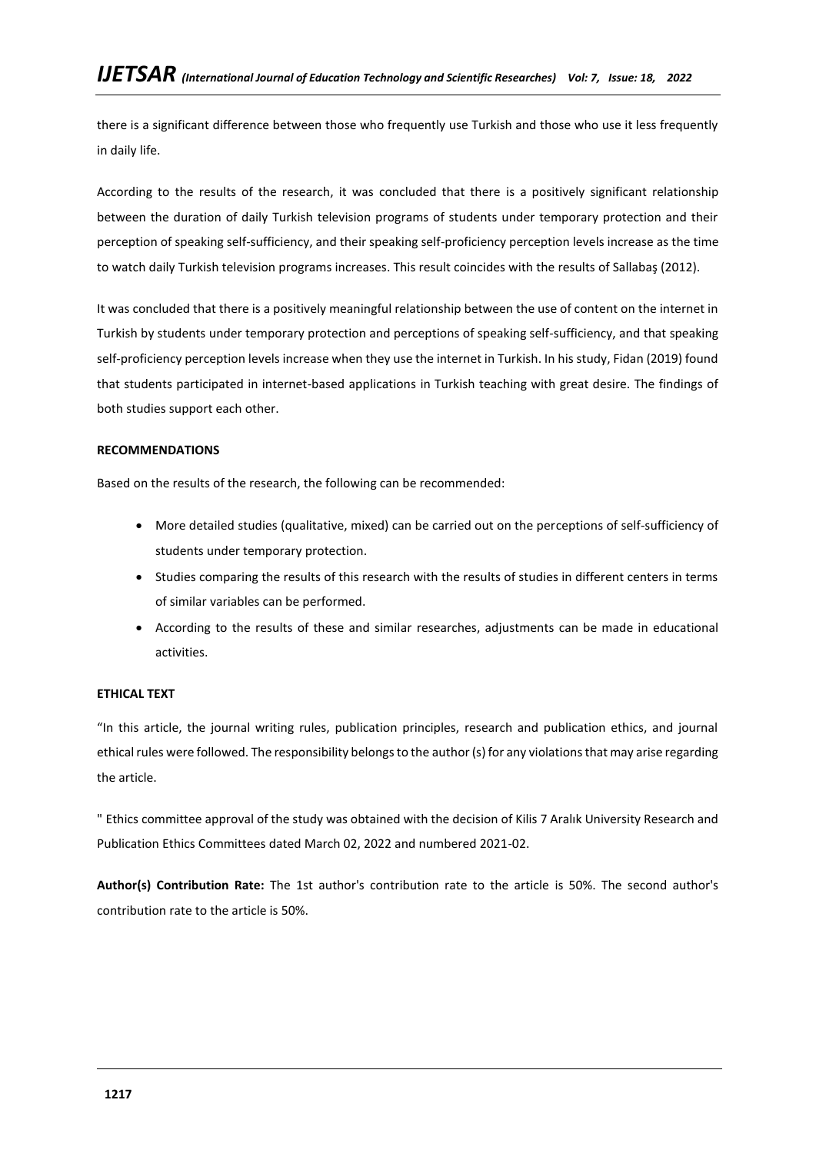there is a significant difference between those who frequently use Turkish and those who use it less frequently in daily life.

According to the results of the research, it was concluded that there is a positively significant relationship between the duration of daily Turkish television programs of students under temporary protection and their perception of speaking self-sufficiency, and their speaking self-proficiency perception levels increase as the time to watch daily Turkish television programs increases. This result coincides with the results of Sallabaş (2012).

It was concluded that there is a positively meaningful relationship between the use of content on the internet in Turkish by students under temporary protection and perceptions of speaking self-sufficiency, and that speaking self-proficiency perception levels increase when they use the internet in Turkish. In his study, Fidan (2019) found that students participated in internet-based applications in Turkish teaching with great desire. The findings of both studies support each other.

# **RECOMMENDATIONS**

Based on the results of the research, the following can be recommended:

- More detailed studies (qualitative, mixed) can be carried out on the perceptions of self-sufficiency of students under temporary protection.
- Studies comparing the results of this research with the results of studies in different centers in terms of similar variables can be performed.
- According to the results of these and similar researches, adjustments can be made in educational activities.

## **ETHICAL TEXT**

"In this article, the journal writing rules, publication principles, research and publication ethics, and journal ethical rules were followed. The responsibility belongs to the author (s) for any violations that may arise regarding the article.

" Ethics committee approval of the study was obtained with the decision of Kilis 7 Aralık University Research and Publication Ethics Committees dated March 02, 2022 and numbered 2021-02.

**Author(s) Contribution Rate:** The 1st author's contribution rate to the article is 50%. The second author's contribution rate to the article is 50%.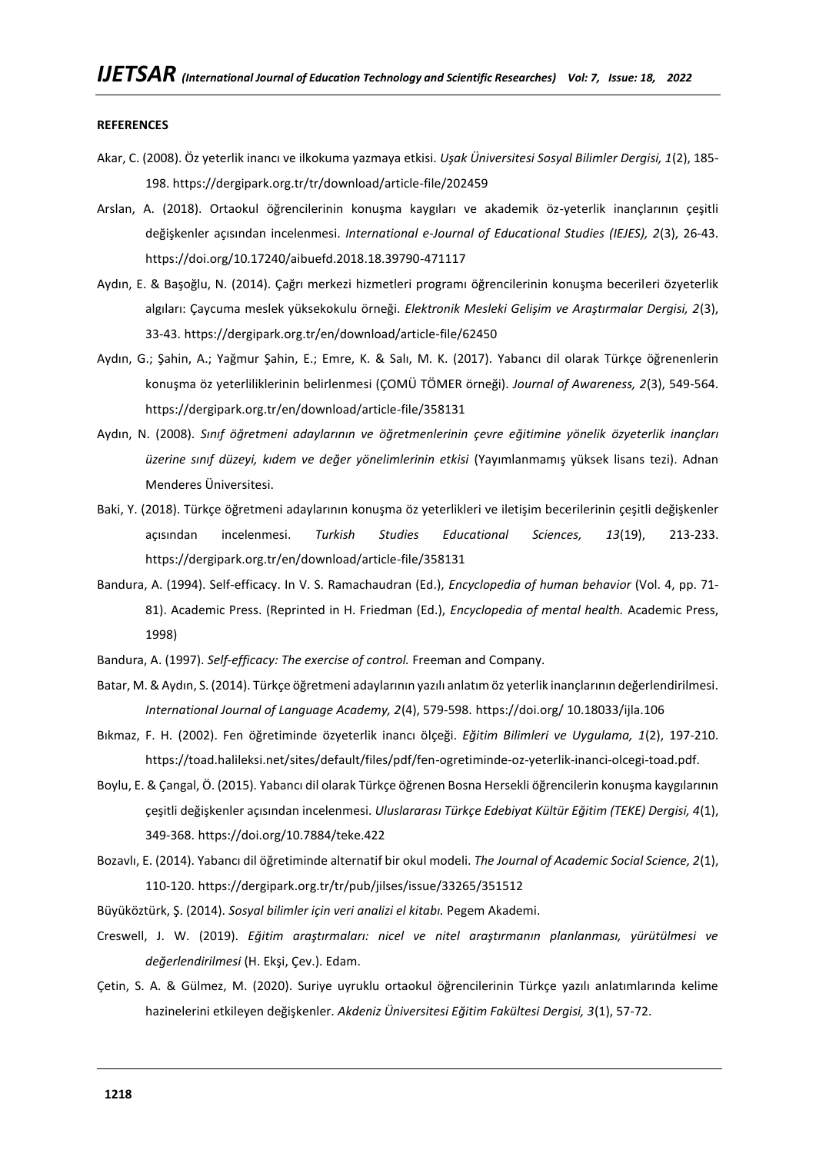#### **REFERENCES**

- Akar, C. (2008). Öz yeterlik inancı ve ilkokuma yazmaya etkisi. *Uşak Üniversitesi Sosyal Bilimler Dergisi, 1*(2), 185- 198. https://dergipark.org.tr/tr/download/article-file/202459
- Arslan, A. (2018). Ortaokul öğrencilerinin konuşma kaygıları ve akademik öz-yeterlik inançlarının çeşitli değişkenler açısından incelenmesi. *International e-Journal of Educational Studies (IEJES), 2*(3), 26-43. <https://doi.org/10.17240/aibuefd.2018.18.39790-471117>
- Aydın, E. & Başoğlu, N. (2014). Çağrı merkezi hizmetleri programı öğrencilerinin konuşma becerileri özyeterlik algıları: Çaycuma meslek yüksekokulu örneği. *Elektronik Mesleki Gelişim ve Araştırmalar Dergisi, 2*(3), 33-43. https://dergipark.org.tr/en/download/article-file/62450
- Aydın, G.; Şahin, A.; Yağmur Şahin, E.; Emre, K. & Salı, M. K. (2017). Yabancı dil olarak Türkçe öğrenenlerin konuşma öz yeterliliklerinin belirlenmesi (ÇOMÜ TÖMER örneği). *Journal of Awareness, 2*(3), 549-564. https://dergipark.org.tr/en/download/article-file/358131
- Aydın, N. (2008). *Sınıf öğretmeni adaylarının ve öğretmenlerinin çevre eğitimine yönelik özyeterlik inançları üzerine sınıf düzeyi, kıdem ve değer yönelimlerinin etkisi* (Yayımlanmamış yüksek lisans tezi). Adnan Menderes Üniversitesi.
- Baki, Y. (2018). Türkçe öğretmeni adaylarının konuşma öz yeterlikleri ve iletişim becerilerinin çeşitli değişkenler açısından incelenmesi. *Turkish Studies Educational Sciences, 13*(19), 213-233. https://dergipark.org.tr/en/download/article-file/358131
- Bandura, A. (1994). Self-efficacy. In V. S. Ramachaudran (Ed.), *Encyclopedia of human behavior* (Vol. 4, pp. 71- 81). Academic Press. (Reprinted in H. Friedman (Ed.), *Encyclopedia of mental health.* Academic Press, 1998)
- Bandura, A. (1997). *Self-efficacy: The exercise of control.* Freeman and Company.
- Batar, M. & Aydın, S. (2014). Türkçe öğretmeni adaylarının yazılı anlatım öz yeterlik inançlarının değerlendirilmesi. *International Journal of Language Academy, 2*(4), 579-598. https://doi.org/ [10.18033/ijla.106](http://dx.doi.org/10.18033/ijla.106)
- Bıkmaz, F. H. (2002). Fen öğretiminde özyeterlik inancı ölçeği. *Eğitim Bilimleri ve Uygulama, 1*(2), 197-210. https://toad.halileksi.net/sites/default/files/pdf/fen-ogretiminde-oz-yeterlik-inanci-olcegi-toad.pdf.
- Boylu, E. & Çangal, Ö. (2015). Yabancı dil olarak Türkçe öğrenen Bosna Hersekli öğrencilerin konuşma kaygılarının çeşitli değişkenler açısından incelenmesi. *Uluslararası Türkçe Edebiyat Kültür Eğitim (TEKE) Dergisi, 4*(1), 349-368. <https://doi.org/10.7884/teke.422>
- Bozavlı, E. (2014). Yabancı dil öğretiminde alternatif bir okul modeli. *The Journal of Academic Social Science, 2*(1), 110-120. https://dergipark.org.tr/tr/pub/jilses/issue/33265/351512
- Büyüköztürk, Ş. (2014). *Sosyal bilimler için veri analizi el kitabı.* Pegem Akademi.
- Creswell, J. W. (2019). *Eğitim araştırmaları: nicel ve nitel araştırmanın planlanması, yürütülmesi ve değerlendirilmesi* (H. Ekşi, Çev.). Edam.
- Çetin, S. A. & Gülmez, M. (2020). Suriye uyruklu ortaokul öğrencilerinin Türkçe yazılı anlatımlarında kelime hazinelerini etkileyen değişkenler. *Akdeniz Üniversitesi Eğitim Fakültesi Dergisi, 3*(1), 57-72.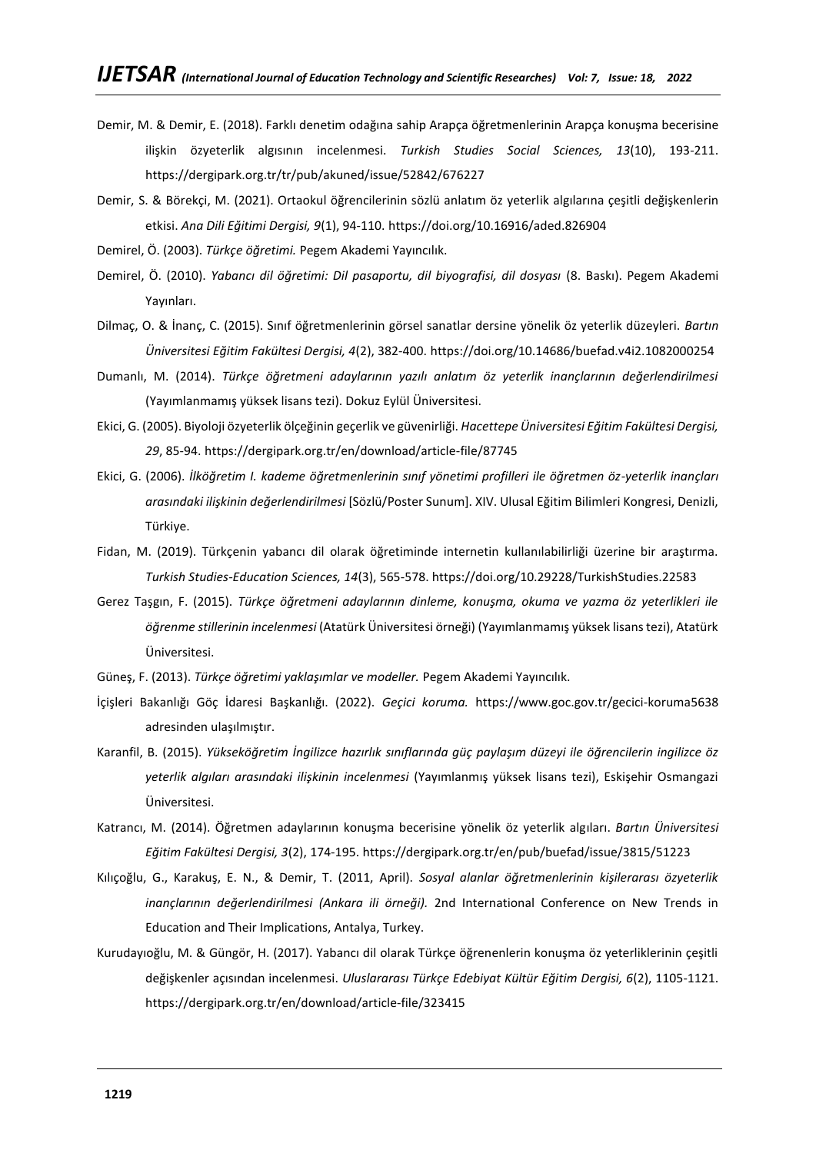- Demir, M. & Demir, E. (2018). Farklı denetim odağına sahip Arapça öğretmenlerinin Arapça konuşma becerisine ilişkin özyeterlik algısının incelenmesi. *Turkish Studies Social Sciences, 13*(10), 193-211. https://dergipark.org.tr/tr/pub/akuned/issue/52842/676227
- Demir, S. & Börekçi, M. (2021). Ortaokul öğrencilerinin sözlü anlatım öz yeterlik algılarına çeşitli değişkenlerin etkisi. *Ana Dili Eğitimi Dergisi, 9*(1), 94-110. <https://doi.org/10.16916/aded.826904>
- Demirel, Ö. (2003). *Türkçe öğretimi.* Pegem Akademi Yayıncılık.
- Demirel, Ö. (2010). *Yabancı dil öğretimi: Dil pasaportu, dil biyografisi, dil dosyası* (8. Baskı). Pegem Akademi Yayınları.
- Dilmaç, O. & İnanç, C. (2015). Sınıf öğretmenlerinin görsel sanatlar dersine yönelik öz yeterlik düzeyleri. *Bartın Üniversitesi Eğitim Fakültesi Dergisi, 4*(2), 382-400. <https://doi.org/10.14686/buefad.v4i2.1082000254>
- Dumanlı, M. (2014). *Türkçe öğretmeni adaylarının yazılı anlatım öz yeterlik inançlarının değerlendirilmesi*  (Yayımlanmamış yüksek lisans tezi). Dokuz Eylül Üniversitesi.
- Ekici, G. (2005). Biyoloji özyeterlik ölçeğinin geçerlik ve güvenirliği. *Hacettepe Üniversitesi Eğitim Fakültesi Dergisi, 29*, 85-94. https://dergipark.org.tr/en/download/article-file/87745
- Ekici, G. (2006). *İlköğretim I. kademe öğretmenlerinin sınıf yönetimi profilleri ile öğretmen öz-yeterlik inançları arasındaki ilişkinin değerlendirilmesi* [Sözlü/Poster Sunum]. XIV. Ulusal Eğitim Bilimleri Kongresi, Denizli, Türkiye.
- Fidan, M. (2019). Türkçenin yabancı dil olarak öğretiminde internetin kullanılabilirliği üzerine bir araştırma. *Turkish Studies-Education Sciences, 14*(3), 565-578[. https://doi.org/10.29228/TurkishStudies.22583](https://doi.org/10.29228/TurkishStudies.22583)
- Gerez Taşgın, F. (2015). *Türkçe öğretmeni adaylarının dinleme, konuşma, okuma ve yazma öz yeterlikleri ile öğrenme stillerinin incelenmesi* (Atatürk Üniversitesi örneği) (Yayımlanmamış yüksek lisans tezi), Atatürk Üniversitesi.
- Güneş, F. (2013). *Türkçe öğretimi yaklaşımlar ve modeller.* Pegem Akademi Yayıncılık.
- İçişleri Bakanlığı Göç İdaresi Başkanlığı. (2022). *Geçici koruma.* <https://www.goc.gov.tr/gecici-koruma5638> adresinden ulaşılmıştır.
- Karanfil, B. (2015). *Yükseköğretim İngilizce hazırlık sınıflarında güç paylaşım düzeyi ile öğrencilerin ingilizce öz yeterlik algıları arasındaki ilişkinin incelenmesi* (Yayımlanmış yüksek lisans tezi), Eskişehir Osmangazi Üniversitesi.
- Katrancı, M. (2014). Öğretmen adaylarının konuşma becerisine yönelik öz yeterlik algıları. *Bartın Üniversitesi Eğitim Fakültesi Dergisi, 3*(2), 174-195. https://dergipark.org.tr/en/pub/buefad/issue/3815/51223
- Kılıçoğlu, G., Karakuş, E. N., & Demir, T. (2011, April). *Sosyal alanlar öğretmenlerinin kişilerarası özyeterlik inançlarının değerlendirilmesi (Ankara ili örneği).* 2nd International Conference on New Trends in Education and Their Implications, Antalya, Turkey.
- Kurudayıoğlu, M. & Güngör, H. (2017). Yabancı dil olarak Türkçe öğrenenlerin konuşma öz yeterliklerinin çeşitli değişkenler açısından incelenmesi. *Uluslararası Türkçe Edebiyat Kültür Eğitim Dergisi, 6*(2), 1105-1121. https://dergipark.org.tr/en/download/article-file/323415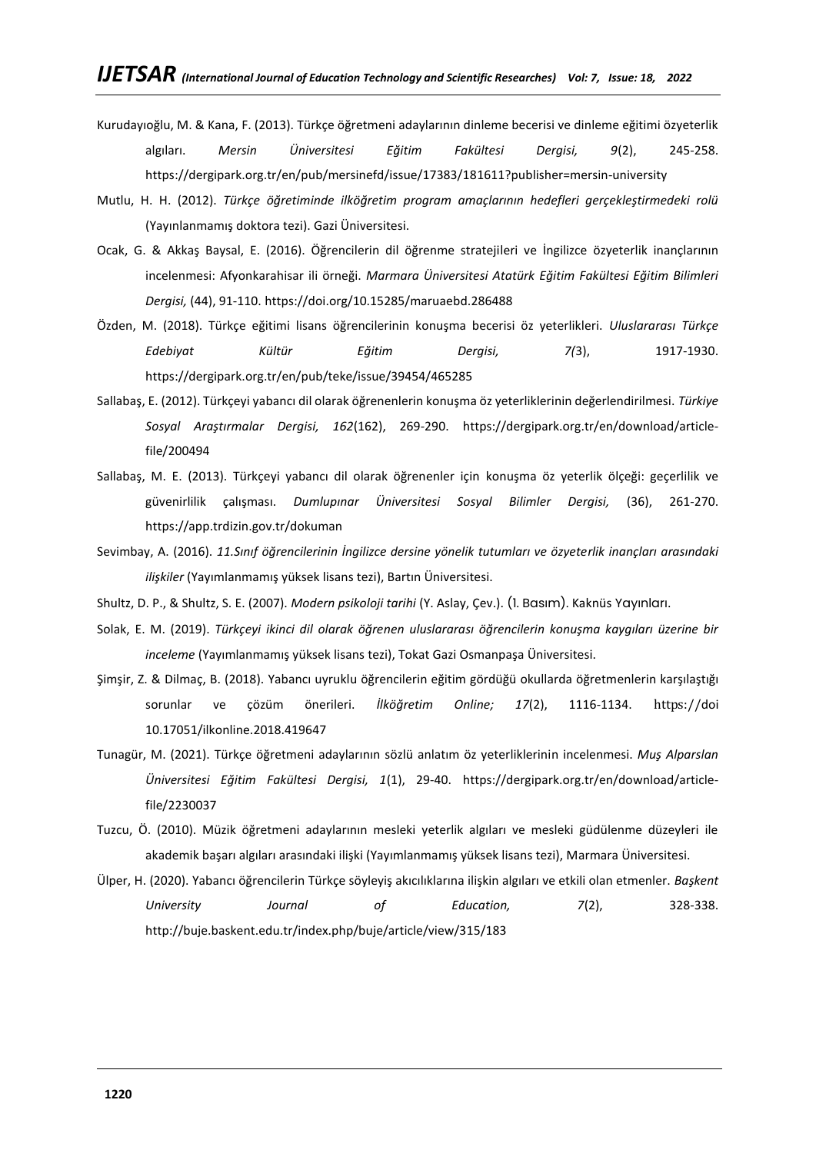- Kurudayıoğlu, M. & Kana, F. (2013). Türkçe öğretmeni adaylarının dinleme becerisi ve dinleme eğitimi özyeterlik algıları. *Mersin Üniversitesi Eğitim Fakültesi Dergisi, 9*(2), 245-258. https://dergipark.org.tr/en/pub/mersinefd/issue/17383/181611?publisher=mersin-university
- Mutlu, H. H. (2012). *Türkçe öğretiminde ilköğretim program amaçlarının hedefleri gerçekleştirmedeki rolü* (Yayınlanmamış doktora tezi). Gazi Üniversitesi.
- Ocak, G. & Akkaş Baysal, E. (2016). Öğrencilerin dil öğrenme stratejileri ve İngilizce özyeterlik inançlarının incelenmesi: Afyonkarahisar ili örneği. *Marmara Üniversitesi Atatürk Eğitim Fakültesi Eğitim Bilimleri Dergisi,* (44), 91-110. <https://doi.org/10.15285/maruaebd.286488>
- Özden, M. (2018). Türkçe eğitimi lisans öğrencilerinin konuşma becerisi öz yeterlikleri. *Uluslararası Türkçe Edebiyat Kültür Eğitim Dergisi, 7(*3), 1917-1930. https://dergipark.org.tr/en/pub/teke/issue/39454/465285
- Sallabaş, E. (2012). Türkçeyi yabancı dil olarak öğrenenlerin konuşma öz yeterliklerinin değerlendirilmesi. *Türkiye Sosyal Araştırmalar Dergisi, 162*(162), 269-290. https://dergipark.org.tr/en/download/articlefile/200494
- Sallabaş, M. E. (2013). Türkçeyi yabancı dil olarak öğrenenler için konuşma öz yeterlik ölçeği: geçerlilik ve güvenirlilik çalışması. *Dumlupınar Üniversitesi Sosyal Bilimler Dergisi,* (36), 261-270. https://app.trdizin.gov.tr/dokuman
- Sevimbay, A. (2016). *11.Sınıf öğrencilerinin İngilizce dersine yönelik tutumları ve özyeterlik inançları arasındaki ilişkiler* (Yayımlanmamış yüksek lisans tezi), Bartın Üniversitesi.
- Shultz, D. P., & Shultz, S. E. (2007). *Modern psikoloji tarihi* (Y. Aslay, Çev.). (1. Basım). Kaknüs Yayınları.
- Solak, E. M. (2019). *Türkçeyi ikinci dil olarak öğrenen uluslararası öğrencilerin konuşma kaygıları üzerine bir inceleme* (Yayımlanmamış yüksek lisans tezi), Tokat Gazi Osmanpaşa Üniversitesi.
- Şimşir, Z. & Dilmaç, B. (2018). Yabancı uyruklu öğrencilerin eğitim gördüğü okullarda öğretmenlerin karşılaştığı sorunlar ve çözüm önerileri. *İlköğretim Online; 17*(2), 1116-1134. https://doi 10.17051/ilkonline.2018.419647
- Tunagür, M. (2021). Türkçe öğretmeni adaylarının sözlü anlatım öz yeterliklerinin incelenmesi. *Muş Alparslan Üniversitesi Eğitim Fakültesi Dergisi, 1*(1), 29-40. https://dergipark.org.tr/en/download/articlefile/2230037
- Tuzcu, Ö. (2010). Müzik öğretmeni adaylarının mesleki yeterlik algıları ve mesleki güdülenme düzeyleri ile akademik başarı algıları arasındaki ilişki (Yayımlanmamış yüksek lisans tezi), Marmara Üniversitesi.
- Ülper, H. (2020). Yabancı öğrencilerin Türkçe söyleyiş akıcılıklarına ilişkin algıları ve etkili olan etmenler. *Başkent University Journal of Education, 7*(2), 328-338. http://buje.baskent.edu.tr/index.php/buje/article/view/315/183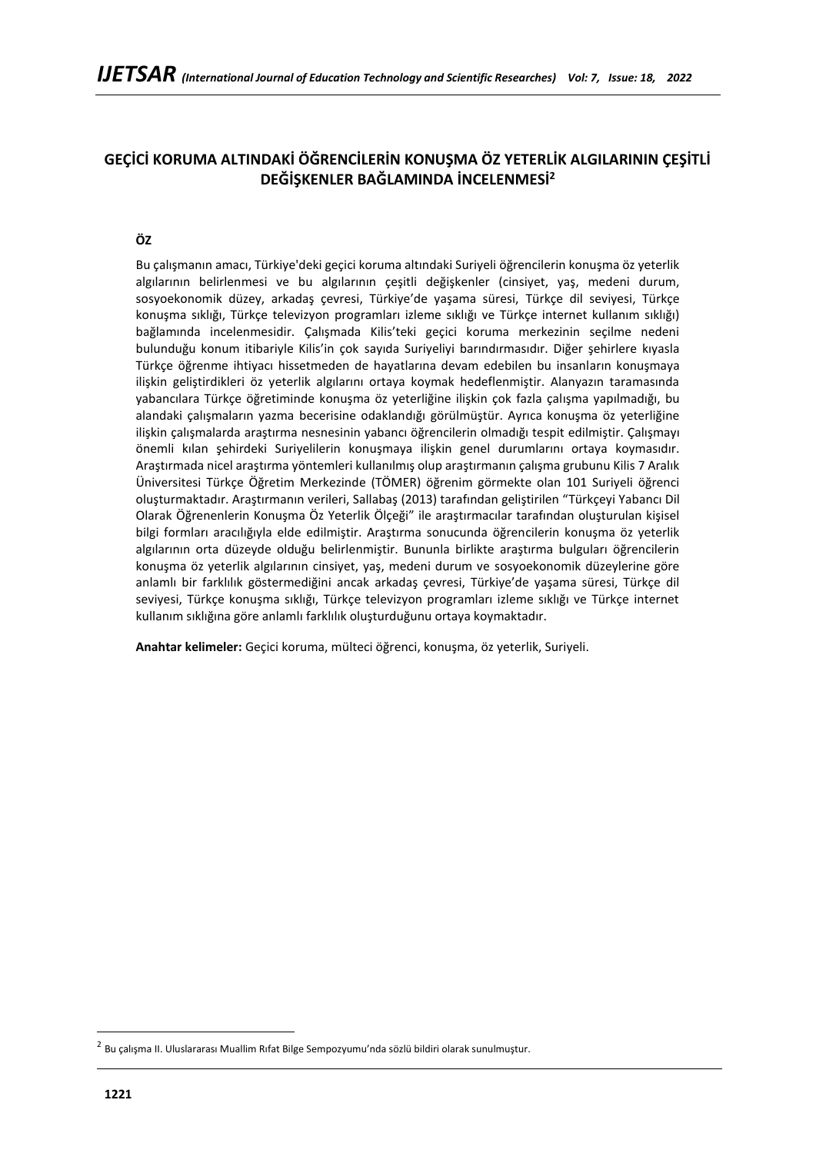# **GEÇİCİ KORUMA ALTINDAKİ ÖĞRENCİLERİN KONUŞMA ÖZ YETERLİK ALGILARININ ÇEŞİTLİ DEĞİŞKENLER BAĞLAMINDA İNCELENMESİ<sup>2</sup>**

# **ÖZ**

Bu çalışmanın amacı, Türkiye'deki geçici koruma altındaki Suriyeli öğrencilerin konuşma öz yeterlik algılarının belirlenmesi ve bu algılarının çeşitli değişkenler (cinsiyet, yaş, medeni durum, sosyoekonomik düzey, arkadaş çevresi, Türkiye'de yaşama süresi, Türkçe dil seviyesi, Türkçe konuşma sıklığı, Türkçe televizyon programları izleme sıklığı ve Türkçe internet kullanım sıklığı) bağlamında incelenmesidir. Çalışmada Kilis'teki geçici koruma merkezinin seçilme nedeni bulunduğu konum itibariyle Kilis'in çok sayıda Suriyeliyi barındırmasıdır. Diğer şehirlere kıyasla Türkçe öğrenme ihtiyacı hissetmeden de hayatlarına devam edebilen bu insanların konuşmaya ilişkin geliştirdikleri öz yeterlik algılarını ortaya koymak hedeflenmiştir. Alanyazın taramasında yabancılara Türkçe öğretiminde konuşma öz yeterliğine ilişkin çok fazla çalışma yapılmadığı, bu alandaki çalışmaların yazma becerisine odaklandığı görülmüştür. Ayrıca konuşma öz yeterliğine ilişkin çalışmalarda araştırma nesnesinin yabancı öğrencilerin olmadığı tespit edilmiştir. Çalışmayı önemli kılan şehirdeki Suriyelilerin konuşmaya ilişkin genel durumlarını ortaya koymasıdır. Araştırmada nicel araştırma yöntemleri kullanılmış olup araştırmanın çalışma grubunu Kilis 7 Aralık Üniversitesi Türkçe Öğretim Merkezinde (TÖMER) öğrenim görmekte olan 101 Suriyeli öğrenci oluşturmaktadır. Araştırmanın verileri, Sallabaş (2013) tarafından geliştirilen "Türkçeyi Yabancı Dil Olarak Öğrenenlerin Konuşma Öz Yeterlik Ölçeği" ile araştırmacılar tarafından oluşturulan kişisel bilgi formları aracılığıyla elde edilmiştir. Araştırma sonucunda öğrencilerin konuşma öz yeterlik algılarının orta düzeyde olduğu belirlenmiştir. Bununla birlikte araştırma bulguları öğrencilerin konuşma öz yeterlik algılarının cinsiyet, yaş, medeni durum ve sosyoekonomik düzeylerine göre anlamlı bir farklılık göstermediğini ancak arkadaş çevresi, Türkiye'de yaşama süresi, Türkçe dil seviyesi, Türkçe konuşma sıklığı, Türkçe televizyon programları izleme sıklığı ve Türkçe internet kullanım sıklığına göre anlamlı farklılık oluşturduğunu ortaya koymaktadır.

**Anahtar kelimeler:** Geçici koruma, mülteci öğrenci, konuşma, öz yeterlik, Suriyeli.

<sup>2</sup> Bu çalışma II. Uluslararası Muallim Rıfat Bilge Sempozyumu'nda sözlü bildiri olarak sunulmuştur.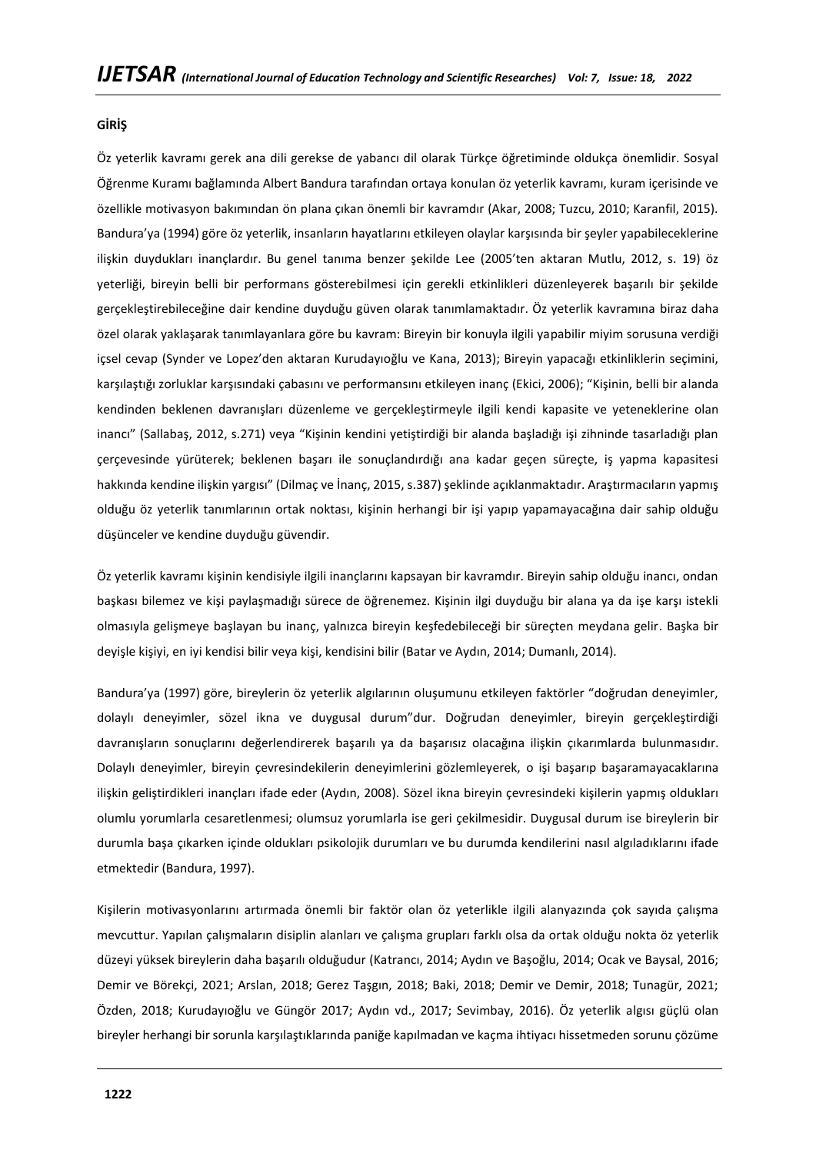## **GİRİŞ**

Öz yeterlik kavramı gerek ana dili gerekse de yabancı dil olarak Türkçe öğretiminde oldukça önemlidir. Sosyal Öğrenme Kuramı bağlamında Albert Bandura tarafından ortaya konulan öz yeterlik kavramı, kuram içerisinde ve özellikle motivasyon bakımından ön plana çıkan önemli bir kavramdır (Akar, 2008; Tuzcu, 2010; Karanfil, 2015). Bandura'ya (1994) göre öz yeterlik, insanların hayatlarını etkileyen olaylar karşısında bir şeyler yapabileceklerine ilişkin duydukları inançlardır. Bu genel tanıma benzer şekilde Lee (2005'ten aktaran Mutlu, 2012, s. 19) öz yeterliği, bireyin belli bir performans gösterebilmesi için gerekli etkinlikleri düzenleyerek başarılı bir şekilde gerçekleştirebileceğine dair kendine duyduğu güven olarak tanımlamaktadır. Öz yeterlik kavramına biraz daha özel olarak yaklaşarak tanımlayanlara göre bu kavram: Bireyin bir konuyla ilgili yapabilir miyim sorusuna verdiği içsel cevap (Synder ve Lopez'den aktaran Kurudayıoğlu ve Kana, 2013); Bireyin yapacağı etkinliklerin seçimini, karşılaştığı zorluklar karşısındaki çabasını ve performansını etkileyen inanç (Ekici, 2006); "Kişinin, belli bir alanda kendinden beklenen davranışları düzenleme ve gerçekleştirmeyle ilgili kendi kapasite ve yeteneklerine olan inancı" (Sallabaş, 2012, s.271) veya "Kişinin kendini yetiştirdiği bir alanda başladığı işi zihninde tasarladığı plan çerçevesinde yürüterek; beklenen başarı ile sonuçlandırdığı ana kadar geçen süreçte, iş yapma kapasitesi hakkında kendine ilişkin yargısı" (Dilmaç ve İnanç, 2015, s.387) şeklinde açıklanmaktadır. Araştırmacıların yapmış olduğu öz yeterlik tanımlarının ortak noktası, kişinin herhangi bir işi yapıp yapamayacağına dair sahip olduğu düşünceler ve kendine duyduğu güvendir.

Öz yeterlik kavramı kişinin kendisiyle ilgili inançlarını kapsayan bir kavramdır. Bireyin sahip olduğu inancı, ondan başkası bilemez ve kişi paylaşmadığı sürece de öğrenemez. Kişinin ilgi duyduğu bir alana ya da işe karşı istekli olmasıyla gelişmeye başlayan bu inanç, yalnızca bireyin keşfedebileceği bir süreçten meydana gelir. Başka bir deyişle kişiyi, en iyi kendisi bilir veya kişi, kendisini bilir (Batar ve Aydın, 2014; Dumanlı, 2014).

Bandura'ya (1997) göre, bireylerin öz yeterlik algılarının oluşumunu etkileyen faktörler "doğrudan deneyimler, dolaylı deneyimler, sözel ikna ve duygusal durum"dur. Doğrudan deneyimler, bireyin gerçekleştirdiği davranışların sonuçlarını değerlendirerek başarılı ya da başarısız olacağına ilişkin çıkarımlarda bulunmasıdır. Dolaylı deneyimler, bireyin çevresindekilerin deneyimlerini gözlemleyerek, o işi başarıp başaramayacaklarına ilişkin geliştirdikleri inançları ifade eder (Aydın, 2008). Sözel ikna bireyin çevresindeki kişilerin yapmış oldukları olumlu yorumlarla cesaretlenmesi; olumsuz yorumlarla ise geri çekilmesidir. Duygusal durum ise bireylerin bir durumla başa çıkarken içinde oldukları psikolojik durumları ve bu durumda kendilerini nasıl algıladıklarını ifade etmektedir (Bandura, 1997).

Kişilerin motivasyonlarını artırmada önemli bir faktör olan öz yeterlikle ilgili alanyazında çok sayıda çalışma mevcuttur. Yapılan çalışmaların disiplin alanları ve çalışma grupları farklı olsa da ortak olduğu nokta öz yeterlik düzeyi yüksek bireylerin daha başarılı olduğudur (Katrancı, 2014; Aydın ve Başoğlu, 2014; Ocak ve Baysal, 2016; Demir ve Börekçi, 2021; Arslan, 2018; Gerez Taşgın, 2018; Baki, 2018; Demir ve Demir, 2018; Tunagür, 2021; Özden, 2018; Kurudayıoğlu ve Güngör 2017; Aydın vd., 2017; Sevimbay, 2016). Öz yeterlik algısı güçlü olan bireyler herhangi bir sorunla karşılaştıklarında paniğe kapılmadan ve kaçma ihtiyacı hissetmeden sorunu çözüme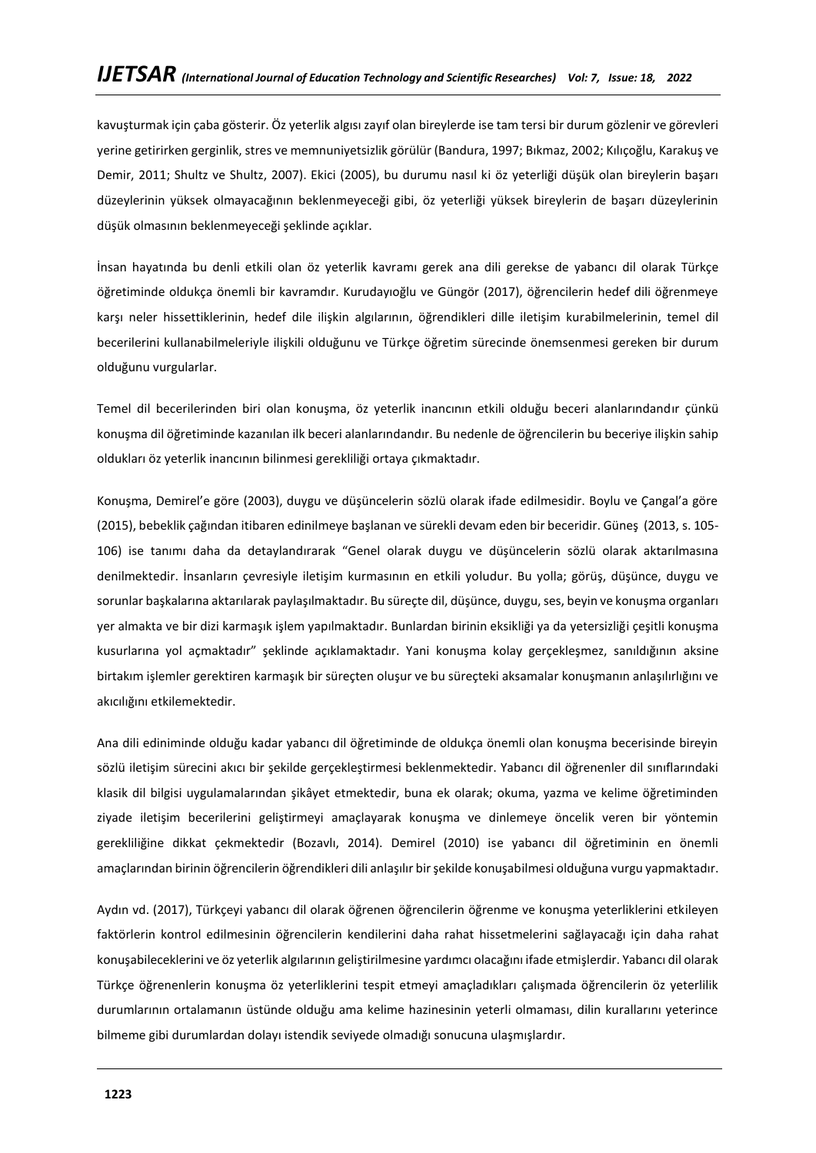kavuşturmak için çaba gösterir. Öz yeterlik algısı zayıf olan bireylerde ise tam tersi bir durum gözlenir ve görevleri yerine getirirken gerginlik, stres ve memnuniyetsizlik görülür (Bandura, 1997; Bıkmaz, 2002; Kılıçoğlu, Karakuş ve Demir, 2011; Shultz ve Shultz, 2007). Ekici (2005), bu durumu nasıl ki öz yeterliği düşük olan bireylerin başarı düzeylerinin yüksek olmayacağının beklenmeyeceği gibi, öz yeterliği yüksek bireylerin de başarı düzeylerinin düşük olmasının beklenmeyeceği şeklinde açıklar.

İnsan hayatında bu denli etkili olan öz yeterlik kavramı gerek ana dili gerekse de yabancı dil olarak Türkçe öğretiminde oldukça önemli bir kavramdır. Kurudayıoğlu ve Güngör (2017), öğrencilerin hedef dili öğrenmeye karşı neler hissettiklerinin, hedef dile ilişkin algılarının, öğrendikleri dille iletişim kurabilmelerinin, temel dil becerilerini kullanabilmeleriyle ilişkili olduğunu ve Türkçe öğretim sürecinde önemsenmesi gereken bir durum olduğunu vurgularlar.

Temel dil becerilerinden biri olan konuşma, öz yeterlik inancının etkili olduğu beceri alanlarındandır çünkü konuşma dil öğretiminde kazanılan ilk beceri alanlarındandır. Bu nedenle de öğrencilerin bu beceriye ilişkin sahip oldukları öz yeterlik inancının bilinmesi gerekliliği ortaya çıkmaktadır.

Konuşma, Demirel'e göre (2003), duygu ve düşüncelerin sözlü olarak ifade edilmesidir. Boylu ve Çangal'a göre (2015), bebeklik çağından itibaren edinilmeye başlanan ve sürekli devam eden bir beceridir. Güneş (2013, s. 105- 106) ise tanımı daha da detaylandırarak "Genel olarak duygu ve düşüncelerin sözlü olarak aktarılmasına denilmektedir. İnsanların çevresiyle iletişim kurmasının en etkili yoludur. Bu yolla; görüş, düşünce, duygu ve sorunlar başkalarına aktarılarak paylaşılmaktadır. Bu süreçte dil, düşünce, duygu, ses, beyin ve konuşma organları yer almakta ve bir dizi karmaşık işlem yapılmaktadır. Bunlardan birinin eksikliği ya da yetersizliği çeşitli konuşma kusurlarına yol açmaktadır" şeklinde açıklamaktadır. Yani konuşma kolay gerçekleşmez, sanıldığının aksine birtakım işlemler gerektiren karmaşık bir süreçten oluşur ve bu süreçteki aksamalar konuşmanın anlaşılırlığını ve akıcılığını etkilemektedir.

Ana dili ediniminde olduğu kadar yabancı dil öğretiminde de oldukça önemli olan konuşma becerisinde bireyin sözlü iletişim sürecini akıcı bir şekilde gerçekleştirmesi beklenmektedir. Yabancı dil öğrenenler dil sınıflarındaki klasik dil bilgisi uygulamalarından şikâyet etmektedir, buna ek olarak; okuma, yazma ve kelime öğretiminden ziyade iletişim becerilerini geliştirmeyi amaçlayarak konuşma ve dinlemeye öncelik veren bir yöntemin gerekliliğine dikkat çekmektedir (Bozavlı, 2014). Demirel (2010) ise yabancı dil öğretiminin en önemli amaçlarından birinin öğrencilerin öğrendikleri dili anlaşılır bir şekilde konuşabilmesi olduğuna vurgu yapmaktadır.

Aydın vd. (2017), Türkçeyi yabancı dil olarak öğrenen öğrencilerin öğrenme ve konuşma yeterliklerini etkileyen faktörlerin kontrol edilmesinin öğrencilerin kendilerini daha rahat hissetmelerini sağlayacağı için daha rahat konuşabileceklerini ve öz yeterlik algılarının geliştirilmesine yardımcı olacağını ifade etmişlerdir. Yabancı dil olarak Türkçe öğrenenlerin konuşma öz yeterliklerini tespit etmeyi amaçladıkları çalışmada öğrencilerin öz yeterlilik durumlarının ortalamanın üstünde olduğu ama kelime hazinesinin yeterli olmaması, dilin kurallarını yeterince bilmeme gibi durumlardan dolayı istendik seviyede olmadığı sonucuna ulaşmışlardır.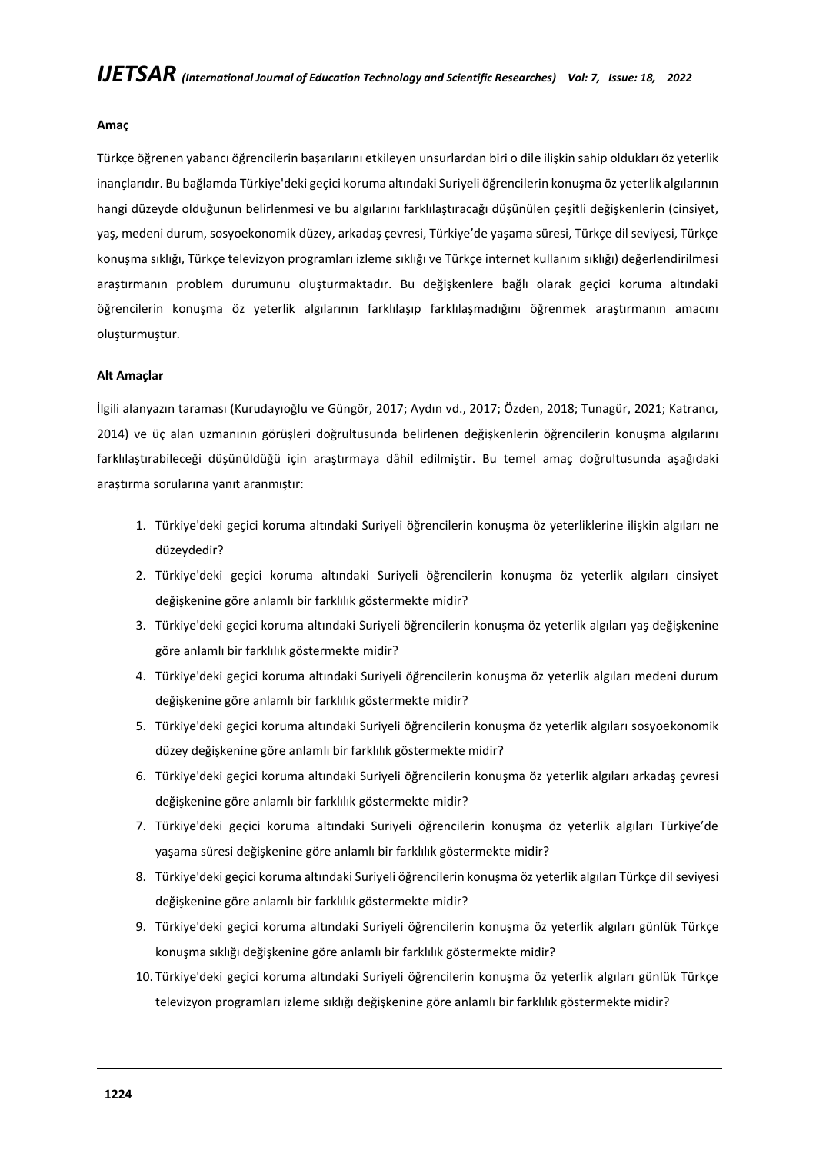#### **Amaç**

Türkçe öğrenen yabancı öğrencilerin başarılarını etkileyen unsurlardan biri o dile ilişkin sahip oldukları öz yeterlik inançlarıdır. Bu bağlamda Türkiye'deki geçici koruma altındaki Suriyeli öğrencilerin konuşma öz yeterlik algılarının hangi düzeyde olduğunun belirlenmesi ve bu algılarını farklılaştıracağı düşünülen çeşitli değişkenlerin (cinsiyet, yaş, medeni durum, sosyoekonomik düzey, arkadaş çevresi, Türkiye'de yaşama süresi, Türkçe dil seviyesi, Türkçe konuşma sıklığı, Türkçe televizyon programları izleme sıklığı ve Türkçe internet kullanım sıklığı) değerlendirilmesi araştırmanın problem durumunu oluşturmaktadır. Bu değişkenlere bağlı olarak geçici koruma altındaki öğrencilerin konuşma öz yeterlik algılarının farklılaşıp farklılaşmadığını öğrenmek araştırmanın amacını oluşturmuştur.

#### **Alt Amaçlar**

İlgili alanyazın taraması (Kurudayıoğlu ve Güngör, 2017; Aydın vd., 2017; Özden, 2018; Tunagür, 2021; Katrancı, 2014) ve üç alan uzmanının görüşleri doğrultusunda belirlenen değişkenlerin öğrencilerin konuşma algılarını farklılaştırabileceği düşünüldüğü için araştırmaya dâhil edilmiştir. Bu temel amaç doğrultusunda aşağıdaki araştırma sorularına yanıt aranmıştır:

- 1. Türkiye'deki geçici koruma altındaki Suriyeli öğrencilerin konuşma öz yeterliklerine ilişkin algıları ne düzeydedir?
- 2. Türkiye'deki geçici koruma altındaki Suriyeli öğrencilerin konuşma öz yeterlik algıları cinsiyet değişkenine göre anlamlı bir farklılık göstermekte midir?
- 3. Türkiye'deki geçici koruma altındaki Suriyeli öğrencilerin konuşma öz yeterlik algıları yaş değişkenine göre anlamlı bir farklılık göstermekte midir?
- 4. Türkiye'deki geçici koruma altındaki Suriyeli öğrencilerin konuşma öz yeterlik algıları medeni durum değişkenine göre anlamlı bir farklılık göstermekte midir?
- 5. Türkiye'deki geçici koruma altındaki Suriyeli öğrencilerin konuşma öz yeterlik algıları sosyoekonomik düzey değişkenine göre anlamlı bir farklılık göstermekte midir?
- 6. Türkiye'deki geçici koruma altındaki Suriyeli öğrencilerin konuşma öz yeterlik algıları arkadaş çevresi değişkenine göre anlamlı bir farklılık göstermekte midir?
- 7. Türkiye'deki geçici koruma altındaki Suriyeli öğrencilerin konuşma öz yeterlik algıları Türkiye'de yaşama süresi değişkenine göre anlamlı bir farklılık göstermekte midir?
- 8. Türkiye'deki geçici koruma altındaki Suriyeli öğrencilerin konuşma öz yeterlik algıları Türkçe dil seviyesi değişkenine göre anlamlı bir farklılık göstermekte midir?
- 9. Türkiye'deki geçici koruma altındaki Suriyeli öğrencilerin konuşma öz yeterlik algıları günlük Türkçe konuşma sıklığı değişkenine göre anlamlı bir farklılık göstermekte midir?
- 10. Türkiye'deki geçici koruma altındaki Suriyeli öğrencilerin konuşma öz yeterlik algıları günlük Türkçe televizyon programları izleme sıklığı değişkenine göre anlamlı bir farklılık göstermekte midir?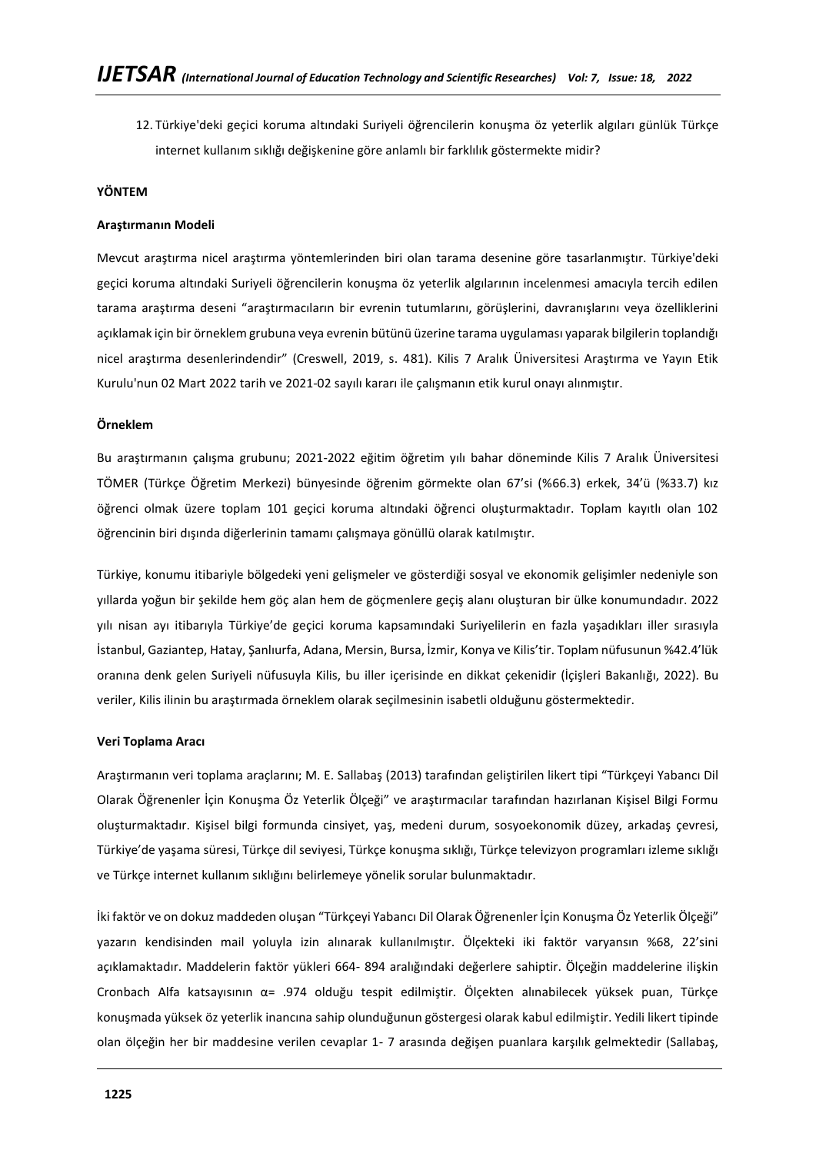12. Türkiye'deki geçici koruma altındaki Suriyeli öğrencilerin konuşma öz yeterlik algıları günlük Türkçe internet kullanım sıklığı değişkenine göre anlamlı bir farklılık göstermekte midir?

#### **YÖNTEM**

#### **Araştırmanın Modeli**

Mevcut araştırma nicel araştırma yöntemlerinden biri olan tarama desenine göre tasarlanmıştır. Türkiye'deki geçici koruma altındaki Suriyeli öğrencilerin konuşma öz yeterlik algılarının incelenmesi amacıyla tercih edilen tarama araştırma deseni "araştırmacıların bir evrenin tutumlarını, görüşlerini, davranışlarını veya özelliklerini açıklamak için bir örneklem grubuna veya evrenin bütünü üzerine tarama uygulaması yaparak bilgilerin toplandığı nicel araştırma desenlerindendir" (Creswell, 2019, s. 481). Kilis 7 Aralık Üniversitesi Araştırma ve Yayın Etik Kurulu'nun 02 Mart 2022 tarih ve 2021-02 sayılı kararı ile çalışmanın etik kurul onayı alınmıştır.

#### **Örneklem**

Bu araştırmanın çalışma grubunu; 2021-2022 eğitim öğretim yılı bahar döneminde Kilis 7 Aralık Üniversitesi TÖMER (Türkçe Öğretim Merkezi) bünyesinde öğrenim görmekte olan 67'si (%66.3) erkek, 34'ü (%33.7) kız öğrenci olmak üzere toplam 101 geçici koruma altındaki öğrenci oluşturmaktadır. Toplam kayıtlı olan 102 öğrencinin biri dışında diğerlerinin tamamı çalışmaya gönüllü olarak katılmıştır.

Türkiye, konumu itibariyle bölgedeki yeni gelişmeler ve gösterdiği sosyal ve ekonomik gelişimler nedeniyle son yıllarda yoğun bir şekilde hem göç alan hem de göçmenlere geçiş alanı oluşturan bir ülke konumundadır. 2022 yılı nisan ayı itibarıyla Türkiye'de geçici koruma kapsamındaki Suriyelilerin en fazla yaşadıkları iller sırasıyla İstanbul, Gaziantep, Hatay, Şanlıurfa, Adana, Mersin, Bursa, İzmir, Konya ve Kilis'tir. Toplam nüfusunun %42.4'lük oranına denk gelen Suriyeli nüfusuyla Kilis, bu iller içerisinde en dikkat çekenidir (İçişleri Bakanlığı, 2022). Bu veriler, Kilis ilinin bu araştırmada örneklem olarak seçilmesinin isabetli olduğunu göstermektedir.

#### **Veri Toplama Aracı**

Araştırmanın veri toplama araçlarını; M. E. Sallabaş (2013) tarafından geliştirilen likert tipi "Türkçeyi Yabancı Dil Olarak Öğrenenler İçin Konuşma Öz Yeterlik Ölçeği" ve araştırmacılar tarafından hazırlanan Kişisel Bilgi Formu oluşturmaktadır. Kişisel bilgi formunda cinsiyet, yaş, medeni durum, sosyoekonomik düzey, arkadaş çevresi, Türkiye'de yaşama süresi, Türkçe dil seviyesi, Türkçe konuşma sıklığı, Türkçe televizyon programları izleme sıklığı ve Türkçe internet kullanım sıklığını belirlemeye yönelik sorular bulunmaktadır.

İki faktör ve on dokuz maddeden oluşan "Türkçeyi Yabancı Dil Olarak Öğrenenler İçin Konuşma Öz Yeterlik Ölçeği" yazarın kendisinden mail yoluyla izin alınarak kullanılmıştır. Ölçekteki iki faktör varyansın %68, 22'sini açıklamaktadır. Maddelerin faktör yükleri 664- 894 aralığındaki değerlere sahiptir. Ölçeğin maddelerine ilişkin Cronbach Alfa katsayısının α= .974 olduğu tespit edilmiştir. Ölçekten alınabilecek yüksek puan, Türkçe konuşmada yüksek öz yeterlik inancına sahip olunduğunun göstergesi olarak kabul edilmiştir. Yedili likert tipinde olan ölçeğin her bir maddesine verilen cevaplar 1- 7 arasında değişen puanlara karşılık gelmektedir (Sallabaş,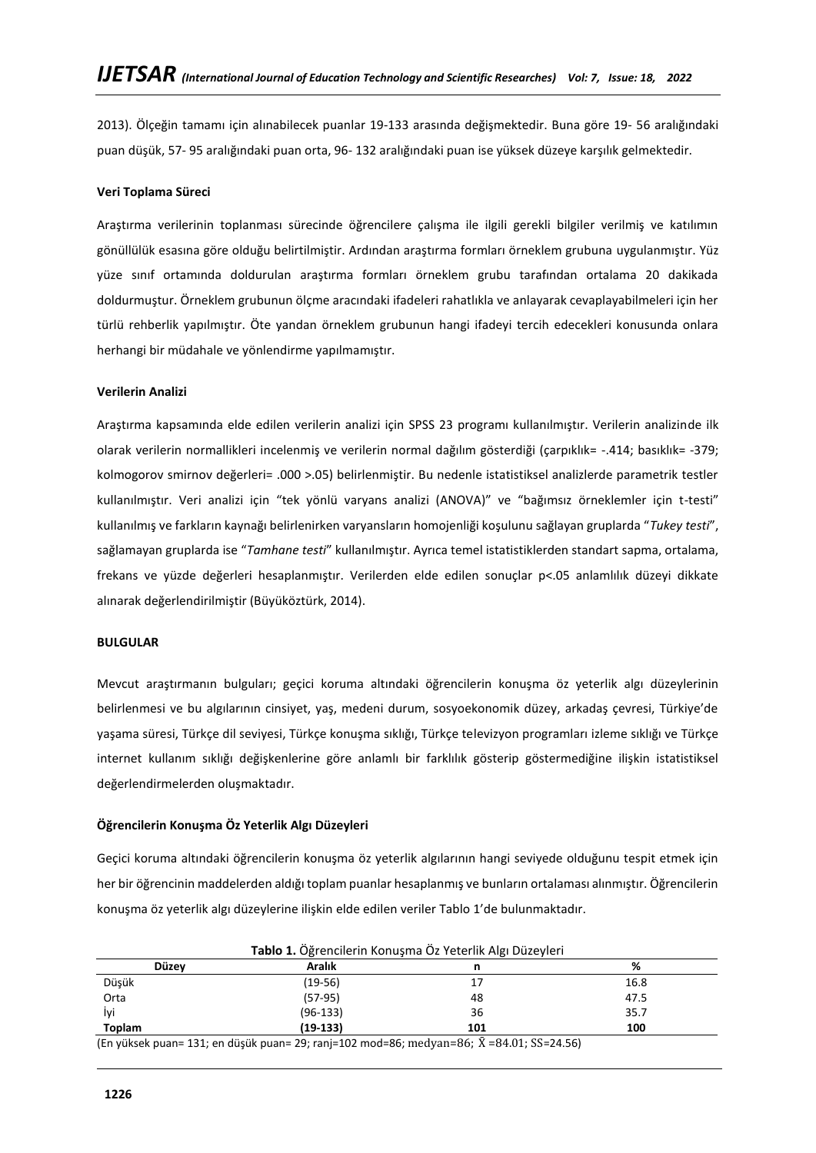2013). Ölçeğin tamamı için alınabilecek puanlar 19-133 arasında değişmektedir. Buna göre 19- 56 aralığındaki puan düşük, 57- 95 aralığındaki puan orta, 96- 132 aralığındaki puan ise yüksek düzeye karşılık gelmektedir.

## **Veri Toplama Süreci**

Araştırma verilerinin toplanması sürecinde öğrencilere çalışma ile ilgili gerekli bilgiler verilmiş ve katılımın gönüllülük esasına göre olduğu belirtilmiştir. Ardından araştırma formları örneklem grubuna uygulanmıştır. Yüz yüze sınıf ortamında doldurulan araştırma formları örneklem grubu tarafından ortalama 20 dakikada doldurmuştur. Örneklem grubunun ölçme aracındaki ifadeleri rahatlıkla ve anlayarak cevaplayabilmeleri için her türlü rehberlik yapılmıştır. Öte yandan örneklem grubunun hangi ifadeyi tercih edecekleri konusunda onlara herhangi bir müdahale ve yönlendirme yapılmamıştır.

#### **Verilerin Analizi**

Araştırma kapsamında elde edilen verilerin analizi için SPSS 23 programı kullanılmıştır. Verilerin analizinde ilk olarak verilerin normallikleri incelenmiş ve verilerin normal dağılım gösterdiği (çarpıklık= -.414; basıklık= -379; kolmogorov smirnov değerleri= .000 >.05) belirlenmiştir. Bu nedenle istatistiksel analizlerde parametrik testler kullanılmıştır. Veri analizi için "tek yönlü varyans analizi (ANOVA)" ve "bağımsız örneklemler için t-testi" kullanılmış ve farkların kaynağı belirlenirken varyansların homojenliği koşulunu sağlayan gruplarda "*Tukey testi*", sağlamayan gruplarda ise "*Tamhane testi*" kullanılmıştır. Ayrıca temel istatistiklerden standart sapma, ortalama, frekans ve yüzde değerleri hesaplanmıştır. Verilerden elde edilen sonuçlar p<.05 anlamlılık düzeyi dikkate alınarak değerlendirilmiştir (Büyüköztürk, 2014).

#### **BULGULAR**

Mevcut araştırmanın bulguları; geçici koruma altındaki öğrencilerin konuşma öz yeterlik algı düzeylerinin belirlenmesi ve bu algılarının cinsiyet, yaş, medeni durum, sosyoekonomik düzey, arkadaş çevresi, Türkiye'de yaşama süresi, Türkçe dil seviyesi, Türkçe konuşma sıklığı, Türkçe televizyon programları izleme sıklığı ve Türkçe internet kullanım sıklığı değişkenlerine göre anlamlı bir farklılık gösterip göstermediğine ilişkin istatistiksel değerlendirmelerden oluşmaktadır.

## **Öğrencilerin Konuşma Öz Yeterlik Algı Düzeyleri**

Geçici koruma altındaki öğrencilerin konuşma öz yeterlik algılarının hangi seviyede olduğunu tespit etmek için her bir öğrencinin maddelerden aldığı toplam puanlar hesaplanmış ve bunların ortalaması alınmıştır. Öğrencilerin konuşma öz yeterlik algı düzeylerine ilişkin elde edilen veriler Tablo 1'de bulunmaktadır.

| <b>Düzev</b> | Aralık     |     | %    |
|--------------|------------|-----|------|
| Düşük        | $(19-56)$  | 17  | 16.8 |
| Orta         | $(57-95)$  | 48  | 47.5 |
| İvi          | $(96-133)$ | 36  | 35.7 |
| Toplam       | $(19-133)$ | 101 | 100  |

**Tablo 1.** Öğrencilerin Konuşma Öz Yeterlik Algı Düzeyleri

(En yüksek puan= 131; en düşük puan= 29; ranj=102 mod=86; medyan=86;  $\bar{X}$  =84.01; SS=24.56)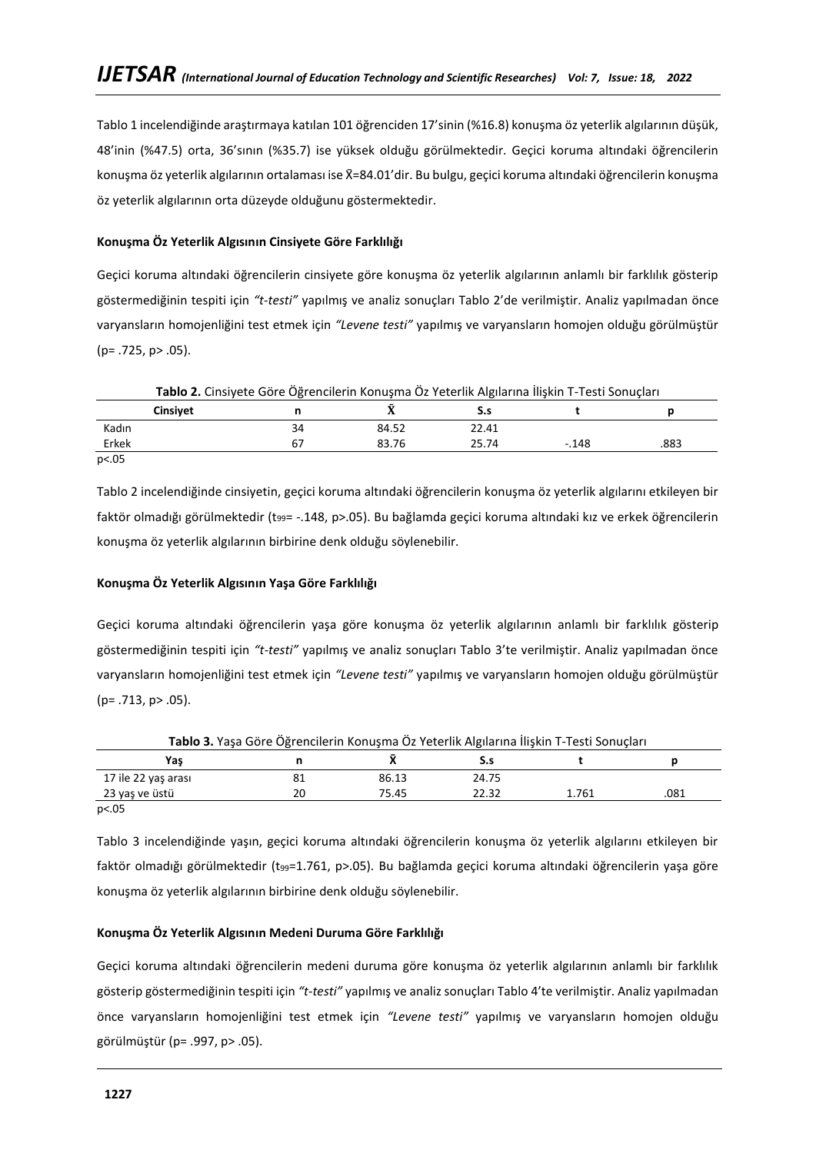Tablo 1 incelendiğinde araştırmaya katılan 101 öğrenciden 17'sinin (%16.8) konuşma öz yeterlik algılarının düşük, 48'inin (%47.5) orta, 36'sının (%35.7) ise yüksek olduğu görülmektedir. Geçici koruma altındaki öğrencilerin konuşma öz yeterlik algılarının ortalaması ise X̄=84.01'dir. Bu bulgu, geçici koruma altındaki öğrencilerin konuşma öz yeterlik algılarının orta düzeyde olduğunu göstermektedir.

## **Konuşma Öz Yeterlik Algısının Cinsiyete Göre Farklılığı**

Geçici koruma altındaki öğrencilerin cinsiyete göre konuşma öz yeterlik algılarının anlamlı bir farklılık gösterip göstermediğinin tespiti için *"t-testi"* yapılmış ve analiz sonuçları Tablo 2'de verilmiştir. Analiz yapılmadan önce varyansların homojenliğini test etmek için *"Levene testi"* yapılmış ve varyansların homojen olduğu görülmüştür (p= .725, p> .05).

| Tablo 2. Cinsiyete Göre Öğrencilerin Konuşma Öz Yeterlik Algılarına İlişkin T-Testi Sonuçları |    |       |       |         |      |  |
|-----------------------------------------------------------------------------------------------|----|-------|-------|---------|------|--|
| <b>Cinsivet</b>                                                                               |    |       |       |         |      |  |
| Kadın                                                                                         | 34 | 84.52 | 22.41 |         |      |  |
| Erkek                                                                                         | 67 | 83.76 | 25.74 | $-.148$ | .883 |  |
| p<.05                                                                                         |    |       |       |         |      |  |

Tablo 2 incelendiğinde cinsiyetin, geçici koruma altındaki öğrencilerin konuşma öz yeterlik algılarını etkileyen bir faktör olmadığı görülmektedir (t99= -.148, p>.05). Bu bağlamda geçici koruma altındaki kız ve erkek öğrencilerin konuşma öz yeterlik algılarının birbirine denk olduğu söylenebilir.

## **Konuşma Öz Yeterlik Algısının Yaşa Göre Farklılığı**

Geçici koruma altındaki öğrencilerin yaşa göre konuşma öz yeterlik algılarının anlamlı bir farklılık gösterip göstermediğinin tespiti için *"t-testi"* yapılmış ve analiz sonuçları Tablo 3'te verilmiştir. Analiz yapılmadan önce varyansların homojenliğini test etmek için *"Levene testi"* yapılmış ve varyansların homojen olduğu görülmüştür  $(p = .713, p > .05)$ .

| Tablo 3. Yaşa Göre Öğrencilerin Konuşma Öz Yeterlik Algılarına İlişkin T-Testi Sonuçları |    |       |       |       |      |  |
|------------------------------------------------------------------------------------------|----|-------|-------|-------|------|--|
| Yas                                                                                      |    |       |       |       |      |  |
| 17 ile 22 yas arası                                                                      | 81 | 86.13 | 24.75 |       |      |  |
| 23 yaş ve üstü                                                                           | 20 | 75.45 | 22.32 | 1.761 | .081 |  |
| $\sim$ $\sim$ $\sim$ $\sim$                                                              |    |       |       |       |      |  |

p<.05

Tablo 3 incelendiğinde yaşın, geçici koruma altındaki öğrencilerin konuşma öz yeterlik algılarını etkileyen bir faktör olmadığı görülmektedir (t99=1.761, p>.05). Bu bağlamda geçici koruma altındaki öğrencilerin yaşa göre konuşma öz yeterlik algılarının birbirine denk olduğu söylenebilir.

# **Konuşma Öz Yeterlik Algısının Medeni Duruma Göre Farklılığı**

Geçici koruma altındaki öğrencilerin medeni duruma göre konuşma öz yeterlik algılarının anlamlı bir farklılık gösterip göstermediğinin tespiti için *"t-testi"* yapılmış ve analiz sonuçları Tablo 4'te verilmiştir. Analiz yapılmadan önce varyansların homojenliğini test etmek için *"Levene testi"* yapılmış ve varyansların homojen olduğu görülmüştür (p= .997, p> .05).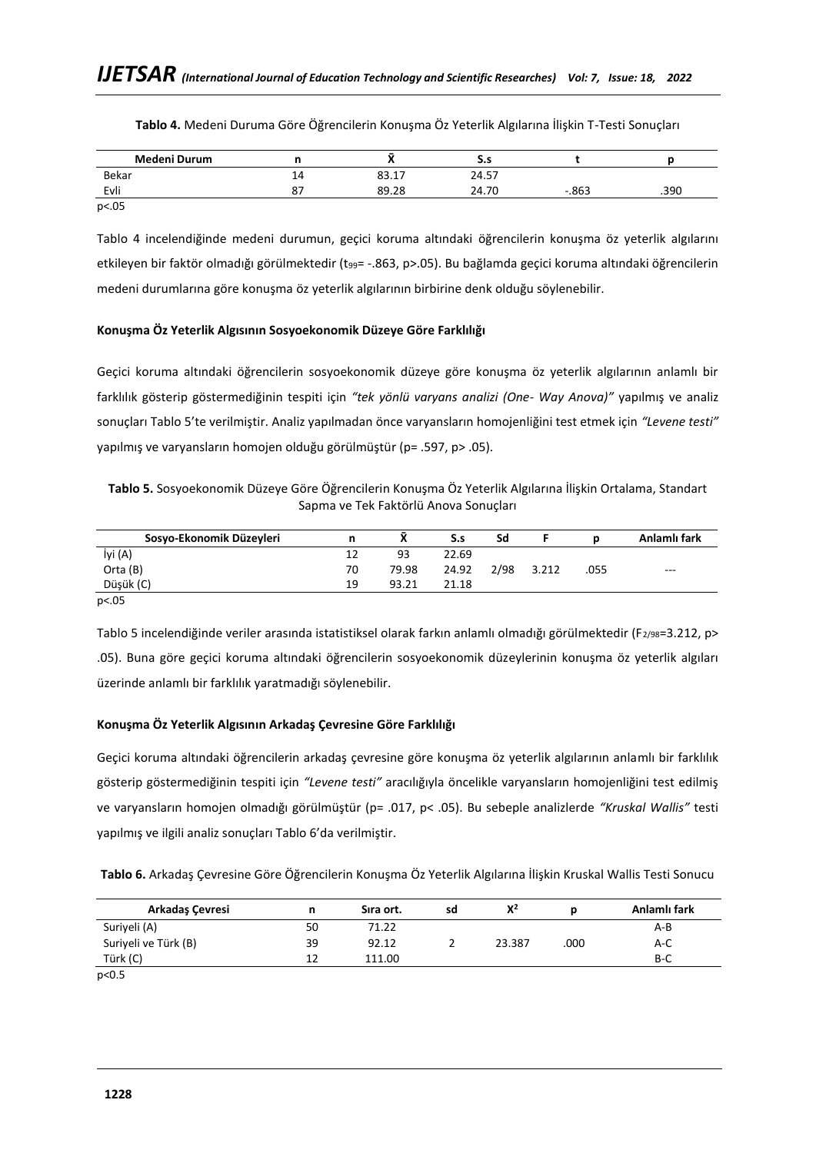| Medeni Durum | n  |       | S.s   |         |      |
|--------------|----|-------|-------|---------|------|
| Bekar        | 14 | 83.17 | 24.57 |         |      |
| Evli         | 87 | 89.28 | 24.70 | $-.863$ | .390 |
| p<.05        |    |       |       |         |      |

**Tablo 4.** Medeni Duruma Göre Öğrencilerin Konuşma Öz Yeterlik Algılarına İlişkin T-Testi Sonuçları

Tablo 4 incelendiğinde medeni durumun, geçici koruma altındaki öğrencilerin konuşma öz yeterlik algılarını etkileyen bir faktör olmadığı görülmektedir (t99= -.863, p>.05). Bu bağlamda geçici koruma altındaki öğrencilerin medeni durumlarına göre konuşma öz yeterlik algılarının birbirine denk olduğu söylenebilir.

## **Konuşma Öz Yeterlik Algısının Sosyoekonomik Düzeye Göre Farklılığı**

Geçici koruma altındaki öğrencilerin sosyoekonomik düzeye göre konuşma öz yeterlik algılarının anlamlı bir farklılık gösterip göstermediğinin tespiti için *"tek yönlü varyans analizi (One- Way Anova)"* yapılmış ve analiz sonuçları Tablo 5'te verilmiştir. Analiz yapılmadan önce varyansların homojenliğini test etmek için *"Levene testi"* yapılmış ve varyansların homojen olduğu görülmüştür (p= .597, p> .05).

| Tablo 5. Sosyoekonomik Düzeye Göre Öğrencilerin Konuşma Öz Yeterlik Algılarına İlişkin Ortalama, Standart |  |
|-----------------------------------------------------------------------------------------------------------|--|
| Sapma ve Tek Faktörlü Anova Sonuçları                                                                     |  |

| Sosyo-Ekonomik Düzeyleri |    |       | S.s   | Sd   |       |      | Anlamlı fark |
|--------------------------|----|-------|-------|------|-------|------|--------------|
| İyi (A)                  | ∸  | 93    | 22.69 |      |       |      |              |
| Orta (B)                 | 70 | 79.98 | 24.92 | 2/98 | 3.212 | .055 | $- - -$      |
| Düşük (C)                | 19 | 93.21 | 21.18 |      |       |      |              |
| $\sim$ $\sim$ $\sim$     |    |       |       |      |       |      |              |

p<.05

Tablo 5 incelendiğinde veriler arasında istatistiksel olarak farkın anlamlı olmadığı görülmektedir (F<sub>2/98</sub>=3.212, p> .05). Buna göre geçici koruma altındaki öğrencilerin sosyoekonomik düzeylerinin konuşma öz yeterlik algıları üzerinde anlamlı bir farklılık yaratmadığı söylenebilir.

# **Konuşma Öz Yeterlik Algısının Arkadaş Çevresine Göre Farklılığı**

Geçici koruma altındaki öğrencilerin arkadaş çevresine göre konuşma öz yeterlik algılarının anlamlı bir farklılık gösterip göstermediğinin tespiti için *"Levene testi"* aracılığıyla öncelikle varyansların homojenliğini test edilmiş ve varyansların homojen olmadığı görülmüştür (p= .017, p< .05). Bu sebeple analizlerde *"Kruskal Wallis"* testi yapılmış ve ilgili analiz sonuçları Tablo 6'da verilmiştir.

**Tablo 6.** Arkadaş Çevresine Göre Öğrencilerin Konuşma Öz Yeterlik Algılarına İlişkin Kruskal Wallis Testi Sonucu

| Arkadaş Çevresi      | n  | Sira ort. | sd | $X^2$  |      | Anlamlı fark |
|----------------------|----|-----------|----|--------|------|--------------|
| Suriyeli (A)         | 50 | 71.22     |    |        |      | A-B          |
| Suriyeli ve Türk (B) | 39 | 92.12     |    | 23.387 | .000 | A-C          |
| Türk (C)             | 12 | 111.00    |    |        |      | B-C          |

p<0.5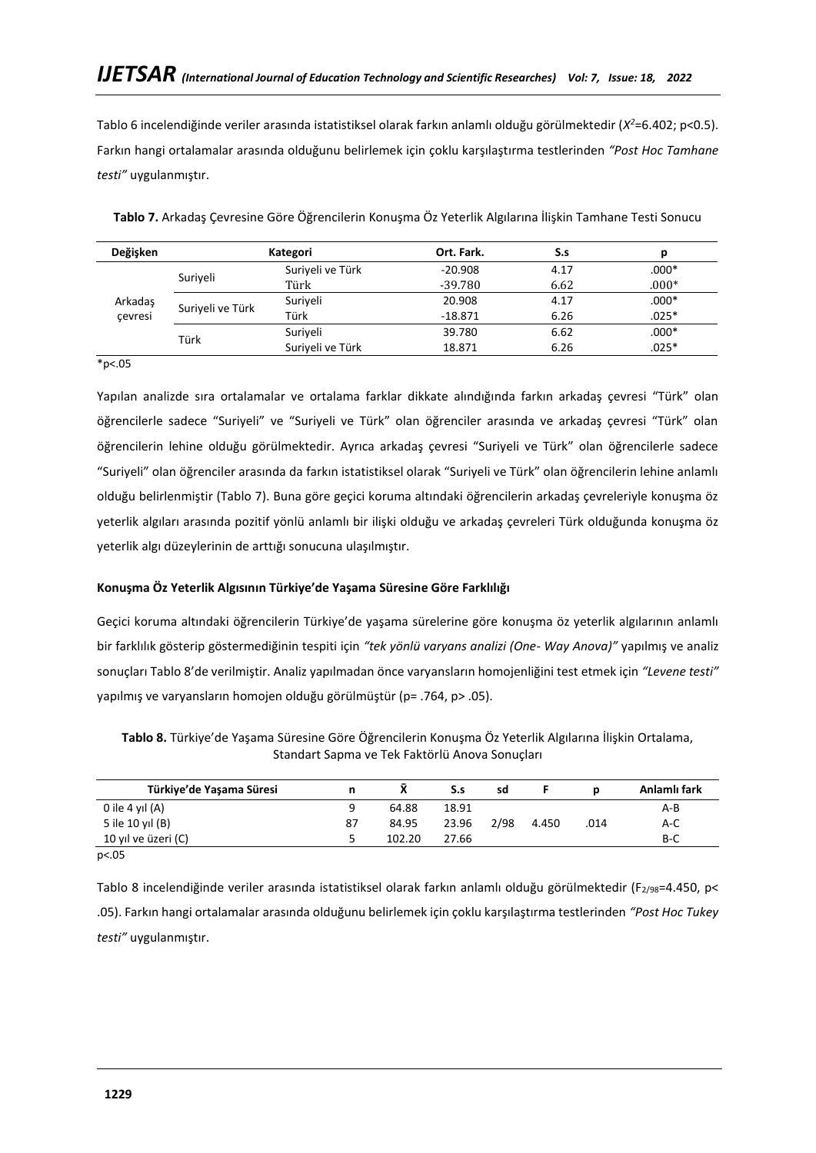Tablo 6 incelendiğinde veriler arasında istatistiksel olarak farkın anlamlı olduğu görülmektedir (*X <sup>2</sup>*=6.402; p<0.5). Farkın hangi ortalamalar arasında olduğunu belirlemek için çoklu karşılaştırma testlerinden *"Post Hoc Tamhane testi"* uygulanmıştır.

| Değişken | Kategori         |                  | Ort. Fark. | S.s  | р       |
|----------|------------------|------------------|------------|------|---------|
|          | Suriveli         | Suriyeli ve Türk | $-20.908$  | 4.17 | $.000*$ |
|          |                  | Türk             | $-39.780$  | 6.62 | $.000*$ |
| Arkadaş  | Suriyeli ve Türk | Suriyeli         | 20.908     | 4.17 | $.000*$ |
| cevresi  |                  | Türk             | $-18.871$  | 6.26 | $.025*$ |
|          | Türk             | Suriyeli         | 39.780     | 6.62 | $.000*$ |
|          |                  | Suriyeli ve Türk | 18.871     | 6.26 | $.025*$ |

**Tablo 7.** Arkadaş Çevresine Göre Öğrencilerin Konuşma Öz Yeterlik Algılarına İlişkin Tamhane Testi Sonucu

\*p<.05

Yapılan analizde sıra ortalamalar ve ortalama farklar dikkate alındığında farkın arkadaş çevresi "Türk" olan öğrencilerle sadece "Suriyeli" ve "Suriyeli ve Türk" olan öğrenciler arasında ve arkadaş çevresi "Türk" olan öğrencilerin lehine olduğu görülmektedir. Ayrıca arkadaş çevresi "Suriyeli ve Türk" olan öğrencilerle sadece "Suriyeli" olan öğrenciler arasında da farkın istatistiksel olarak "Suriyeli ve Türk" olan öğrencilerin lehine anlamlı olduğu belirlenmiştir (Tablo 7). Buna göre geçici koruma altındaki öğrencilerin arkadaş çevreleriyle konuşma öz yeterlik algıları arasında pozitif yönlü anlamlı bir ilişki olduğu ve arkadaş çevreleri Türk olduğunda konuşma öz yeterlik algı düzeylerinin de arttığı sonucuna ulaşılmıştır.

# **Konuşma Öz Yeterlik Algısının Türkiye'de Yaşama Süresine Göre Farklılığı**

Geçici koruma altındaki öğrencilerin Türkiye'de yaşama sürelerine göre konuşma öz yeterlik algılarının anlamlı bir farklılık gösterip göstermediğinin tespiti için *"tek yönlü varyans analizi (One- Way Anova)"* yapılmış ve analiz sonuçları Tablo 8'de verilmiştir. Analiz yapılmadan önce varyansların homojenliğini test etmek için *"Levene testi"* yapılmış ve varyansların homojen olduğu görülmüştür (p= .764, p> .05).

**Tablo 8.** Türkiye'de Yaşama Süresine Göre Öğrencilerin Konuşma Öz Yeterlik Algılarına İlişkin Ortalama, Standart Sapma ve Tek Faktörlü Anova Sonuçları

|    |        | S.s   | sd   |       |      | Anlamlı fark |
|----|--------|-------|------|-------|------|--------------|
|    | 64.88  | 18.91 |      |       |      | A-B          |
| 87 | 84.95  | 23.96 | 2/98 | 4.450 | .014 | A-C          |
|    | 102.20 | 27.66 |      |       |      | B-C          |
|    |        |       |      |       |      |              |

p<.05

Tablo 8 incelendiğinde veriler arasında istatistiksel olarak farkın anlamlı olduğu görülmektedir (F<sub>2/98</sub>=4.450, p< .05). Farkın hangi ortalamalar arasında olduğunu belirlemek için çoklu karşılaştırma testlerinden *"Post Hoc Tukey testi"* uygulanmıştır.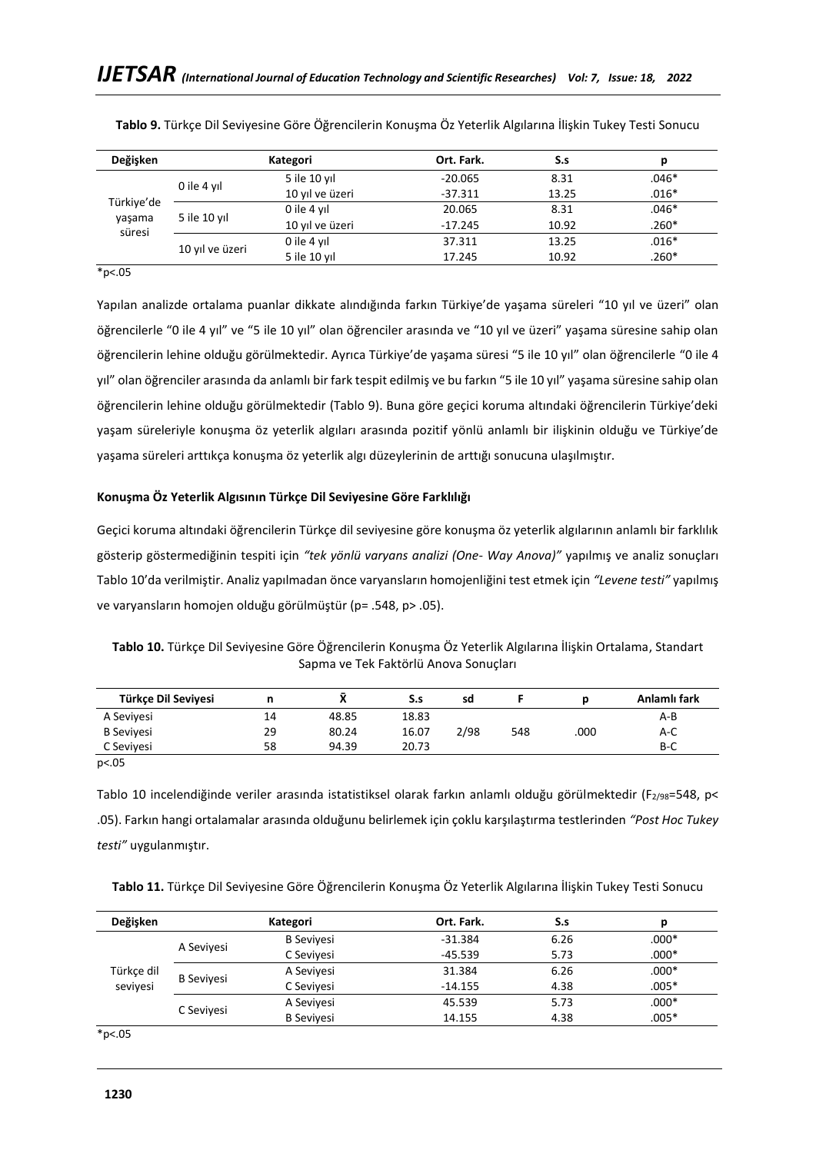| Kategori                                       |                 | Ort. Fark. | S.s   | р       |
|------------------------------------------------|-----------------|------------|-------|---------|
| 0 ile 4 yıl                                    | 5 ile 10 yıl    | $-20.065$  | 8.31  | $.046*$ |
|                                                | 10 yıl ve üzeri | $-37.311$  | 13.25 | $.016*$ |
| Türkiye'de<br>5 ile 10 yıl<br>yaşama<br>süresi | 0 ile 4 yıl     | 20.065     | 8.31  | $.046*$ |
|                                                | 10 yıl ve üzeri | $-17.245$  | 10.92 | $.260*$ |
|                                                | 0 ile 4 yıl     | 37.311     | 13.25 | $.016*$ |
|                                                | 5 ile 10 yıl    | 17.245     | 10.92 | $.260*$ |
|                                                | 10 yıl ve üzeri |            |       |         |

**Tablo 9.** Türkçe Dil Seviyesine Göre Öğrencilerin Konuşma Öz Yeterlik Algılarına İlişkin Tukey Testi Sonucu

\*p<.05

Yapılan analizde ortalama puanlar dikkate alındığında farkın Türkiye'de yaşama süreleri "10 yıl ve üzeri" olan öğrencilerle "0 ile 4 yıl" ve "5 ile 10 yıl" olan öğrenciler arasında ve "10 yıl ve üzeri" yaşama süresine sahip olan öğrencilerin lehine olduğu görülmektedir. Ayrıca Türkiye'de yaşama süresi "5 ile 10 yıl" olan öğrencilerle "0 ile 4 yıl" olan öğrenciler arasında da anlamlı bir fark tespit edilmiş ve bu farkın "5 ile 10 yıl" yaşama süresine sahip olan öğrencilerin lehine olduğu görülmektedir (Tablo 9). Buna göre geçici koruma altındaki öğrencilerin Türkiye'deki yaşam süreleriyle konuşma öz yeterlik algıları arasında pozitif yönlü anlamlı bir ilişkinin olduğu ve Türkiye'de yaşama süreleri arttıkça konuşma öz yeterlik algı düzeylerinin de arttığı sonucuna ulaşılmıştır.

# **Konuşma Öz Yeterlik Algısının Türkçe Dil Seviyesine Göre Farklılığı**

Geçici koruma altındaki öğrencilerin Türkçe dil seviyesine göre konuşma öz yeterlik algılarının anlamlı bir farklılık gösterip göstermediğinin tespiti için *"tek yönlü varyans analizi (One- Way Anova)"* yapılmış ve analiz sonuçları Tablo 10'da verilmiştir. Analiz yapılmadan önce varyansların homojenliğini test etmek için *"Levene testi"* yapılmış ve varyansların homojen olduğu görülmüştür (p= .548, p> .05).

**Tablo 10.** Türkçe Dil Seviyesine Göre Öğrencilerin Konuşma Öz Yeterlik Algılarına İlişkin Ortalama, Standart Sapma ve Tek Faktörlü Anova Sonuçları

| Türkce Dil Seviyesi |    |       | S.s   | sd   |     |      | Anlamlı fark |
|---------------------|----|-------|-------|------|-----|------|--------------|
| A Seviyesi          | 14 | 48.85 | 18.83 |      |     |      | $A-B$        |
| <b>B</b> Sevivesi   | 29 | 80.24 | 16.07 | 2/98 | 548 | .000 | $A-C$        |
| C Seviyesi          | 58 | 94.39 | 20.73 |      |     |      | $B-C$        |

p<.05

Tablo 10 incelendiğinde veriler arasında istatistiksel olarak farkın anlamlı olduğu görülmektedir (F2/98=548, p< .05). Farkın hangi ortalamalar arasında olduğunu belirlemek için çoklu karşılaştırma testlerinden *"Post Hoc Tukey testi"* uygulanmıştır.

|  | Tablo 11. Türkçe Dil Seviyesine Göre Öğrencilerin Konuşma Öz Yeterlik Algılarına İlişkin Tukey Testi Sonucu |  |  |  |  |
|--|-------------------------------------------------------------------------------------------------------------|--|--|--|--|
|--|-------------------------------------------------------------------------------------------------------------|--|--|--|--|

| Değişken   | Kategori                      |                   | Ort. Fark. | S.s     | p       |
|------------|-------------------------------|-------------------|------------|---------|---------|
|            |                               | <b>B</b> Sevivesi | $-31.384$  | 6.26    | $.000*$ |
| A Sevivesi | C Seviyesi                    | $-45.539$         | 5.73       | $.000*$ |         |
| Türkçe dil | <b>B</b> Sevivesi<br>seviyesi | A Seviyesi        | 31.384     | 6.26    | $.000*$ |
|            |                               | C Sevivesi        | $-14.155$  | 4.38    | $.005*$ |
|            |                               | A Seviyesi        | 45.539     | 5.73    | $.000*$ |
|            | C Sevivesi                    | <b>B</b> Sevivesi | 14.155     | 4.38    | $.005*$ |

 $*p<.05$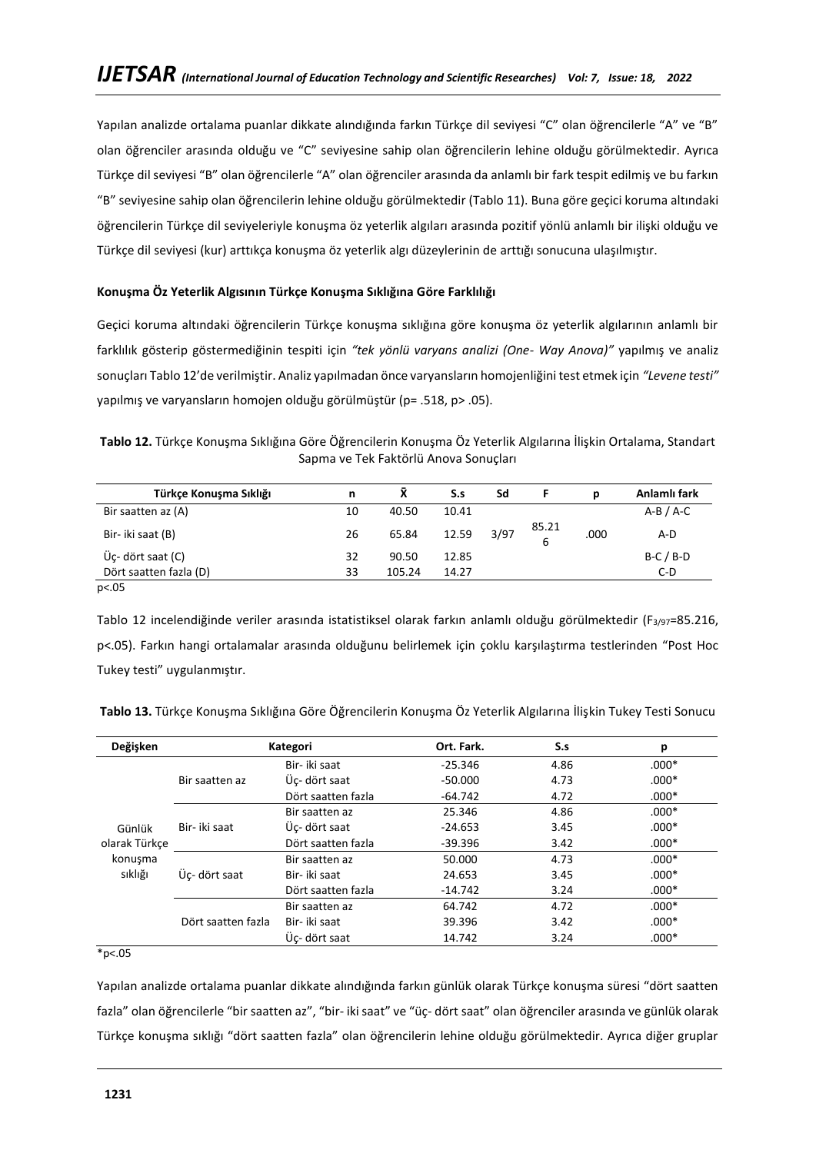Yapılan analizde ortalama puanlar dikkate alındığında farkın Türkçe dil seviyesi "C" olan öğrencilerle "A" ve "B" olan öğrenciler arasında olduğu ve "C" seviyesine sahip olan öğrencilerin lehine olduğu görülmektedir. Ayrıca Türkçe dil seviyesi "B" olan öğrencilerle "A" olan öğrenciler arasında da anlamlı bir fark tespit edilmiş ve bu farkın "B" seviyesine sahip olan öğrencilerin lehine olduğu görülmektedir (Tablo 11). Buna göre geçici koruma altındaki öğrencilerin Türkçe dil seviyeleriyle konuşma öz yeterlik algıları arasında pozitif yönlü anlamlı bir ilişki olduğu ve Türkçe dil seviyesi (kur) arttıkça konuşma öz yeterlik algı düzeylerinin de arttığı sonucuna ulaşılmıştır.

## **Konuşma Öz Yeterlik Algısının Türkçe Konuşma Sıklığına Göre Farklılığı**

Geçici koruma altındaki öğrencilerin Türkçe konuşma sıklığına göre konuşma öz yeterlik algılarının anlamlı bir farklılık gösterip göstermediğinin tespiti için *"tek yönlü varyans analizi (One- Way Anova)"* yapılmış ve analiz sonuçları Tablo 12'de verilmiştir. Analiz yapılmadan önce varyansların homojenliğini test etmek için *"Levene testi"* yapılmış ve varyansların homojen olduğu görülmüştür (p= .518, p> .05).

**Tablo 12.** Türkçe Konuşma Sıklığına Göre Öğrencilerin Konuşma Öz Yeterlik Algılarına İlişkin Ortalama, Standart Sapma ve Tek Faktörlü Anova Sonuçları

| Türkçe Konuşma Sıklığı               | n  | X      | S.s   | Sd   |            | D    | Anlamlı fark |
|--------------------------------------|----|--------|-------|------|------------|------|--------------|
| Bir saatten az (A)                   | 10 | 40.50  | 10.41 |      |            |      | $A-B/A-C$    |
| Bir- iki saat (B)                    | 26 | 65.84  | 12.59 | 3/97 | 85.21<br>6 | .000 | A-D          |
| $\ddot{\mathsf{U}}$ c- dört saat (C) | 32 | 90.50  | 12.85 |      |            |      | $B-C/B-D$    |
| Dört saatten fazla (D)               | 33 | 105.24 | 14.27 |      |            |      | $C-D$        |
| p<.05                                |    |        |       |      |            |      |              |

Tablo 12 incelendiğinde veriler arasında istatistiksel olarak farkın anlamlı olduğu görülmektedir (F3/97=85.216, p<.05). Farkın hangi ortalamalar arasında olduğunu belirlemek için çoklu karşılaştırma testlerinden "Post Hoc Tukey testi" uygulanmıştır.

| Değişken                                 | Kategori           |                    | Ort. Fark. | S.s     | р       |
|------------------------------------------|--------------------|--------------------|------------|---------|---------|
| Bir saatten az                           |                    | Bir- iki saat      | $-25.346$  | 4.86    | $.000*$ |
|                                          | Üc- dört saat      | $-50.000$          | 4.73       | $.000*$ |         |
|                                          |                    | Dört saatten fazla | $-64.742$  | 4.72    | $.000*$ |
| Bir- iki saat<br>Günlük<br>olarak Türkce | Bir saatten az     | 25.346             | 4.86       | $.000*$ |         |
|                                          |                    | Üç- dört saat      | $-24.653$  | 3.45    | $.000*$ |
|                                          |                    | Dört saatten fazla | $-39.396$  | 3.42    | $.000*$ |
| konusma                                  |                    | Bir saatten az     | 50.000     | 4.73    | $.000*$ |
| sıklığı                                  | Üc- dört saat      | Bir- iki saat      | 24.653     | 3.45    | $.000*$ |
|                                          |                    | Dört saatten fazla | $-14.742$  | 3.24    | $.000*$ |
|                                          |                    | Bir saatten az     | 64.742     | 4.72    | $.000*$ |
|                                          | Dört saatten fazla | Bir- iki saat      | 39.396     | 3.42    | $.000*$ |
|                                          |                    | Üc- dört saat      | 14.742     | 3.24    | $.000*$ |

**Tablo 13.** Türkçe Konuşma Sıklığına Göre Öğrencilerin Konuşma Öz Yeterlik Algılarına İlişkin Tukey Testi Sonucu

 $*_{p<.05}$ 

Yapılan analizde ortalama puanlar dikkate alındığında farkın günlük olarak Türkçe konuşma süresi "dört saatten fazla" olan öğrencilerle "bir saatten az", "bir- iki saat" ve "üç- dört saat" olan öğrenciler arasında ve günlük olarak Türkçe konuşma sıklığı "dört saatten fazla" olan öğrencilerin lehine olduğu görülmektedir. Ayrıca diğer gruplar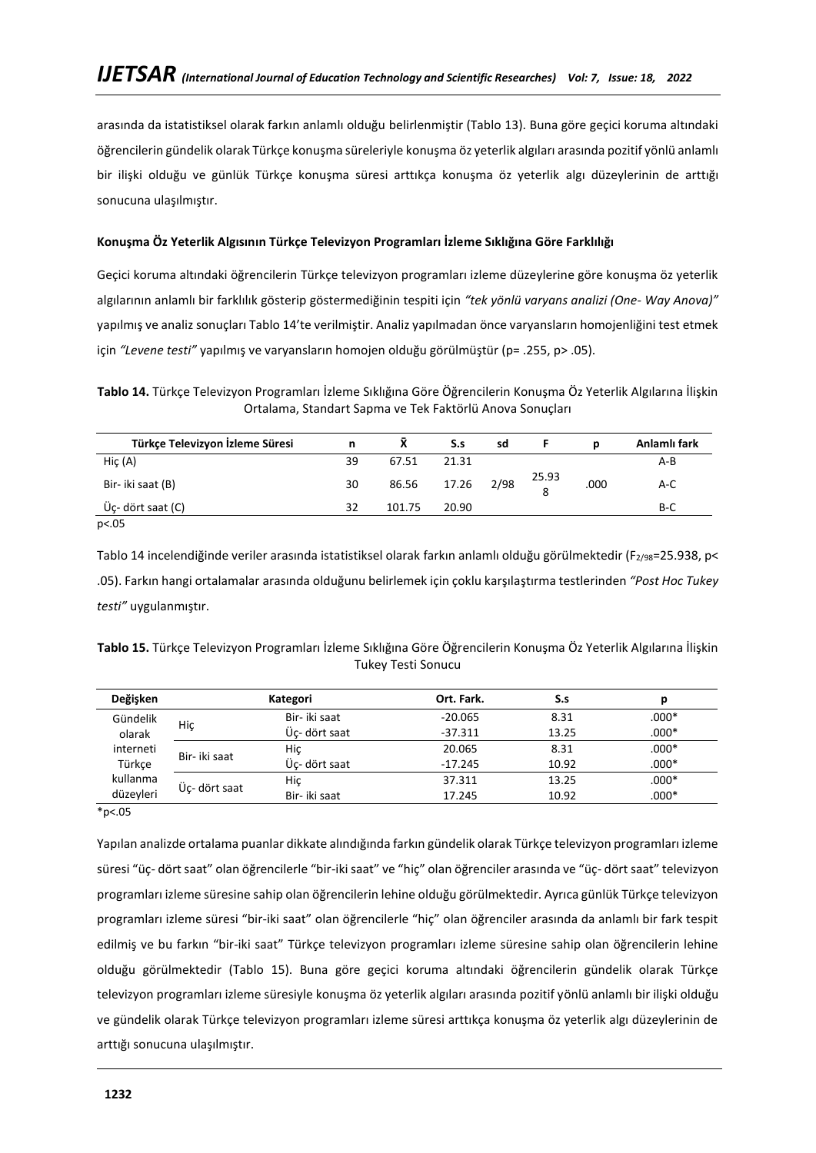arasında da istatistiksel olarak farkın anlamlı olduğu belirlenmiştir (Tablo 13). Buna göre geçici koruma altındaki öğrencilerin gündelik olarak Türkçe konuşma süreleriyle konuşma öz yeterlik algıları arasında pozitif yönlü anlamlı bir ilişki olduğu ve günlük Türkçe konuşma süresi arttıkça konuşma öz yeterlik algı düzeylerinin de arttığı sonucuna ulaşılmıştır.

## **Konuşma Öz Yeterlik Algısının Türkçe Televizyon Programları İzleme Sıklığına Göre Farklılığı**

Geçici koruma altındaki öğrencilerin Türkçe televizyon programları izleme düzeylerine göre konuşma öz yeterlik algılarının anlamlı bir farklılık gösterip göstermediğinin tespiti için *"tek yönlü varyans analizi (One- Way Anova)"* yapılmış ve analiz sonuçları Tablo 14'te verilmiştir. Analiz yapılmadan önce varyansların homojenliğini test etmek için *"Levene testi"* yapılmış ve varyansların homojen olduğu görülmüştür (p= .255, p> .05).

**Tablo 14.** Türkçe Televizyon Programları İzleme Sıklığına Göre Öğrencilerin Konuşma Öz Yeterlik Algılarına İlişkin Ortalama, Standart Sapma ve Tek Faktörlü Anova Sonuçları

| Türkçe Televizyon İzleme Süresi | n  |        | S.s        | sd |       | n    | Anlamlı fark |
|---------------------------------|----|--------|------------|----|-------|------|--------------|
| HiC(A)                          | 39 | 67.51  | 21.31      |    |       |      | A-B          |
| Bir- iki saat (B)               | 30 | 86.56  | 17.26 2/98 |    | 25.93 | .000 | $A-C$        |
| Üç- dört saat (C)               | 32 | 101.75 | 20.90      |    |       |      | $B-C$        |
| p<.05                           |    |        |            |    |       |      |              |

Tablo 14 incelendiğinde veriler arasında istatistiksel olarak farkın anlamlı olduğu görülmektedir (F2/98=25.938, p< .05). Farkın hangi ortalamalar arasında olduğunu belirlemek için çoklu karşılaştırma testlerinden *"Post Hoc Tukey testi"* uygulanmıştır.

| Tablo 15. Türkçe Televizyon Programları İzleme Sıklığına Göre Öğrencilerin Konuşma Öz Yeterlik Algılarına İlişkin |  |
|-------------------------------------------------------------------------------------------------------------------|--|
| Tukey Testi Sonucu                                                                                                |  |

| Değişken  |               | Kategori      | Ort. Fark. | S.s   | р       |
|-----------|---------------|---------------|------------|-------|---------|
| Gündelik  | Hiç           | Bir- iki saat | $-20.065$  | 8.31  | $.000*$ |
| olarak    |               | Üc- dört saat | $-37.311$  | 13.25 | $.000*$ |
| interneti |               | Hic           | 20.065     | 8.31  | $.000*$ |
| Türkce    | Bir- iki saat | Üc- dört saat | $-17.245$  | 10.92 | $.000*$ |
| kullanma  | Üc- dört saat | Hiç           | 37.311     | 13.25 | $.000*$ |
| düzeyleri |               | Bir- iki saat | 17.245     | 10.92 | $.000*$ |

 $*p<.05$ 

Yapılan analizde ortalama puanlar dikkate alındığında farkın gündelik olarak Türkçe televizyon programları izleme süresi "üç- dört saat" olan öğrencilerle "bir-iki saat" ve "hiç" olan öğrenciler arasında ve "üç- dört saat" televizyon programları izleme süresine sahip olan öğrencilerin lehine olduğu görülmektedir. Ayrıca günlük Türkçe televizyon programları izleme süresi "bir-iki saat" olan öğrencilerle "hiç" olan öğrenciler arasında da anlamlı bir fark tespit edilmiş ve bu farkın "bir-iki saat" Türkçe televizyon programları izleme süresine sahip olan öğrencilerin lehine olduğu görülmektedir (Tablo 15). Buna göre geçici koruma altındaki öğrencilerin gündelik olarak Türkçe televizyon programları izleme süresiyle konuşma öz yeterlik algıları arasında pozitif yönlü anlamlı bir ilişki olduğu ve gündelik olarak Türkçe televizyon programları izleme süresi arttıkça konuşma öz yeterlik algı düzeylerinin de arttığı sonucuna ulaşılmıştır.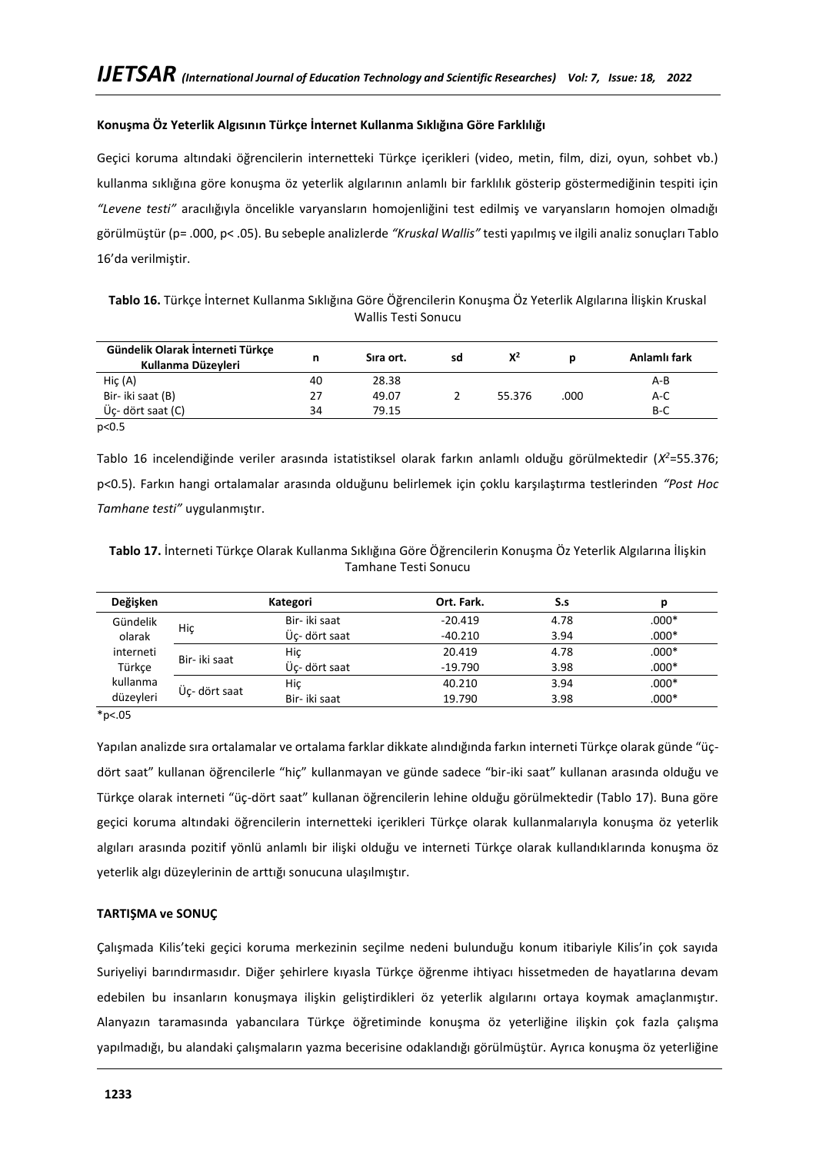## **Konuşma Öz Yeterlik Algısının Türkçe İnternet Kullanma Sıklığına Göre Farklılığı**

Geçici koruma altındaki öğrencilerin internetteki Türkçe içerikleri (video, metin, film, dizi, oyun, sohbet vb.) kullanma sıklığına göre konuşma öz yeterlik algılarının anlamlı bir farklılık gösterip göstermediğinin tespiti için *"Levene testi"* aracılığıyla öncelikle varyansların homojenliğini test edilmiş ve varyansların homojen olmadığı görülmüştür (p= .000, p< .05). Bu sebeple analizlerde *"Kruskal Wallis"* testi yapılmış ve ilgili analiz sonuçları Tablo 16'da verilmiştir.

| Tablo 16. Türkçe İnternet Kullanma Sıklığına Göre Öğrencilerin Konuşma Öz Yeterlik Algılarına İlişkin Kruskal |                     |  |  |  |
|---------------------------------------------------------------------------------------------------------------|---------------------|--|--|--|
|                                                                                                               | Wallis Testi Sonucu |  |  |  |

| Gündelik Olarak İnterneti Türkçe<br>Kullanma Düzeyleri | n  | Sira ort. | sd | $X^2$  |      | Anlamlı fark |
|--------------------------------------------------------|----|-----------|----|--------|------|--------------|
| HiC(A)                                                 | 40 | 28.38     |    |        |      | A-B          |
| Bir- iki saat (B)                                      | 27 | 49.07     |    | 55.376 | .000 | A-C          |
| Üç- dört saat (C)                                      | 34 | 79.15     |    |        |      | B-C          |
| p<0.5                                                  |    |           |    |        |      |              |

Tablo 16 incelendiğinde veriler arasında istatistiksel olarak farkın anlamlı olduğu görülmektedir (*X <sup>2</sup>*=55.376; p<0.5). Farkın hangi ortalamalar arasında olduğunu belirlemek için çoklu karşılaştırma testlerinden *"Post Hoc Tamhane testi"* uygulanmıştır.

**Tablo 17.** İnterneti Türkçe Olarak Kullanma Sıklığına Göre Öğrencilerin Konuşma Öz Yeterlik Algılarına İlişkin Tamhane Testi Sonucu

| Değişken  |               | Kategori      | Ort. Fark. | S.s  | D       |
|-----------|---------------|---------------|------------|------|---------|
| Gündelik  |               | Bir- iki saat | $-20.419$  | 4.78 | $.000*$ |
| olarak    | Hiç           | Üc- dört saat | $-40.210$  | 3.94 | $.000*$ |
| interneti | Bir- iki saat | Hic           | 20.419     | 4.78 | $.000*$ |
| Türkce    |               | Üc- dört saat | $-19.790$  | 3.98 | $.000*$ |
| kullanma  |               | Hiç           | 40.210     | 3.94 | $.000*$ |
| düzeyleri | Üc- dört saat | Bir- iki saat | 19.790     | 3.98 | $.000*$ |

\*p<.05

Yapılan analizde sıra ortalamalar ve ortalama farklar dikkate alındığında farkın interneti Türkçe olarak günde "üçdört saat" kullanan öğrencilerle "hiç" kullanmayan ve günde sadece "bir-iki saat" kullanan arasında olduğu ve Türkçe olarak interneti "üç-dört saat" kullanan öğrencilerin lehine olduğu görülmektedir (Tablo 17). Buna göre geçici koruma altındaki öğrencilerin internetteki içerikleri Türkçe olarak kullanmalarıyla konuşma öz yeterlik algıları arasında pozitif yönlü anlamlı bir ilişki olduğu ve interneti Türkçe olarak kullandıklarında konuşma öz yeterlik algı düzeylerinin de arttığı sonucuna ulaşılmıştır.

## **TARTIŞMA ve SONUÇ**

Çalışmada Kilis'teki geçici koruma merkezinin seçilme nedeni bulunduğu konum itibariyle Kilis'in çok sayıda Suriyeliyi barındırmasıdır. Diğer şehirlere kıyasla Türkçe öğrenme ihtiyacı hissetmeden de hayatlarına devam edebilen bu insanların konuşmaya ilişkin geliştirdikleri öz yeterlik algılarını ortaya koymak amaçlanmıştır. Alanyazın taramasında yabancılara Türkçe öğretiminde konuşma öz yeterliğine ilişkin çok fazla çalışma yapılmadığı, bu alandaki çalışmaların yazma becerisine odaklandığı görülmüştür. Ayrıca konuşma öz yeterliğine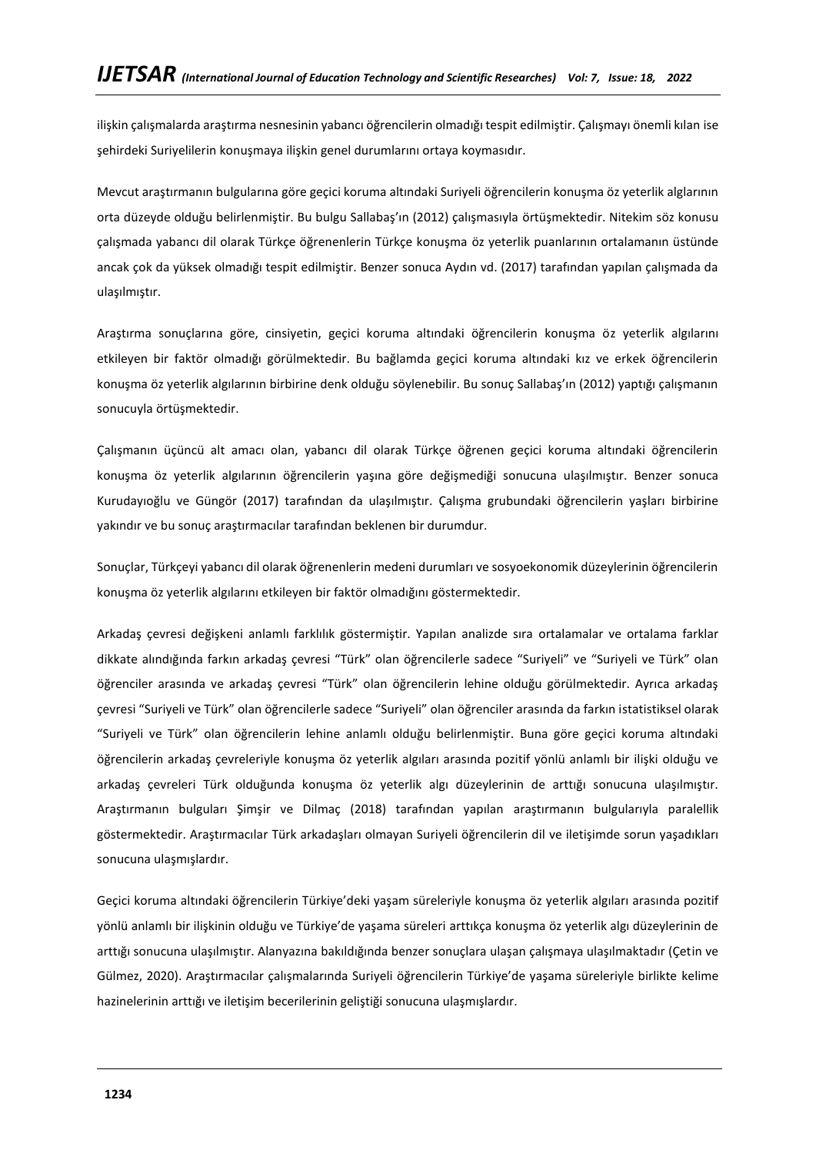ilişkin çalışmalarda araştırma nesnesinin yabancı öğrencilerin olmadığı tespit edilmiştir. Çalışmayı önemli kılan ise şehirdeki Suriyelilerin konuşmaya ilişkin genel durumlarını ortaya koymasıdır.

Mevcut araştırmanın bulgularına göre geçici koruma altındaki Suriyeli öğrencilerin konuşma öz yeterlik alglarının orta düzeyde olduğu belirlenmiştir. Bu bulgu Sallabaş'ın (2012) çalışmasıyla örtüşmektedir. Nitekim söz konusu çalışmada yabancı dil olarak Türkçe öğrenenlerin Türkçe konuşma öz yeterlik puanlarının ortalamanın üstünde ancak çok da yüksek olmadığı tespit edilmiştir. Benzer sonuca Aydın vd. (2017) tarafından yapılan çalışmada da ulaşılmıştır.

Araştırma sonuçlarına göre, cinsiyetin, geçici koruma altındaki öğrencilerin konuşma öz yeterlik algılarını etkileyen bir faktör olmadığı görülmektedir. Bu bağlamda geçici koruma altındaki kız ve erkek öğrencilerin konuşma öz yeterlik algılarının birbirine denk olduğu söylenebilir. Bu sonuç Sallabaş'ın (2012) yaptığı çalışmanın sonucuyla örtüşmektedir.

Çalışmanın üçüncü alt amacı olan, yabancı dil olarak Türkçe öğrenen geçici koruma altındaki öğrencilerin konuşma öz yeterlik algılarının öğrencilerin yaşına göre değişmediği sonucuna ulaşılmıştır. Benzer sonuca Kurudayıoğlu ve Güngör (2017) tarafından da ulaşılmıştır. Çalışma grubundaki öğrencilerin yaşları birbirine yakındır ve bu sonuç araştırmacılar tarafından beklenen bir durumdur.

Sonuçlar, Türkçeyi yabancı dil olarak öğrenenlerin medeni durumları ve sosyoekonomik düzeylerinin öğrencilerin konuşma öz yeterlik algılarını etkileyen bir faktör olmadığını göstermektedir.

Arkadaş çevresi değişkeni anlamlı farklılık göstermiştir. Yapılan analizde sıra ortalamalar ve ortalama farklar dikkate alındığında farkın arkadaş çevresi "Türk" olan öğrencilerle sadece "Suriyeli" ve "Suriyeli ve Türk" olan öğrenciler arasında ve arkadaş çevresi "Türk" olan öğrencilerin lehine olduğu görülmektedir. Ayrıca arkadaş çevresi "Suriyeli ve Türk" olan öğrencilerle sadece "Suriyeli" olan öğrenciler arasında da farkın istatistiksel olarak "Suriyeli ve Türk" olan öğrencilerin lehine anlamlı olduğu belirlenmiştir. Buna göre geçici koruma altındaki öğrencilerin arkadaş çevreleriyle konuşma öz yeterlik algıları arasında pozitif yönlü anlamlı bir ilişki olduğu ve arkadaş çevreleri Türk olduğunda konuşma öz yeterlik algı düzeylerinin de arttığı sonucuna ulaşılmıştır. Araştırmanın bulguları Şimşir ve Dilmaç (2018) tarafından yapılan araştırmanın bulgularıyla paralellik göstermektedir. Araştırmacılar Türk arkadaşları olmayan Suriyeli öğrencilerin dil ve iletişimde sorun yaşadıkları sonucuna ulaşmışlardır.

Geçici koruma altındaki öğrencilerin Türkiye'deki yaşam süreleriyle konuşma öz yeterlik algıları arasında pozitif yönlü anlamlı bir ilişkinin olduğu ve Türkiye'de yaşama süreleri arttıkça konuşma öz yeterlik algı düzeylerinin de arttığı sonucuna ulaşılmıştır. Alanyazına bakıldığında benzer sonuçlara ulaşan çalışmaya ulaşılmaktadır (Çetin ve Gülmez, 2020). Araştırmacılar çalışmalarında Suriyeli öğrencilerin Türkiye'de yaşama süreleriyle birlikte kelime hazinelerinin arttığı ve iletişim becerilerinin geliştiği sonucuna ulaşmışlardır.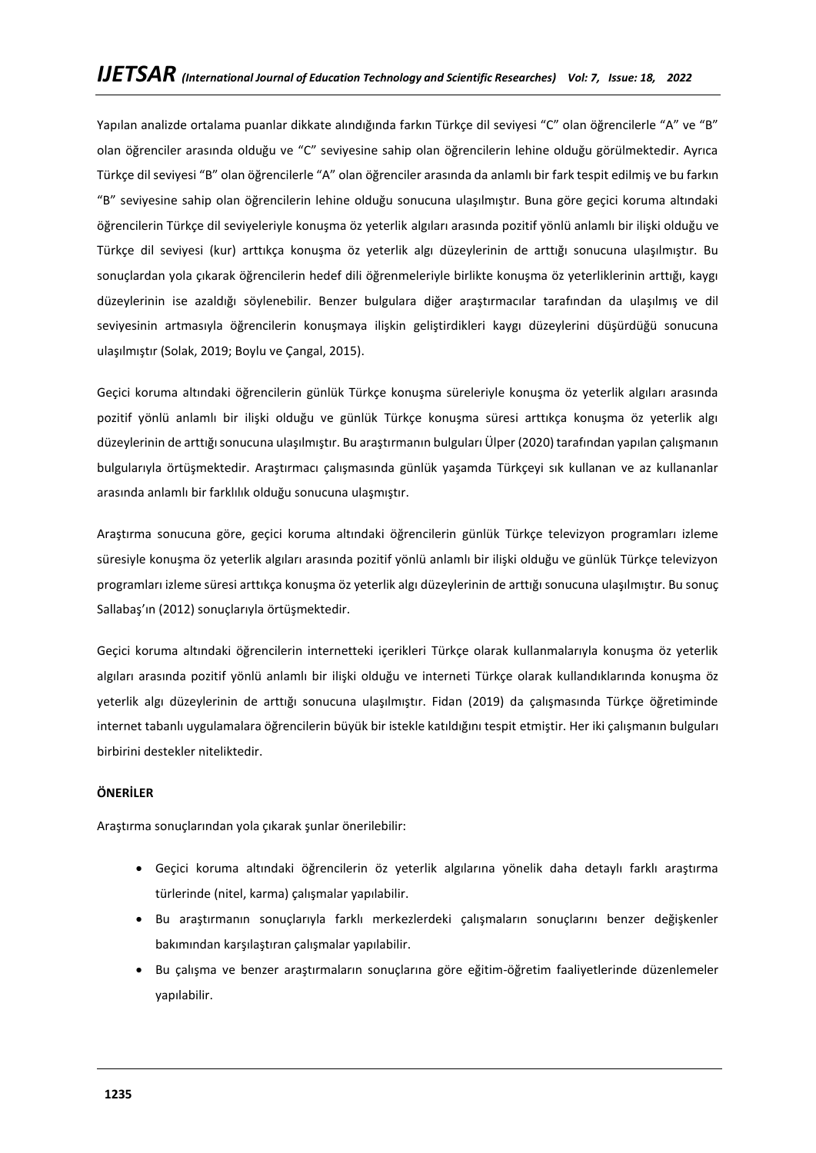Yapılan analizde ortalama puanlar dikkate alındığında farkın Türkçe dil seviyesi "C" olan öğrencilerle "A" ve "B" olan öğrenciler arasında olduğu ve "C" seviyesine sahip olan öğrencilerin lehine olduğu görülmektedir. Ayrıca Türkçe dil seviyesi "B" olan öğrencilerle "A" olan öğrenciler arasında da anlamlı bir fark tespit edilmiş ve bu farkın "B" seviyesine sahip olan öğrencilerin lehine olduğu sonucuna ulaşılmıştır. Buna göre geçici koruma altındaki öğrencilerin Türkçe dil seviyeleriyle konuşma öz yeterlik algıları arasında pozitif yönlü anlamlı bir ilişki olduğu ve Türkçe dil seviyesi (kur) arttıkça konuşma öz yeterlik algı düzeylerinin de arttığı sonucuna ulaşılmıştır. Bu sonuçlardan yola çıkarak öğrencilerin hedef dili öğrenmeleriyle birlikte konuşma öz yeterliklerinin arttığı, kaygı düzeylerinin ise azaldığı söylenebilir. Benzer bulgulara diğer araştırmacılar tarafından da ulaşılmış ve dil seviyesinin artmasıyla öğrencilerin konuşmaya ilişkin geliştirdikleri kaygı düzeylerini düşürdüğü sonucuna ulaşılmıştır (Solak, 2019; Boylu ve Çangal, 2015).

Geçici koruma altındaki öğrencilerin günlük Türkçe konuşma süreleriyle konuşma öz yeterlik algıları arasında pozitif yönlü anlamlı bir ilişki olduğu ve günlük Türkçe konuşma süresi arttıkça konuşma öz yeterlik algı düzeylerinin de arttığı sonucuna ulaşılmıştır. Bu araştırmanın bulguları Ülper (2020) tarafından yapılan çalışmanın bulgularıyla örtüşmektedir. Araştırmacı çalışmasında günlük yaşamda Türkçeyi sık kullanan ve az kullananlar arasında anlamlı bir farklılık olduğu sonucuna ulaşmıştır.

Araştırma sonucuna göre, geçici koruma altındaki öğrencilerin günlük Türkçe televizyon programları izleme süresiyle konuşma öz yeterlik algıları arasında pozitif yönlü anlamlı bir ilişki olduğu ve günlük Türkçe televizyon programları izleme süresi arttıkça konuşma öz yeterlik algı düzeylerinin de arttığı sonucuna ulaşılmıştır. Bu sonuç Sallabaş'ın (2012) sonuçlarıyla örtüşmektedir.

Geçici koruma altındaki öğrencilerin internetteki içerikleri Türkçe olarak kullanmalarıyla konuşma öz yeterlik algıları arasında pozitif yönlü anlamlı bir ilişki olduğu ve interneti Türkçe olarak kullandıklarında konuşma öz yeterlik algı düzeylerinin de arttığı sonucuna ulaşılmıştır. Fidan (2019) da çalışmasında Türkçe öğretiminde internet tabanlı uygulamalara öğrencilerin büyük bir istekle katıldığını tespit etmiştir. Her iki çalışmanın bulguları birbirini destekler niteliktedir.

# **ÖNERİLER**

Araştırma sonuçlarından yola çıkarak şunlar önerilebilir:

- Geçici koruma altındaki öğrencilerin öz yeterlik algılarına yönelik daha detaylı farklı araştırma türlerinde (nitel, karma) çalışmalar yapılabilir.
- Bu araştırmanın sonuçlarıyla farklı merkezlerdeki çalışmaların sonuçlarını benzer değişkenler bakımından karşılaştıran çalışmalar yapılabilir.
- Bu çalışma ve benzer araştırmaların sonuçlarına göre eğitim-öğretim faaliyetlerinde düzenlemeler yapılabilir.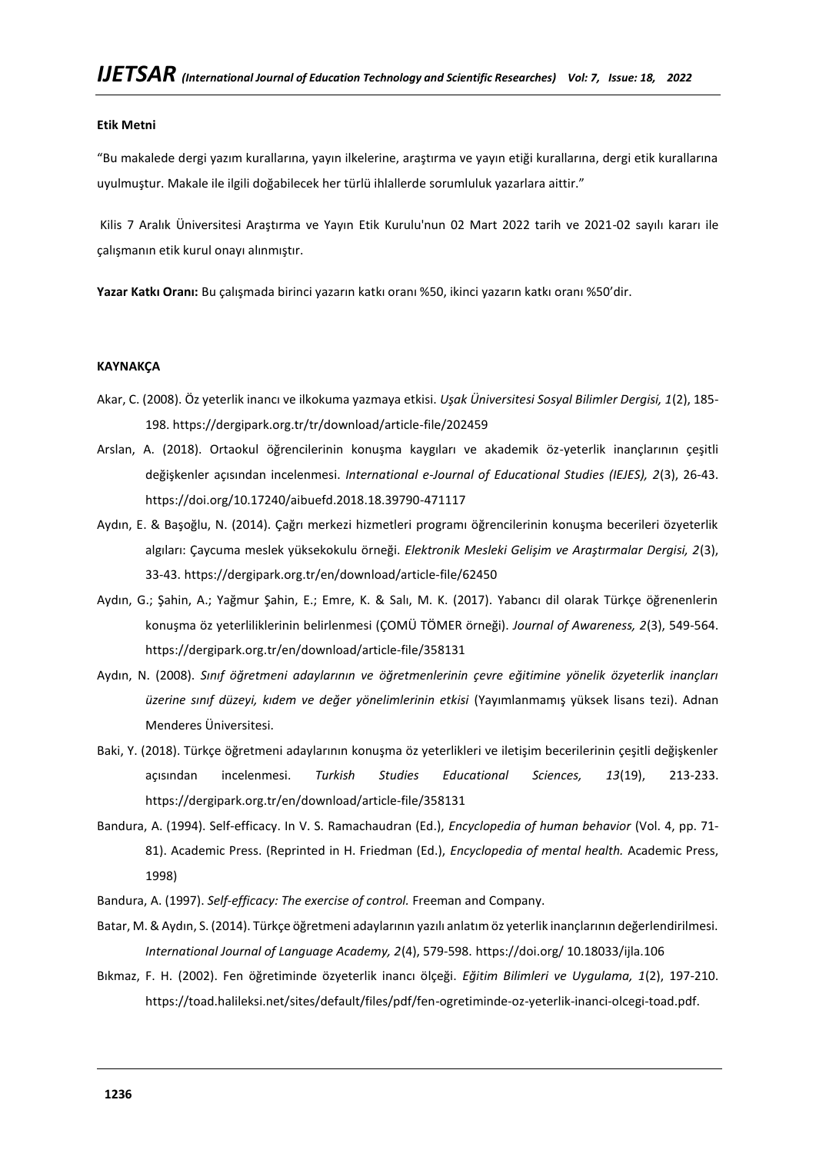#### **Etik Metni**

"Bu makalede dergi yazım kurallarına, yayın ilkelerine, araştırma ve yayın etiği kurallarına, dergi etik kurallarına uyulmuştur. Makale ile ilgili doğabilecek her türlü ihlallerde sorumluluk yazarlara aittir."

Kilis 7 Aralık Üniversitesi Araştırma ve Yayın Etik Kurulu'nun 02 Mart 2022 tarih ve 2021-02 sayılı kararı ile çalışmanın etik kurul onayı alınmıştır.

**Yazar Katkı Oranı:** Bu çalışmada birinci yazarın katkı oranı %50, ikinci yazarın katkı oranı %50'dir.

## **KAYNAKÇA**

- Akar, C. (2008). Öz yeterlik inancı ve ilkokuma yazmaya etkisi. *Uşak Üniversitesi Sosyal Bilimler Dergisi, 1*(2), 185- 198. https://dergipark.org.tr/tr/download/article-file/202459
- Arslan, A. (2018). Ortaokul öğrencilerinin konuşma kaygıları ve akademik öz-yeterlik inançlarının çeşitli değişkenler açısından incelenmesi. *International e-Journal of Educational Studies (IEJES), 2*(3), 26-43. <https://doi.org/10.17240/aibuefd.2018.18.39790-471117>
- Aydın, E. & Başoğlu, N. (2014). Çağrı merkezi hizmetleri programı öğrencilerinin konuşma becerileri özyeterlik algıları: Çaycuma meslek yüksekokulu örneği. *Elektronik Mesleki Gelişim ve Araştırmalar Dergisi, 2*(3), 33-43. https://dergipark.org.tr/en/download/article-file/62450
- Aydın, G.; Şahin, A.; Yağmur Şahin, E.; Emre, K. & Salı, M. K. (2017). Yabancı dil olarak Türkçe öğrenenlerin konuşma öz yeterliliklerinin belirlenmesi (ÇOMÜ TÖMER örneği). *Journal of Awareness, 2*(3), 549-564. https://dergipark.org.tr/en/download/article-file/358131
- Aydın, N. (2008). *Sınıf öğretmeni adaylarının ve öğretmenlerinin çevre eğitimine yönelik özyeterlik inançları üzerine sınıf düzeyi, kıdem ve değer yönelimlerinin etkisi* (Yayımlanmamış yüksek lisans tezi). Adnan Menderes Üniversitesi.
- Baki, Y. (2018). Türkçe öğretmeni adaylarının konuşma öz yeterlikleri ve iletişim becerilerinin çeşitli değişkenler açısından incelenmesi. *Turkish Studies Educational Sciences, 13*(19), 213-233. https://dergipark.org.tr/en/download/article-file/358131
- Bandura, A. (1994). Self-efficacy. In V. S. Ramachaudran (Ed.), *Encyclopedia of human behavior* (Vol. 4, pp. 71- 81). Academic Press. (Reprinted in H. Friedman (Ed.), *Encyclopedia of mental health.* Academic Press, 1998)
- Bandura, A. (1997). *Self-efficacy: The exercise of control.* Freeman and Company.
- Batar, M. & Aydın, S. (2014). Türkçe öğretmeni adaylarının yazılı anlatım öz yeterlik inançlarının değerlendirilmesi. *International Journal of Language Academy, 2*(4), 579-598. https://doi.org/ [10.18033/ijla.106](http://dx.doi.org/10.18033/ijla.106)
- Bıkmaz, F. H. (2002). Fen öğretiminde özyeterlik inancı ölçeği. *Eğitim Bilimleri ve Uygulama, 1*(2), 197-210. https://toad.halileksi.net/sites/default/files/pdf/fen-ogretiminde-oz-yeterlik-inanci-olcegi-toad.pdf.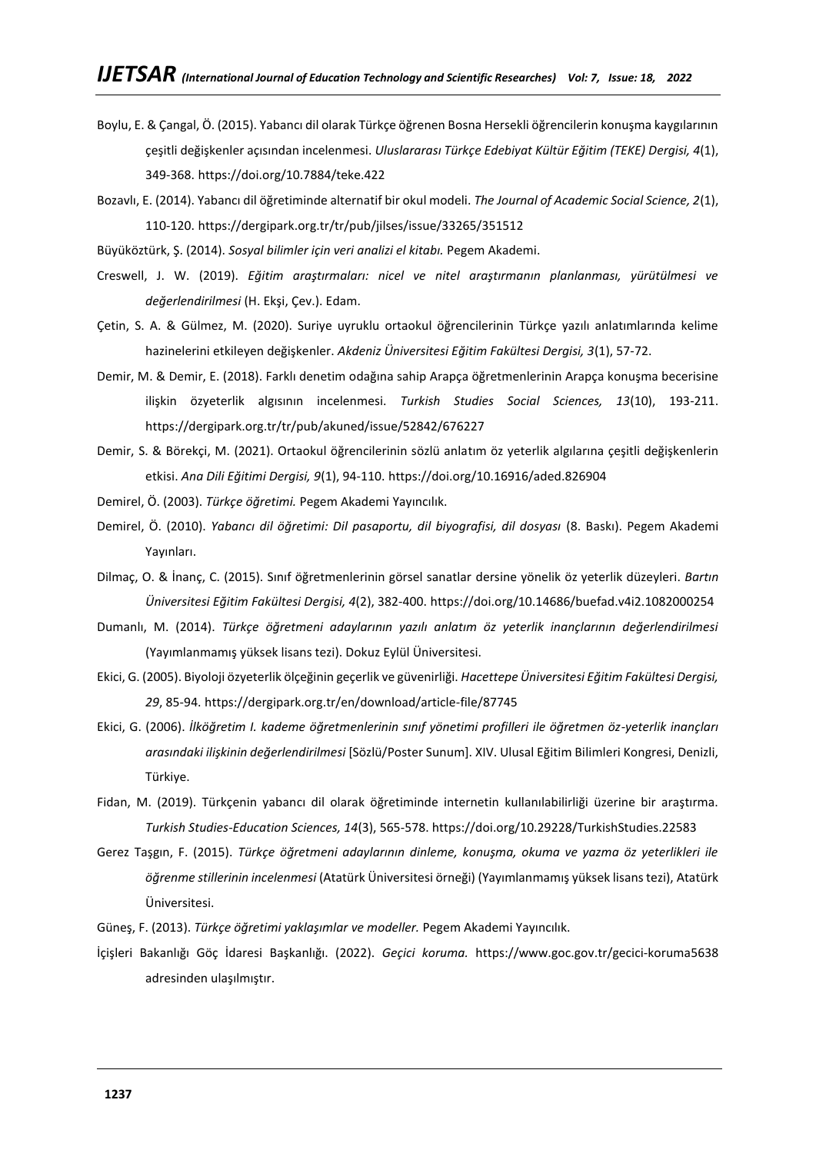- Boylu, E. & Çangal, Ö. (2015). Yabancı dil olarak Türkçe öğrenen Bosna Hersekli öğrencilerin konuşma kaygılarının çeşitli değişkenler açısından incelenmesi. *Uluslararası Türkçe Edebiyat Kültür Eğitim (TEKE) Dergisi, 4*(1), 349-368. <https://doi.org/10.7884/teke.422>
- Bozavlı, E. (2014). Yabancı dil öğretiminde alternatif bir okul modeli. *The Journal of Academic Social Science, 2*(1), 110-120. https://dergipark.org.tr/tr/pub/jilses/issue/33265/351512
- Büyüköztürk, Ş. (2014). *Sosyal bilimler için veri analizi el kitabı.* Pegem Akademi.
- Creswell, J. W. (2019). *Eğitim araştırmaları: nicel ve nitel araştırmanın planlanması, yürütülmesi ve değerlendirilmesi* (H. Ekşi, Çev.). Edam.
- Çetin, S. A. & Gülmez, M. (2020). Suriye uyruklu ortaokul öğrencilerinin Türkçe yazılı anlatımlarında kelime hazinelerini etkileyen değişkenler. *Akdeniz Üniversitesi Eğitim Fakültesi Dergisi, 3*(1), 57-72.
- Demir, M. & Demir, E. (2018). Farklı denetim odağına sahip Arapça öğretmenlerinin Arapça konuşma becerisine ilişkin özyeterlik algısının incelenmesi. *Turkish Studies Social Sciences, 13*(10), 193-211. https://dergipark.org.tr/tr/pub/akuned/issue/52842/676227
- Demir, S. & Börekçi, M. (2021). Ortaokul öğrencilerinin sözlü anlatım öz yeterlik algılarına çeşitli değişkenlerin etkisi. *Ana Dili Eğitimi Dergisi, 9*(1), 94-110. <https://doi.org/10.16916/aded.826904>
- Demirel, Ö. (2003). *Türkçe öğretimi.* Pegem Akademi Yayıncılık.
- Demirel, Ö. (2010). *Yabancı dil öğretimi: Dil pasaportu, dil biyografisi, dil dosyası* (8. Baskı). Pegem Akademi Yayınları.
- Dilmaç, O. & İnanç, C. (2015). Sınıf öğretmenlerinin görsel sanatlar dersine yönelik öz yeterlik düzeyleri. *Bartın Üniversitesi Eğitim Fakültesi Dergisi, 4*(2), 382-400. <https://doi.org/10.14686/buefad.v4i2.1082000254>
- Dumanlı, M. (2014). *Türkçe öğretmeni adaylarının yazılı anlatım öz yeterlik inançlarının değerlendirilmesi*  (Yayımlanmamış yüksek lisans tezi). Dokuz Eylül Üniversitesi.
- Ekici, G. (2005). Biyoloji özyeterlik ölçeğinin geçerlik ve güvenirliği. *Hacettepe Üniversitesi Eğitim Fakültesi Dergisi, 29*, 85-94. https://dergipark.org.tr/en/download/article-file/87745
- Ekici, G. (2006). *İlköğretim I. kademe öğretmenlerinin sınıf yönetimi profilleri ile öğretmen öz-yeterlik inançları arasındaki ilişkinin değerlendirilmesi* [Sözlü/Poster Sunum]. XIV. Ulusal Eğitim Bilimleri Kongresi, Denizli, Türkiye.
- Fidan, M. (2019). Türkçenin yabancı dil olarak öğretiminde internetin kullanılabilirliği üzerine bir araştırma. *Turkish Studies-Education Sciences, 14*(3), 565-578[. https://doi.org/10.29228/TurkishStudies.22583](https://doi.org/10.29228/TurkishStudies.22583)
- Gerez Taşgın, F. (2015). *Türkçe öğretmeni adaylarının dinleme, konuşma, okuma ve yazma öz yeterlikleri ile öğrenme stillerinin incelenmesi* (Atatürk Üniversitesi örneği) (Yayımlanmamış yüksek lisans tezi), Atatürk Üniversitesi.
- Güneş, F. (2013). *Türkçe öğretimi yaklaşımlar ve modeller.* Pegem Akademi Yayıncılık.
- İçişleri Bakanlığı Göç İdaresi Başkanlığı. (2022). *Geçici koruma.* <https://www.goc.gov.tr/gecici-koruma5638> adresinden ulaşılmıştır.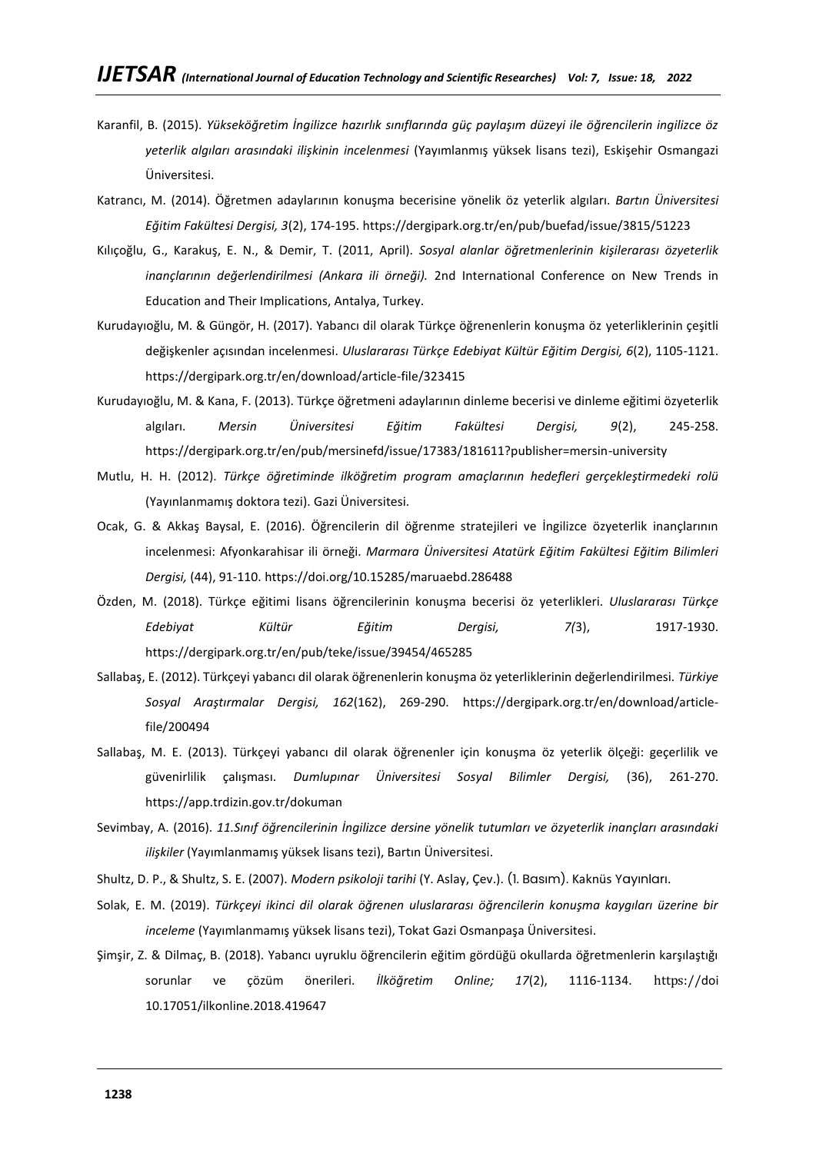- Karanfil, B. (2015). *Yükseköğretim İngilizce hazırlık sınıflarında güç paylaşım düzeyi ile öğrencilerin ingilizce öz yeterlik algıları arasındaki ilişkinin incelenmesi* (Yayımlanmış yüksek lisans tezi), Eskişehir Osmangazi Üniversitesi.
- Katrancı, M. (2014). Öğretmen adaylarının konuşma becerisine yönelik öz yeterlik algıları. *Bartın Üniversitesi Eğitim Fakültesi Dergisi, 3*(2), 174-195. https://dergipark.org.tr/en/pub/buefad/issue/3815/51223
- Kılıçoğlu, G., Karakuş, E. N., & Demir, T. (2011, April). *Sosyal alanlar öğretmenlerinin kişilerarası özyeterlik inançlarının değerlendirilmesi (Ankara ili örneği).* 2nd International Conference on New Trends in Education and Their Implications, Antalya, Turkey.
- Kurudayıoğlu, M. & Güngör, H. (2017). Yabancı dil olarak Türkçe öğrenenlerin konuşma öz yeterliklerinin çeşitli değişkenler açısından incelenmesi. *Uluslararası Türkçe Edebiyat Kültür Eğitim Dergisi, 6*(2), 1105-1121. https://dergipark.org.tr/en/download/article-file/323415
- Kurudayıoğlu, M. & Kana, F. (2013). Türkçe öğretmeni adaylarının dinleme becerisi ve dinleme eğitimi özyeterlik algıları. *Mersin Üniversitesi Eğitim Fakültesi Dergisi, 9*(2), 245-258. https://dergipark.org.tr/en/pub/mersinefd/issue/17383/181611?publisher=mersin-university
- Mutlu, H. H. (2012). *Türkçe öğretiminde ilköğretim program amaçlarının hedefleri gerçekleştirmedeki rolü* (Yayınlanmamış doktora tezi). Gazi Üniversitesi.
- Ocak, G. & Akkaş Baysal, E. (2016). Öğrencilerin dil öğrenme stratejileri ve İngilizce özyeterlik inançlarının incelenmesi: Afyonkarahisar ili örneği. *Marmara Üniversitesi Atatürk Eğitim Fakültesi Eğitim Bilimleri Dergisi,* (44), 91-110. <https://doi.org/10.15285/maruaebd.286488>
- Özden, M. (2018). Türkçe eğitimi lisans öğrencilerinin konuşma becerisi öz yeterlikleri. *Uluslararası Türkçe Edebiyat Kültür Eğitim Dergisi, 7(*3), 1917-1930. https://dergipark.org.tr/en/pub/teke/issue/39454/465285
- Sallabaş, E. (2012). Türkçeyi yabancı dil olarak öğrenenlerin konuşma öz yeterliklerinin değerlendirilmesi. *Türkiye Sosyal Araştırmalar Dergisi, 162*(162), 269-290. https://dergipark.org.tr/en/download/articlefile/200494
- Sallabaş, M. E. (2013). Türkçeyi yabancı dil olarak öğrenenler için konuşma öz yeterlik ölçeği: geçerlilik ve güvenirlilik çalışması. *Dumlupınar Üniversitesi Sosyal Bilimler Dergisi,* (36), 261-270. https://app.trdizin.gov.tr/dokuman
- Sevimbay, A. (2016). *11.Sınıf öğrencilerinin İngilizce dersine yönelik tutumları ve özyeterlik inançları arasındaki ilişkiler* (Yayımlanmamış yüksek lisans tezi), Bartın Üniversitesi.
- Shultz, D. P., & Shultz, S. E. (2007). *Modern psikoloji tarihi* (Y. Aslay, Çev.). (1. Basım). Kaknüs Yayınları.
- Solak, E. M. (2019). *Türkçeyi ikinci dil olarak öğrenen uluslararası öğrencilerin konuşma kaygıları üzerine bir inceleme* (Yayımlanmamış yüksek lisans tezi), Tokat Gazi Osmanpaşa Üniversitesi.
- Şimşir, Z. & Dilmaç, B. (2018). Yabancı uyruklu öğrencilerin eğitim gördüğü okullarda öğretmenlerin karşılaştığı sorunlar ve çözüm önerileri. *İlköğretim Online; 17*(2), 1116-1134. https://doi 10.17051/ilkonline.2018.419647